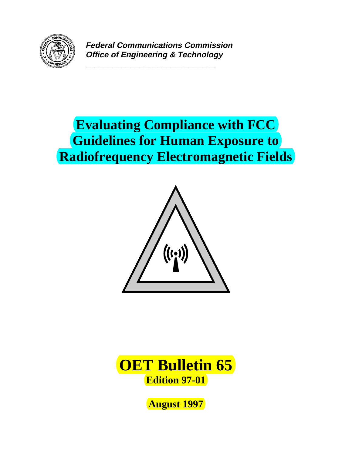

**Federal Communications Commission Office of Engineering & Technology**

**\_\_\_\_\_\_\_\_\_\_\_\_\_\_\_\_\_\_\_\_\_\_\_\_\_\_\_\_\_**

# **Evaluating Compliance with FCC Guidelines for Human Exposure to Radiofrequency Electromagnetic Fields**



**OET Bulletin 65 Edition 97-01**

**August 1997**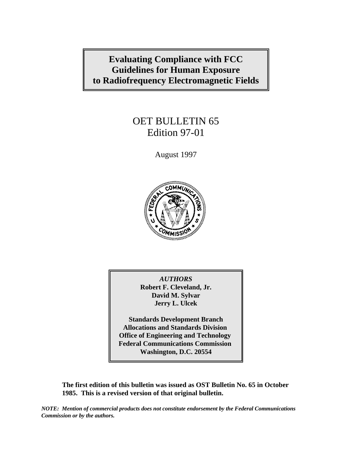**Evaluating Compliance with FCC Guidelines for Human Exposure to Radiofrequency Electromagnetic Fields**

# OET BULLETIN 65 Edition 97-01

August 1997



*AUTHORS* **Robert F. Cleveland, Jr. David M. Sylvar Jerry L. Ulcek**

**Standards Development Branch Allocations and Standards Division Office of Engineering and Technology Federal Communications Commission Washington, D.C. 20554**

**The first edition of this bulletin was issued as OST Bulletin No. 65 in October 1985. This is a revised version of that original bulletin.**

*NOTE: Mention of commercial products does not constitute endorsement by the Federal Communications Commission or by the authors.*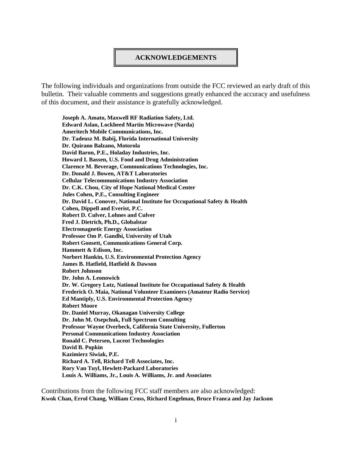#### **ACKNOWLEDGEMENTS**

The following individuals and organizations from outside the FCC reviewed an early draft of this bulletin. Their valuable comments and suggestions greatly enhanced the accuracy and usefulness of this document, and their assistance is gratefully acknowledged.

**Joseph A. Amato, Maxwell RF Radiation Safety, Ltd. Edward Aslan, Lockheed Martin Microwave (Narda) Ameritech Mobile Communications, Inc. Dr. Tadeusz M. Babij, Florida International University Dr. Quirano Balzano, Motorola David Baron, P.E., Holaday Industries, Inc. Howard I. Bassen, U.S. Food and Drug Administration Clarence M. Beverage, Communications Technologies, Inc. Dr. Donald J. Bowen, AT&T Laboratories Cellular Telecommunications Industry Association Dr. C.K. Chou, City of Hope National Medical Center Jules Cohen, P.E., Consulting Engineer Dr. David L. Conover, National Institute for Occupational Safety & Health Cohen, Dippell and Everist, P.C. Robert D. Culver, Lohnes and Culver Fred J. Dietrich, Ph.D., Globalstar Electromagnetic Energy Association Professor Om P. Gandhi, University of Utah Robert Gonsett, Communications General Corp. Hammett & Edison, Inc. Norbert Hankin, U.S. Environmental Protection Agency James B. Hatfield, Hatfield & Dawson Robert Johnson Dr. John A. Leonowich Dr. W. Gregory Lotz, National Institute for Occupational Safety & Health Frederick O. Maia, National Volunteer Examiners (Amateur Radio Service) Ed Mantiply, U.S. Environmental Protection Agency Robert Moore Dr. Daniel Murray, Okanagan University College Dr. John M. Osepchuk, Full Spectrum Consulting Professor Wayne Overbeck, California State University, Fullerton Personal Communications Industry Association Ronald C. Petersen, Lucent Technologies David B. Popkin Kazimierz Siwiak, P.E. Richard A. Tell, Richard Tell Associates, Inc. Rory Van Tuyl, Hewlett-Packard Laboratories Louis A. Williams, Jr., Louis A. Williams, Jr. and Associates**

Contributions from the following FCC staff members are also acknowledged: **Kwok Chan, Errol Chang, William Cross, Richard Engelman, Bruce Franca and Jay Jackson**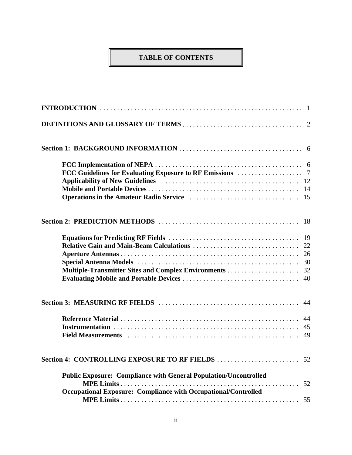### **TABLE OF CONTENTS**

| Section 4: CONTROLLING EXPOSURE TO RF FIELDS                            | 52 |  |  |
|-------------------------------------------------------------------------|----|--|--|
| <b>Public Exposure: Compliance with General Population/Uncontrolled</b> |    |  |  |
|                                                                         | 52 |  |  |
| <b>Occupational Exposure: Compliance with Occupational/Controlled</b>   | 55 |  |  |
|                                                                         |    |  |  |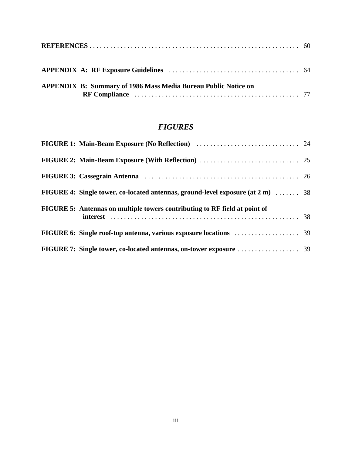| <b>APPENDIX B: Summary of 1986 Mass Media Bureau Public Notice on</b> |  |
|-----------------------------------------------------------------------|--|

## *FIGURES*

| FIGURE 4: Single tower, co-located antennas, ground-level exposure (at 2 m)  38 |  |
|---------------------------------------------------------------------------------|--|
| FIGURE 5: Antennas on multiple towers contributing to RF field at point of      |  |
|                                                                                 |  |
|                                                                                 |  |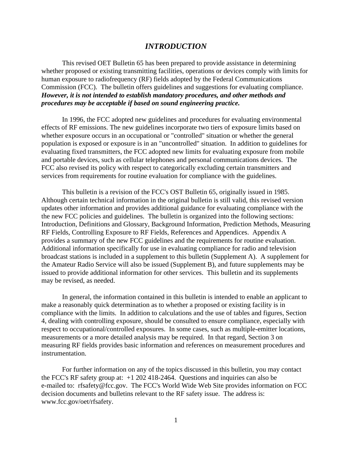#### *INTRODUCTION*

This revised OET Bulletin 65 has been prepared to provide assistance in determining whether proposed or existing transmitting facilities, operations or devices comply with limits for human exposure to radiofrequency (RF) fields adopted by the Federal Communications Commission (FCC). The bulletin offers guidelines and suggestions for evaluating compliance. *However, it is not intended to establish mandatory procedures, and other methods and procedures may be acceptable if based on sound engineering practice.* 

In 1996, the FCC adopted new guidelines and procedures for evaluating environmental effects of RF emissions. The new guidelines incorporate two tiers of exposure limits based on whether exposure occurs in an occupational or "controlled" situation or whether the general population is exposed or exposure is in an "uncontrolled" situation. In addition to guidelines for evaluating fixed transmitters, the FCC adopted new limits for evaluating exposure from mobile and portable devices, such as cellular telephones and personal communications devices. The FCC also revised its policy with respect to categorically excluding certain transmitters and services from requirements for routine evaluation for compliance with the guidelines.

This bulletin is a revision of the FCC's OST Bulletin 65, originally issued in 1985. Although certain technical information in the original bulletin is still valid, this revised version updates other information and provides additional guidance for evaluating compliance with the the new FCC policies and guidelines. The bulletin is organized into the following sections: Introduction, Definitions and Glossary, Background Information, Prediction Methods, Measuring RF Fields, Controlling Exposure to RF Fields, References and Appendices. Appendix A provides a summary of the new FCC guidelines and the requirements for routine evaluation. Additional information specifically for use in evaluating compliance for radio and television broadcast stations is included in a supplement to this bulletin (Supplement A). A supplement for the Amateur Radio Service will also be issued (Supplement B), and future supplements may be issued to provide additional information for other services. This bulletin and its supplements may be revised, as needed.

In general, the information contained in this bulletin is intended to enable an applicant to make a reasonably quick determination as to whether a proposed or existing facility is in compliance with the limits. In addition to calculations and the use of tables and figures, Section 4, dealing with controlling exposure, should be consulted to ensure compliance, especially with respect to occupational/controlled exposures. In some cases, such as multiple-emitter locations, measurements or a more detailed analysis may be required. In that regard, Section 3 on measuring RF fields provides basic information and references on measurement procedures and instrumentation.

For further information on any of the topics discussed in this bulletin, you may contact the FCC's RF safety group at: +1 202 418-2464. Questions and inquiries can also be e-mailed to: rfsafety@fcc.gov. The FCC's World Wide Web Site provides information on FCC decision documents and bulletins relevant to the RF safety issue. The address is: www.fcc.gov/oet/rfsafety.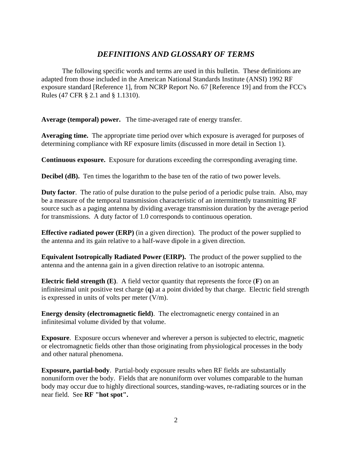### *DEFINITIONS AND GLOSSARY OF TERMS*

The following specific words and terms are used in this bulletin. These definitions are adapted from those included in the American National Standards Institute (ANSI) 1992 RF exposure standard [Reference 1], from NCRP Report No. 67 [Reference 19] and from the FCC's Rules (47 CFR § 2.1 and § 1.1310).

**Average (temporal) power.** The time-averaged rate of energy transfer.

**Averaging time.** The appropriate time period over which exposure is averaged for purposes of determining compliance with RF exposure limits (discussed in more detail in Section 1).

**Continuous exposure.** Exposure for durations exceeding the corresponding averaging time.

**Decibel (dB).** Ten times the logarithm to the base ten of the ratio of two power levels.

**Duty factor**. The ratio of pulse duration to the pulse period of a periodic pulse train. Also, may be a measure of the temporal transmission characteristic of an intermittently transmitting RF source such as a paging antenna by dividing average transmission duration by the average period for transmissions. A duty factor of 1.0 corresponds to continuous operation.

**Effective radiated power (ERP)** (in a given direction). The product of the power supplied to the antenna and its gain relative to a half-wave dipole in a given direction.

**Equivalent Isotropically Radiated Power (EIRP).** The product of the power supplied to the antenna and the antenna gain in a given direction relative to an isotropic antenna.

**Electric field strength (E)**. A field vector quantity that represents the force (**F**) on an infinitesimal unit positive test charge (**q**) at a point divided by that charge. Electric field strength is expressed in units of volts per meter (V/m).

**Energy density (electromagnetic field)**. The electromagnetic energy contained in an infinitesimal volume divided by that volume.

**Exposure**. Exposure occurs whenever and wherever a person is subjected to electric, magnetic or electromagnetic fields other than those originating from physiological processes in the body and other natural phenomena.

**Exposure, partial-body**. Partial-body exposure results when RF fields are substantially nonuniform over the body. Fields that are nonuniform over volumes comparable to the human body may occur due to highly directional sources, standing-waves, re-radiating sources or in the near field. See **RF "hot spot".**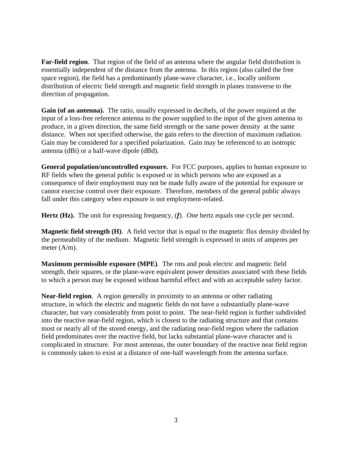**Far-field region**. That region of the field of an antenna where the angular field distribution is essentially independent of the distance from the antenna. In this region (also called the free space region), the field has a predominantly plane-wave character, i.e., locally uniform distribution of electric field strength and magnetic field strength in planes transverse to the direction of propagation.

**Gain (of an antenna).** The ratio, usually expressed in decibels, of the power required at the input of a loss-free reference antenna to the power supplied to the input of the given antenna to produce, in a given direction, the same field strength or the same power density at the same distance. When not specified otherwise, the gain refers to the direction of maximum radiation. Gain may be considered for a specified polarization. Gain may be referenced to an isotropic antenna (dBi) or a half-wave dipole (dBd).

**General population/uncontrolled exposure.** For FCC purposes, applies to human exposure to RF fields when the general public is exposed or in which persons who are exposed as a consequence of their employment may not be made fully aware of the potential for exposure or cannot exercise control over their exposure. Therefore, members of the general public always fall under this category when exposure is not employment-related.

**Hertz (Hz).** The unit for expressing frequency, (*f*). One hertz equals one cycle per second.

**Magnetic field strength (H)**. A field vector that is equal to the magnetic flux density divided by the permeability of the medium. Magnetic field strength is expressed in units of amperes per meter (A/m).

**Maximum permissible exposure (MPE)**. The rms and peak electric and magnetic field strength, their squares, or the plane-wave equivalent power densities associated with these fields to which a person may be exposed without harmful effect and with an acceptable safety factor.

**Near-field region**. A region generally in proximity to an antenna or other radiating structure, in which the electric and magnetic fields do not have a substantially plane-wave character, but vary considerably from point to point. The near-field region is further subdivided into the reactive near-field region, which is closest to the radiating structure and that contains most or nearly all of the stored energy, and the radiating near-field region where the radiation field predominates over the reactive field, but lacks substantial plane-wave character and is complicated in structure. For most antennas, the outer boundary of the reactive near field region is commonly taken to exist at a distance of one-half wavelength from the antenna surface.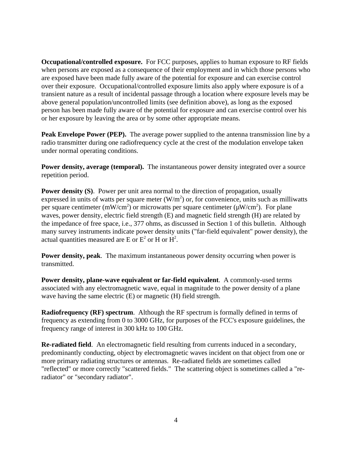**Occupational/controlled exposure.** For FCC purposes, applies to human exposure to RF fields when persons are exposed as a consequence of their employment and in which those persons who are exposed have been made fully aware of the potential for exposure and can exercise control over their exposure. Occupational/controlled exposure limits also apply where exposure is of a transient nature as a result of incidental passage through a location where exposure levels may be above general population/uncontrolled limits (see definition above), as long as the exposed person has been made fully aware of the potential for exposure and can exercise control over his or her exposure by leaving the area or by some other appropriate means.

**Peak Envelope Power (PEP).** The average power supplied to the antenna transmission line by a radio transmitter during one radiofrequency cycle at the crest of the modulation envelope taken under normal operating conditions.

**Power density, average (temporal).** The instantaneous power density integrated over a source repetition period.

**Power density (S)**. Power per unit area normal to the direction of propagation, usually expressed in units of watts per square meter  $(W/m<sup>2</sup>)$  or, for convenience, units such as milliwatts per square centimeter (mW/cm<sup>2</sup>) or microwatts per square centimeter ( $\mu$ W/cm<sup>2</sup>). For plane waves, power density, electric field strength (E) and magnetic field strength (H) are related by the impedance of free space, i.e., 377 ohms, as discussed in Section 1 of this bulletin. Although many survey instruments indicate power density units ("far-field equivalent" power density), the actual quantities measured are E or  $E^2$  or H or  $H^2$ .

**Power density, peak**. The maximum instantaneous power density occurring when power is transmitted.

**Power density, plane-wave equivalent or far-field equivalent**. A commonly-used terms associated with any electromagnetic wave, equal in magnitude to the power density of a plane wave having the same electric (E) or magnetic (H) field strength.

**Radiofrequency (RF) spectrum**. Although the RF spectrum is formally defined in terms of frequency as extending from 0 to 3000 GHz, for purposes of the FCC's exposure guidelines, the frequency range of interest in 300 kHz to 100 GHz.

**Re-radiated field**. An electromagnetic field resulting from currents induced in a secondary, predominantly conducting, object by electromagnetic waves incident on that object from one or more primary radiating structures or antennas. Re-radiated fields are sometimes called "reflected" or more correctly "scattered fields." The scattering object is sometimes called a "reradiator" or "secondary radiator".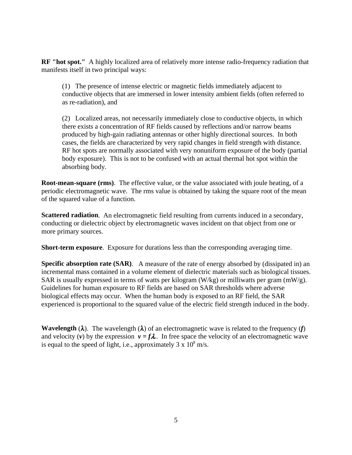**RF "hot spot."** A highly localized area of relatively more intense radio-frequency radiation that manifests itself in two principal ways:

(1) The presence of intense electric or magnetic fields immediately adjacent to conductive objects that are immersed in lower intensity ambient fields (often referred to as re-radiation), and

(2) Localized areas, not necessarily immediately close to conductive objects, in which there exists a concentration of RF fields caused by reflections and/or narrow beams produced by high-gain radiating antennas or other highly directional sources. In both cases, the fields are characterized by very rapid changes in field strength with distance. RF hot spots are normally associated with very nonuniform exposure of the body (partial body exposure). This is not to be confused with an actual thermal hot spot within the absorbing body.

**Root-mean-square (rms)**. The effective value, or the value associated with joule heating, of a periodic electromagnetic wave. The rms value is obtained by taking the square root of the mean of the squared value of a function.

**Scattered radiation**. An electromagnetic field resulting from currents induced in a secondary, conducting or dielectric object by electromagnetic waves incident on that object from one or more primary sources.

**Short-term exposure**. Exposure for durations less than the corresponding averaging time.

**Specific absorption rate (SAR).** A measure of the rate of energy absorbed by (dissipated in) an incremental mass contained in a volume element of dielectric materials such as biological tissues. SAR is usually expressed in terms of watts per kilogram (W/kg) or milliwatts per gram (mW/g). Guidelines for human exposure to RF fields are based on SAR thresholds where adverse biological effects may occur. When the human body is exposed to an RF field, the SAR experienced is proportional to the squared value of the electric field strength induced in the body.

**Wavelength** ( $\lambda$ ). The wavelength ( $\lambda$ ) of an electromagnetic wave is related to the frequency (*f*) and velocity (*v*) by the expression  $v = f \lambda$ . In free space the velocity of an electromagnetic wave is equal to the speed of light, i.e., approximately  $3 \times 10^8$  m/s.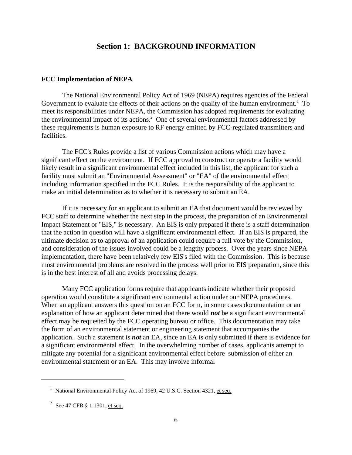### **Section 1: BACKGROUND INFORMATION**

#### **FCC Implementation of NEPA**

The National Environmental Policy Act of 1969 (NEPA) requires agencies of the Federal Government to evaluate the effects of their actions on the quality of the human environment.<sup>1</sup> To meet its responsibilities under NEPA, the Commission has adopted requirements for evaluating the environmental impact of its actions.<sup>2</sup> One of several environmental factors addressed by these requirements is human exposure to RF energy emitted by FCC-regulated transmitters and facilities.

The FCC's Rules provide a list of various Commission actions which may have a significant effect on the environment. If FCC approval to construct or operate a facility would likely result in a significant environmental effect included in this list, the applicant for such a facility must submit an "Environmental Assessment" or "EA" of the environmental effect including information specified in the FCC Rules. It is the responsibility of the applicant to make an initial determination as to whether it is necessary to submit an EA.

If it is necessary for an applicant to submit an EA that document would be reviewed by FCC staff to determine whether the next step in the process, the preparation of an Environmental Impact Statement or "EIS," is necessary. An EIS is only prepared if there is a staff determination that the action in question will have a significant environmental effect. If an EIS is prepared, the ultimate decision as to approval of an application could require a full vote by the Commission, and consideration of the issues involved could be a lengthy process. Over the years since NEPA implementation, there have been relatively few EIS's filed with the Commission. This is because most environmental problems are resolved in the process well prior to EIS preparation, since this is in the best interest of all and avoids processing delays.

Many FCC application forms require that applicants indicate whether their proposed operation would constitute a significant environmental action under our NEPA procedures. When an applicant answers this question on an FCC form, in some cases documentation or an explanation of how an applicant determined that there would *not* be a significant environmental effect may be requested by the FCC operating bureau or office. This documentation may take the form of an environmental statement or engineering statement that accompanies the application. Such a statement is *not* an EA, since an EA is only submitted if there is evidence for a significant environmental effect. In the overwhelming number of cases, applicants attempt to mitigate any potential for a significant environmental effect before submission of either an environmental statement or an EA. This may involve informal

<sup>&</sup>lt;sup>1</sup> National Environmental Policy Act of 1969, 42 U.S.C. Section 4321, et seq.

<sup>&</sup>lt;sup>2</sup> See 47 CFR § 1.1301, et seq.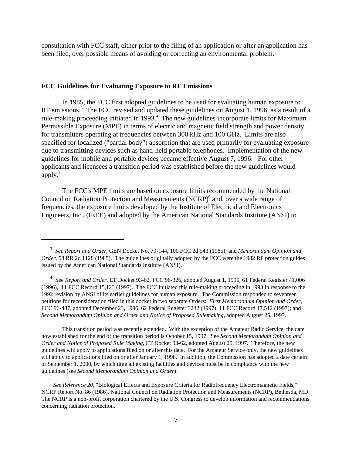consultation with FCC staff, either prior to the filing of an application or after an application has been filed, over possible means of avoiding or correcting an environmental problem.

#### **FCC Guidelines for Evaluating Exposure to RF Emissions**

In 1985, the FCC first adopted guidelines to be used for evaluating human exposure to RF emissions.<sup>3</sup> The FCC revised and updated these guidelines on August 1, 1996, as a result of a rule-making proceeding initiated in 1993.<sup>4</sup> The new guidelines incorporate limits for Maximum Permissible Exposure (MPE) in terms of electric and magnetic field strength and power density for transmitters operating at frequencies between 300 kHz and 100 GHz. Limits are also specified for localized ("partial body") absorption that are used primarily for evaluating exposure due to transmitting devices such as hand-held portable telephones. Implementation of the new guidelines for mobile and portable devices became effective August 7, 1996. For other applicants and licensees a transition period was established before the new guidelines would apply.<sup>5</sup>

The FCC's MPE limits are based on exposure limits recommended by the National Council on Radiation Protection and Measurements (NCRP)<sup>6</sup> and, over a wide range of frequencies, the exposure limits developed by the Institute of Electrical and Electronics Engineers, Inc., (IEEE) and adopted by the American National Standards Institute (ANSI) to

<sup>3</sup> *See Report and Order,* GEN Docket No. 79-144, 100 FCC 2d 543 (1985); and *Memorandum Opinion and Order,* 58 RR 2d 1128 (1985). The guidelines originally adopted by the FCC were the 1982 RF protection guides issued by the American National Standards Institute (ANSI).

4 See *Report and Order*, ET Docket 93-62, FCC 96-326, adopted August 1, 1996, 61 Federal Register 41,006 (1996), 11 FCC Record 15,123 (1997). The FCC initiated this rule-making proceeding in 1993 in response to the 1992 revision by ANSI of its earlier guidelines for human exposure. The Commission responded to seventeen petitions for reconsideration filed in this docket in two separate Orders: *First Memorandum Opinion and Order,* FCC 96-487, adopted December 23, 1996, 62 Federal Register 3232 (1997), 11 FCC Record 17,512 (1997); and *Second Memorandum Opinion and Order and Notice of Proposed Rulemaking,* adopted August 25, 1997.

<sup>&</sup>lt;sup>5</sup> This transition period was recently extended. With the exception of the Amateur Radio Service, the date now established for the end of the transition period is October 15, 1997. See *Second Memorandum Opinion and Order and Notice of Proposed Rule Making,* ET Docket 93-62, adopted August 25, 1997. Therefore, the new guidelines will apply to applications filed on or after this date. For the Amateur Service only, the new guidelines will apply to applications filed on or after January 1, 1998. In addition, the Commission has adopted a date certain of September 1, 2000, by which time all existing facilities and devices must be in compliance with the new guidelines (see *Second Memorandum Opinion and Order*).

<sup>&</sup>lt;sup>6</sup> See Reference 20, "Biological Effects and Exposure Criteria for Radiofrequency Electromagnetic Fields," NCRP Report No. 86 (1986), National Council on Radiation Protection and Measurements (NCRP), Bethesda, MD. The NCRP is a non-profit corporation chartered by the U.S. Congress to develop information and recommendations concerning radiation protection.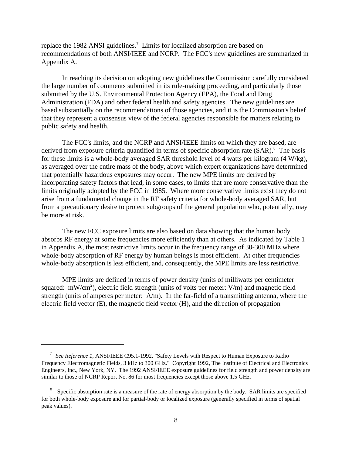replace the 1982 ANSI guidelines.<sup>7</sup> Limits for localized absorption are based on recommendations of both ANSI/IEEE and NCRP. The FCC's new guidelines are summarized in Appendix A.

In reaching its decision on adopting new guidelines the Commission carefully considered the large number of comments submitted in its rule-making proceeding, and particularly those submitted by the U.S. Environmental Protection Agency (EPA), the Food and Drug Administration (FDA) and other federal health and safety agencies. The new guidelines are based substantially on the recommendations of those agencies, and it is the Commission's belief that they represent a consensus view of the federal agencies responsible for matters relating to public safety and health.

The FCC's limits, and the NCRP and ANSI/IEEE limits on which they are based, are derived from exposure criteria quantified in terms of specific absorption rate (SAR).<sup>8</sup> The basis for these limits is a whole-body averaged SAR threshold level of 4 watts per kilogram (4 W/kg), as averaged over the entire mass of the body, above which expert organizations have determined that potentially hazardous exposures may occur. The new MPE limits are derived by incorporating safety factors that lead, in some cases, to limits that are more conservative than the limits originally adopted by the FCC in 1985. Where more conservative limits exist they do not arise from a fundamental change in the RF safety criteria for whole-body averaged SAR, but from a precautionary desire to protect subgroups of the general population who, potentially, may be more at risk.

The new FCC exposure limits are also based on data showing that the human body absorbs RF energy at some frequencies more efficiently than at others. As indicated by Table 1 in Appendix A, the most restrictive limits occur in the frequency range of 30-300 MHz where whole-body absorption of RF energy by human beings is most efficient. At other frequencies whole-body absorption is less efficient, and, consequently, the MPE limits are less restrictive.

MPE limits are defined in terms of power density (units of milliwatts per centimeter squared: mW/cm<sup>2</sup>), electric field strength (units of volts per meter:  $V/m$ ) and magnetic field strength (units of amperes per meter: A/m). In the far-field of a transmitting antenna, where the electric field vector (E), the magnetic field vector (H), and the direction of propagation

<sup>7</sup> *See Reference 1*, ANSI/IEEE C95.1-1992, "Safety Levels with Respect to Human Exposure to Radio Frequency Electromagnetic Fields, 3 kHz to 300 GHz." Copyright 1992, The Institute of Electrical and Electronics Engineers, Inc., New York, NY. The 1992 ANSI/IEEE exposure guidelines for field strength and power density are similar to those of NCRP Report No. 86 for most frequencies except those above 1.5 GHz.

<sup>8</sup> Specific absorption rate is a measure of the rate of energy absorption by the body. SAR limits are specified for both whole-body exposure and for partial-body or localized exposure (generally specified in terms of spatial peak values).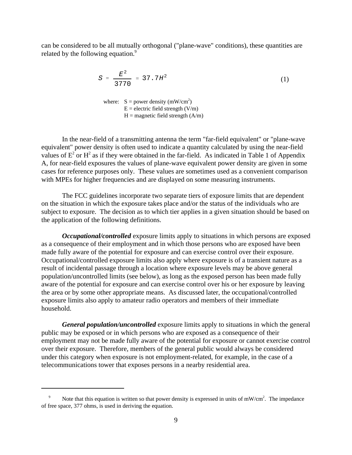can be considered to be all mutually orthogonal ("plane-wave" conditions), these quantities are related by the following equation.<sup>9</sup>

$$
S = \frac{E^2}{3770} = 37.7H^2
$$
 (1)

where:  $S = power density (mW/cm<sup>2</sup>)$  $E =$  electric field strength  $(V/m)$  $H =$  magnetic field strength  $(A/m)$ 

In the near-field of a transmitting antenna the term "far-field equivalent" or "plane-wave equivalent" power density is often used to indicate a quantity calculated by using the near-field values of  $E^2$  or  $H^2$  as if they were obtained in the far-field. As indicated in Table 1 of Appendix A, for near-field exposures the values of plane-wave equivalent power density are given in some cases for reference purposes only. These values are sometimes used as a convenient comparison with MPEs for higher frequencies and are displayed on some measuring instruments.

The FCC guidelines incorporate two separate tiers of exposure limits that are dependent on the situation in which the exposure takes place and/or the status of the individuals who are subject to exposure. The decision as to which tier applies in a given situation should be based on the application of the following definitions.

*Occupational/controlled* exposure limits apply to situations in which persons are exposed as a consequence of their employment and in which those persons who are exposed have been made fully aware of the potential for exposure and can exercise control over their exposure. Occupational/controlled exposure limits also apply where exposure is of a transient nature as a result of incidental passage through a location where exposure levels may be above general population/uncontrolled limits (see below), as long as the exposed person has been made fully aware of the potential for exposure and can exercise control over his or her exposure by leaving the area or by some other appropriate means. As discussed later, the occupational/controlled exposure limits also apply to amateur radio operators and members of their immediate household.

*General population/uncontrolled* exposure limits apply to situations in which the general public may be exposed or in which persons who are exposed as a consequence of their employment may not be made fully aware of the potential for exposure or cannot exercise control over their exposure. Therefore, members of the general public would always be considered under this category when exposure is not employment-related, for example, in the case of a telecommunications tower that exposes persons in a nearby residential area.

<sup>&</sup>lt;sup>9</sup> Note that this equation is written so that power density is expressed in units of mW/cm<sup>2</sup>. The impedance of free space, 377 ohms, is used in deriving the equation.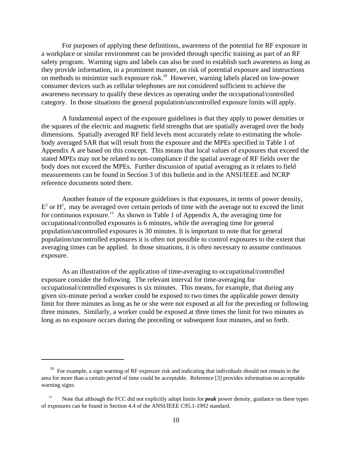For purposes of applying these definitions, awareness of the potential for RF exposure in a workplace or similar environment can be provided through specific training as part of an RF safety program. Warning signs and labels can also be used to establish such awareness as long as they provide information, in a prominent manner, on risk of potential exposure and instructions on methods to minimize such exposure risk.<sup>10</sup> However, warning labels placed on low-power consumer devices such as cellular telephones are not considered sufficient to achieve the awareness necessary to qualify these devices as operating under the occupational/controlled category. In those situations the general population/uncontrolled exposure limits will apply.

A fundamental aspect of the exposure guidelines is that they apply to power densities or the squares of the electric and magnetic field strengths that are spatially averaged over the body dimensions. Spatially averaged RF field levels most accurately relate to estimating the wholebody averaged SAR that will result from the exposure and the MPEs specified in Table 1 of Appendix A are based on this concept. This means that local values of exposures that exceed the stated MPEs may not be related to non-compliance if the spatial average of RF fields over the body does not exceed the MPEs. Further discussion of spatial averaging as it relates to field measurements can be found in Section 3 of this bulletin and in the ANSI/IEEE and NCRP reference documents noted there.

Another feature of the exposure guidelines is that exposures, in terms of power density,  $E<sup>2</sup>$  or H<sup>2</sup>, may be averaged over certain periods of time with the average not to exceed the limit for continuous exposure.<sup>11</sup> As shown in Table 1 of Appendix A, the averaging time for occupational/controlled exposures is 6 minutes, while the averaging time for general population/uncontrolled exposures is 30 minutes. It is important to note that for general population/uncontrolled exposures it is often not possible to control exposures to the extent that averaging times can be applied. In those situations, it is often necessary to assume continuous exposure.

As an illustration of the application of time-averaging to occupational/controlled exposure consider the following. The relevant interval for time-averaging for occupational/controlled exposures is six minutes. This means, for example, that during any given six-minute period a worker could be exposed to two times the applicable power density limit for three minutes as long as he or she were not exposed at all for the preceding or following three minutes. Similarly, a worker could be exposed at three times the limit for two minutes as long as no exposure occurs during the preceding or subsequent four minutes, and so forth.

 $10$  For example, a sign warning of RF exposure risk and indicating that individuals should not remain in the area for more than a certain period of time could be acceptable. Reference [3] provides information on acceptable warning signs.

Note that although the FCC did not explicitly adopt limits for *peak* power density, guidance on these types of exposures can be found in Section 4.4 of the ANSI/IEEE C95.1-1992 standard.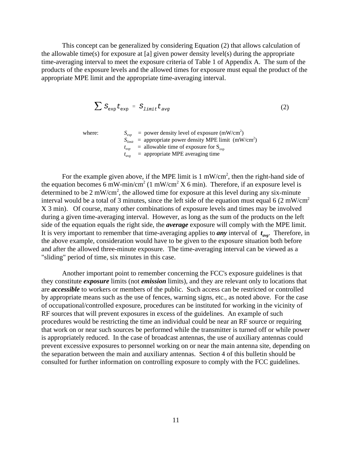This concept can be generalized by considering Equation (2) that allows calculation of the allowable time(s) for exposure at [a] given power density level(s) during the appropriate time-averaging interval to meet the exposure criteria of Table 1 of Appendix A. The sum of the products of the exposure levels and the allowed times for exposure must equal the product of the appropriate MPE limit and the appropriate time-averaging interval.

$$
\sum S_{\text{exp}} t_{\text{exp}} = S_{\text{limit}} t_{\text{avg}}
$$
 (2)

where:  $S_{exp}$  = power density level of exposure (mW/cm<sup>2</sup>)  $S_{limit}$  = appropriate power density MPE limit (mW/cm<sup>2</sup>)  $t_{exp}$  = allowable time of exposure for  $S_{exp}$  $t_{avg}$  = appropriate MPE averaging time

For the example given above, if the MPE limit is  $1 \text{ mW/cm}^2$ , then the right-hand side of the equation becomes 6 mW-min/cm<sup>2</sup> (1 mW/cm<sup>2</sup> X 6 min). Therefore, if an exposure level is determined to be 2 mW/cm<sup>2</sup>, the allowed time for exposure at this level during any six-minute interval would be a total of 3 minutes, since the left side of the equation must equal 6  $(2 \text{ mW/cm}^2)$ X 3 min). Of course, many other combinations of exposure levels and times may be involved during a given time-averaging interval. However, as long as the sum of the products on the left side of the equation equals the right side, the *average* exposure will comply with the MPE limit. It is very important to remember that time-averaging applies to *any* interval of  $t_{\text{avg}}$ . Therefore, in the above example, consideration would have to be given to the exposure situation both before and after the allowed three-minute exposure. The time-averaging interval can be viewed as a "sliding" period of time, six minutes in this case.

Another important point to remember concerning the FCC's exposure guidelines is that they constitute *exposure* limits (not *emission* limits), and they are relevant only to locations that are *accessible* to workers or members of the public. Such access can be restricted or controlled by appropriate means such as the use of fences, warning signs, etc., as noted above. For the case of occupational/controlled exposure, procedures can be instituted for working in the vicinity of RF sources that will prevent exposures in excess of the guidelines. An example of such procedures would be restricting the time an individual could be near an RF source or requiring that work on or near such sources be performed while the transmitter is turned off or while power is appropriately reduced. In the case of broadcast antennas, the use of auxiliary antennas could prevent excessive exposures to personnel working on or near the main antenna site, depending on the separation between the main and auxiliary antennas. Section 4 of this bulletin should be consulted for further information on controlling exposure to comply with the FCC guidelines.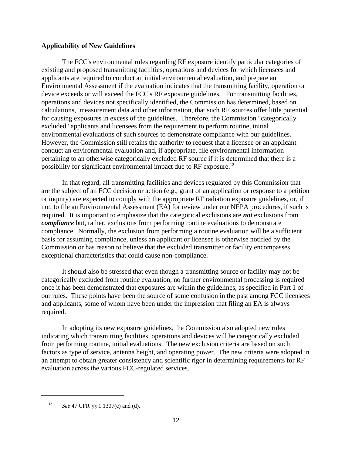#### **Applicability of New Guidelines**

The FCC's environmental rules regarding RF exposure identify particular categories of existing and proposed transmitting facilities, operations and devices for which licensees and applicants are required to conduct an initial environmental evaluation, and prepare an Environmental Assessment if the evaluation indicates that the transmitting facility, operation or device exceeds or will exceed the FCC's RF exposure guidelines. For transmitting facilities, operations and devices not specifically identified, the Commission has determined, based on calculations, measurement data and other information, that such RF sources offer little potential for causing exposures in excess of the guidelines. Therefore, the Commission "categorically excluded" applicants and licensees from the requirement to perform routine, initial environmental evaluations of such sources to demonstrate compliance with our guidelines. However, the Commission still retains the authority to request that a licensee or an applicant conduct an environmental evaluation and, if appropriate, file environmental information pertaining to an otherwise categorically excluded RF source if it is determined that there is a possibility for significant environmental impact due to RF exposure.12

In that regard, all transmitting facilities and devices regulated by this Commission that are the subject of an FCC decision or action (e.g., grant of an application or response to a petition or inquiry) are expected to comply with the appropriate RF radiation exposure guidelines, or, if not, to file an Environmental Assessment (EA) for review under our NEPA procedures, if such is required. It is important to emphasize that the categorical exclusions are *not* exclusions from *compliance* but, rather, exclusions from performing routine evaluations to demonstrate compliance. Normally, the exclusion from performing a routine evaluation will be a sufficient basis for assuming compliance, unless an applicant or licensee is otherwise notified by the Commission or has reason to believe that the excluded transmitter or facility encompasses exceptional characteristics that could cause non-compliance.

It should also be stressed that even though a transmitting source or facility may not be categorically excluded from routine evaluation, no further environmental processing is required once it has been demonstrated that exposures are within the guidelines, as specified in Part 1 of our rules. These points have been the source of some confusion in the past among FCC licensees and applicants, some of whom have been under the impression that filing an EA is always required.

In adopting its new exposure guidelines, the Commission also adopted new rules indicating which transmitting facilities, operations and devices will be categorically excluded from performing routine, initial evaluations. The new exclusion criteria are based on such factors as type of service, antenna height, and operating power. The new criteria were adopted in an attempt to obtain greater consistency and scientific rigor in determining requirements for RF evaluation across the various FCC-regulated services.

<sup>12</sup> *See* 47 CFR §§ 1.1307(c) and (d).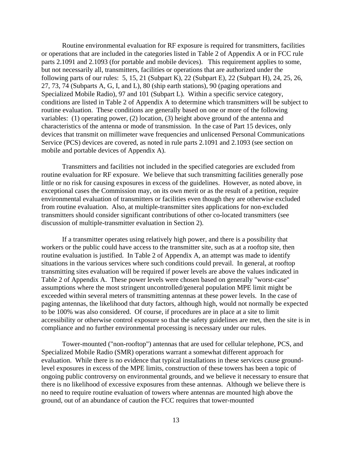Routine environmental evaluation for RF exposure is required for transmitters, facilities or operations that are included in the categories listed in Table 2 of Appendix A or in FCC rule parts 2.1091 and 2.1093 (for portable and mobile devices). This requirement applies to some, but not necessarily all, transmitters, facilities or operations that are authorized under the following parts of our rules: 5, 15, 21 (Subpart K), 22 (Subpart E), 22 (Subpart H), 24, 25, 26, 27, 73, 74 (Subparts A, G, I, and L), 80 (ship earth stations), 90 (paging operations and Specialized Mobile Radio), 97 and 101 (Subpart L). Within a specific service category, conditions are listed in Table 2 of Appendix A to determine which transmitters will be subject to routine evaluation. These conditions are generally based on one or more of the following variables: (1) operating power, (2) location, (3) height above ground of the antenna and characteristics of the antenna or mode of transmission. In the case of Part 15 devices, only devices that transmit on millimeter wave frequencies and unlicensed Personal Communications Service (PCS) devices are covered, as noted in rule parts 2.1091 and 2.1093 (see section on mobile and portable devices of Appendix A).

Transmitters and facilities not included in the specified categories are excluded from routine evaluation for RF exposure. We believe that such transmitting facilities generally pose little or no risk for causing exposures in excess of the guidelines. However, as noted above, in exceptional cases the Commission may, on its own merit or as the result of a petition, require environmental evaluation of transmitters or facilities even though they are otherwise excluded from routine evaluation. Also, at multiple-transmitter sites applications for non-excluded transmitters should consider significant contributions of other co-located transmitters (see discussion of multiple-transmitter evaluation in Section 2).

If a transmitter operates using relatively high power, and there is a possibility that workers or the public could have access to the transmitter site, such as at a rooftop site, then routine evaluation is justified. In Table 2 of Appendix A, an attempt was made to identify situations in the various services where such conditions could prevail. In general, at rooftop transmitting sites evaluation will be required if power levels are above the values indicated in Table 2 of Appendix A. These power levels were chosen based on generally "worst-case" assumptions where the most stringent uncontrolled/general population MPE limit might be exceeded within several meters of transmitting antennas at these power levels. In the case of paging antennas, the likelihood that duty factors, although high, would not normally be expected to be 100% was also considered. Of course, if procedures are in place at a site to limit accessibility or otherwise control exposure so that the safety guidelines are met, then the site is in compliance and no further environmental processing is necessary under our rules.

Tower-mounted ("non-rooftop") antennas that are used for cellular telephone, PCS, and Specialized Mobile Radio (SMR) operations warrant a somewhat different approach for evaluation. While there is no evidence that typical installations in these services cause groundlevel exposures in excess of the MPE limits, construction of these towers has been a topic of ongoing public controversy on environmental grounds, and we believe it necessary to ensure that there is no likelihood of excessive exposures from these antennas. Although we believe there is no need to require routine evaluation of towers where antennas are mounted high above the ground, out of an abundance of caution the FCC requires that tower-mounted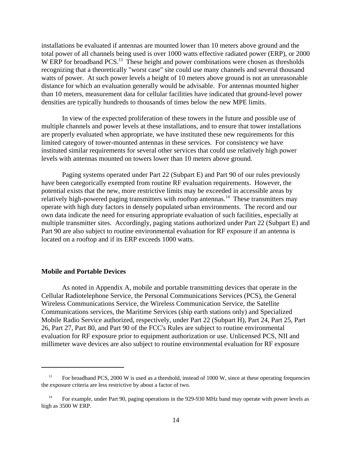installations be evaluated if antennas are mounted lower than 10 meters above ground and the total power of all channels being used is over 1000 watts effective radiated power (ERP), or 2000 W ERP for broadband PCS.<sup>13</sup> These height and power combinations were chosen as thresholds recognizing that a theoretically "worst case" site could use many channels and several thousand watts of power. At such power levels a height of 10 meters above ground is not an unreasonable distance for which an evaluation generally would be advisable. For antennas mounted higher than 10 meters, measurement data for cellular facilities have indicated that ground-level power densities are typically hundreds to thousands of times below the new MPE limits.

In view of the expected proliferation of these towers in the future and possible use of multiple channels and power levels at these installations, and to ensure that tower installations are properly evaluated when appropriate, we have instituted these new requirements for this limited category of tower-mounted antennas in these services. For consistency we have instituted similar requirements for several other services that could use relatively high power levels with antennas mounted on towers lower than 10 meters above ground.

Paging systems operated under Part 22 (Subpart E) and Part 90 of our rules previously have been categorically exempted from routine RF evaluation requirements. However, the potential exists that the new, more restrictive limits may be exceeded in accessible areas by relatively high-powered paging transmitters with rooftop antennas.<sup>14</sup> These transmitters may operate with high duty factors in densely populated urban environments. The record and our own data indicate the need for ensuring appropriate evaluation of such facilities, especially at multiple transmitter sites. Accordingly, paging stations authorized under Part 22 (Subpart E) and Part 90 are also subject to routine environmental evaluation for RF exposure if an antenna is located on a rooftop and if its ERP exceeds 1000 watts.

#### **Mobile and Portable Devices**

As noted in Appendix A, mobile and portable transmitting devices that operate in the Cellular Radiotelephone Service, the Personal Communications Services (PCS), the General Wireless Communications Service, the Wireless Communication Service, the Satellite Communications services, the Maritime Services (ship earth stations only) and Specialized Mobile Radio Service authorized, respectively, under Part 22 (Subpart H), Part 24, Part 25, Part 26, Part 27, Part 80, and Part 90 of the FCC's Rules are subject to routine environmental evaluation for RF exposure prior to equipment authorization or use. Unlicensed PCS, NII and millimeter wave devices are also subject to routine environmental evaluation for RF exposure

<sup>13</sup> For broadband PCS, 2000 W is used as a threshold, instead of 1000 W, since at these operating frequencies the exposure criteria are less restrictive by about a factor of two.

<sup>14</sup> For example, under Part 90, paging operations in the 929-930 MHz band may operate with power levels as high as 3500 W ERP.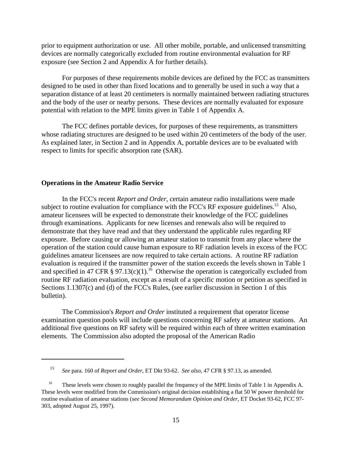prior to equipment authorization or use. All other mobile, portable, and unlicensed transmitting devices are normally categorically excluded from routine environmental evaluation for RF exposure (see Section 2 and Appendix A for further details).

For purposes of these requirements mobile devices are defined by the FCC as transmitters designed to be used in other than fixed locations and to generally be used in such a way that a separation distance of at least 20 centimeters is normally maintained between radiating structures and the body of the user or nearby persons. These devices are normally evaluated for exposure potential with relation to the MPE limits given in Table 1 of Appendix A.

The FCC defines portable devices, for purposes of these requirements, as transmitters whose radiating structures are designed to be used within 20 centimeters of the body of the user. As explained later, in Section 2 and in Appendix A, portable devices are to be evaluated with respect to limits for specific absorption rate (SAR).

#### **Operations in the Amateur Radio Service**

In the FCC's recent *Report and Order*, certain amateur radio installations were made subject to routine evaluation for compliance with the FCC's RF exposure guidelines.<sup>15</sup> Also, amateur licensees will be expected to demonstrate their knowledge of the FCC guidelines through examinations. Applicants for new licenses and renewals also will be required to demonstrate that they have read and that they understand the applicable rules regarding RF exposure. Before causing or allowing an amateur station to transmit from any place where the operation of the station could cause human exposure to RF radiation levels in excess of the FCC guidelines amateur licensees are now required to take certain actions. A routine RF radiation evaluation is required if the transmitter power of the station exceeds the levels shown in Table 1 and specified in 47 CFR § 97.13(c)(1).<sup>16</sup> Otherwise the operation is categorically excluded from routine RF radiation evaluation, except as a result of a specific motion or petition as specified in Sections 1.1307(c) and (d) of the FCC's Rules, (see earlier discussion in Section 1 of this bulletin).

The Commission's *Report and Order* instituted a requirement that operator license examination question pools will include questions concerning RF safety at amateur stations. An additional five questions on RF safety will be required within each of three written examination elements. The Commission also adopted the proposal of the American Radio

<sup>15</sup> *See* para. 160 of *Report and Order*, ET Dkt 93-62. *See also*, 47 CFR § 97.13, as amended.

<sup>&</sup>lt;sup>16</sup> These levels were chosen to roughly parallel the frequency of the MPE limits of Table 1 in Appendix A. These levels were modified from the Commission's original decision establishing a flat 50 W power threshold for routine evaluation of amateur stations (*see Second Memorandum Opinion and Order,* ET Docket 93-62, FCC 97- 303, adopted August 25, 1997).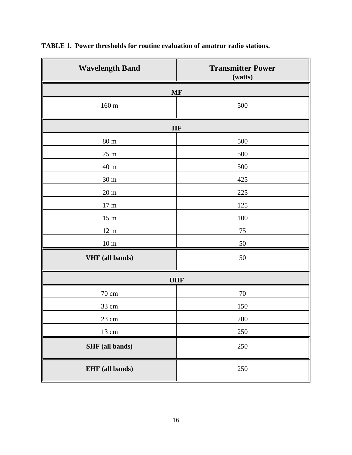| <b>Wavelength Band</b> | <b>Transmitter Power</b><br>(watts) |  |  |
|------------------------|-------------------------------------|--|--|
| $\mathbf{MF}$          |                                     |  |  |
| $160\;\mathrm{m}$      | 500                                 |  |  |
| HF                     |                                     |  |  |
| $80\ {\rm m}$          | 500                                 |  |  |
| $75\ {\rm m}$          | 500                                 |  |  |
| $40\ {\rm m}$          | 500                                 |  |  |
| $30\;\mathrm{m}$       | 425                                 |  |  |
| $20\;\mathrm{m}$       | 225                                 |  |  |
| $17 \text{ m}$         | 125                                 |  |  |
| $15 \text{ m}$         | 100                                 |  |  |
| $12 \text{ m}$         | 75                                  |  |  |
| $10\ {\rm m}$          | 50                                  |  |  |
| VHF (all bands)        | 50                                  |  |  |
|                        | <b>UHF</b>                          |  |  |
| $70\,\mathrm{cm}$      | 70                                  |  |  |
| 33 cm                  | 150                                 |  |  |
| $23 \; \mathrm{cm}$    | 200                                 |  |  |
| $13 \; \mathrm{cm}$    | 250                                 |  |  |
| SHF (all bands)        | $250\,$                             |  |  |
| EHF (all bands)        | 250                                 |  |  |

**TABLE 1. Power thresholds for routine evaluation of amateur radio stations.**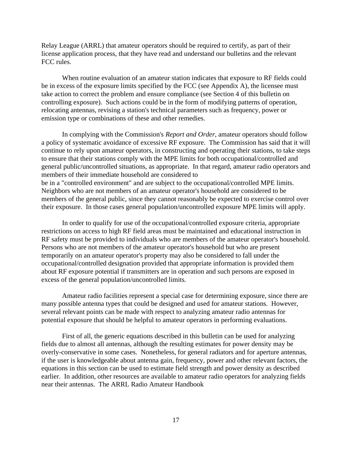Relay League (ARRL) that amateur operators should be required to certify, as part of their license application process, that they have read and understand our bulletins and the relevant FCC rules.

When routine evaluation of an amateur station indicates that exposure to RF fields could be in excess of the exposure limits specified by the FCC (see Appendix A), the licensee must take action to correct the problem and ensure compliance (see Section 4 of this bulletin on controlling exposure). Such actions could be in the form of modifying patterns of operation, relocating antennas, revising a station's technical parameters such as frequency, power or emission type or combinations of these and other remedies.

In complying with the Commission's *Report and Order*, amateur operators should follow a policy of systematic avoidance of excessive RF exposure. The Commission has said that it will continue to rely upon amateur operators, in constructing and operating their stations, to take steps to ensure that their stations comply with the MPE limits for both occupational/controlled and general public/uncontrolled situations, as appropriate. In that regard, amateur radio operators and members of their immediate household are considered to be in a "controlled environment" and are subject to the occupational/controlled MPE limits. Neighbors who are not members of an amateur operator's household are considered to be members of the general public, since they cannot reasonably be expected to exercise control over their exposure. In those cases general population/uncontrolled exposure MPE limits will apply.

In order to qualify for use of the occupational/controlled exposure criteria, appropriate restrictions on access to high RF field areas must be maintained and educational instruction in RF safety must be provided to individuals who are members of the amateur operator's household. Persons who are not members of the amateur operator's household but who are present temporarily on an amateur operator's property may also be considered to fall under the occupational/controlled designation provided that appropriate information is provided them about RF exposure potential if transmitters are in operation and such persons are exposed in excess of the general population/uncontrolled limits.

Amateur radio facilities represent a special case for determining exposure, since there are many possible antenna types that could be designed and used for amateur stations. However, several relevant points can be made with respect to analyzing amateur radio antennas for potential exposure that should be helpful to amateur operators in performing evaluations.

First of all, the generic equations described in this bulletin can be used for analyzing fields due to almost all antennas, although the resulting estimates for power density may be overly-conservative in some cases. Nonetheless, for general radiators and for aperture antennas, if the user is knowledgeable about antenna gain, frequency, power and other relevant factors, the equations in this section can be used to estimate field strength and power density as described earlier. In addition, other resources are available to amateur radio operators for analyzing fields near their antennas. The ARRL Radio Amateur Handbook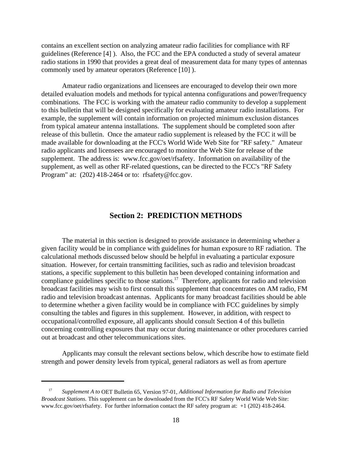contains an excellent section on analyzing amateur radio facilities for compliance with RF guidelines (Reference [4] ). Also, the FCC and the EPA conducted a study of several amateur radio stations in 1990 that provides a great deal of measurement data for many types of antennas commonly used by amateur operators (Reference [10] ).

Amateur radio organizations and licensees are encouraged to develop their own more detailed evaluation models and methods for typical antenna configurations and power/frequency combinations. The FCC is working with the amateur radio community to develop a supplement to this bulletin that will be designed specifically for evaluating amateur radio installations. For example, the supplement will contain information on projected minimum exclusion distances from typical amateur antenna installations. The supplement should be completed soon after release of this bulletin. Once the amateur radio supplement is released by the FCC it will be made available for downloading at the FCC's World Wide Web Site for "RF safety." Amateur radio applicants and licensees are encouraged to monitor the Web Site for release of the supplement. The address is: www.fcc.gov/oet/rfsafety. Information on availability of the supplement, as well as other RF-related questions, can be directed to the FCC's "RF Safety Program" at: (202) 418-2464 or to: rfsafety@fcc.gov.

### **Section 2: PREDICTION METHODS**

The material in this section is designed to provide assistance in determining whether a given facility would be in compliance with guidelines for human exposure to RF radiation. The calculational methods discussed below should be helpful in evaluating a particular exposure situation. However, for certain transmitting facilities, such as radio and television broadcast stations, a specific supplement to this bulletin has been developed containing information and compliance guidelines specific to those stations.<sup>17</sup> Therefore, applicants for radio and television broadcast facilities may wish to first consult this supplement that concentrates on AM radio, FM radio and television broadcast antennas. Applicants for many broadcast facilities should be able to determine whether a given facility would be in compliance with FCC guidelines by simply consulting the tables and figures in this supplement. However, in addition, with respect to occupational/controlled exposure, all applicants should consult Section 4 of this bulletin concerning controlling exposures that may occur during maintenance or other procedures carried out at broadcast and other telecommunications sites.

Applicants may consult the relevant sections below, which describe how to estimate field strength and power density levels from typical, general radiators as well as from aperture

<sup>17</sup> *Supplement A to* OET Bulletin 65, Version 97-01, *Additional Information for Radio and Television Broadcast Stations.* This supplement can be downloaded from the FCC's RF Safety World Wide Web Site: www.fcc.gov/oet/rfsafety. For further information contact the RF safety program at: +1 (202) 418-2464.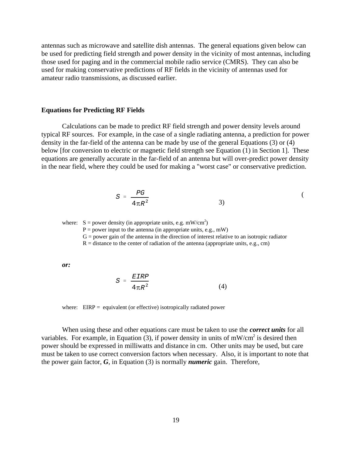antennas such as microwave and satellite dish antennas. The general equations given below can be used for predicting field strength and power density in the vicinity of most antennas, including those used for paging and in the commercial mobile radio service (CMRS). They can also be used for making conservative predictions of RF fields in the vicinity of antennas used for amateur radio transmissions, as discussed earlier.

#### **Equations for Predicting RF Fields**

Calculations can be made to predict RF field strength and power density levels around typical RF sources. For example, in the case of a single radiating antenna, a prediction for power density in the far-field of the antenna can be made by use of the general Equations (3) or (4) below [for conversion to electric or magnetic field strength see Equation (1) in Section 1]. These equations are generally accurate in the far-field of an antenna but will over-predict power density in the near field, where they could be used for making a "worst case" or conservative prediction.

$$
S = \frac{PG}{4\pi R^2}
$$
 (

where:  $S = power$  density (in appropriate units, e.g. mW/cm<sup>2</sup>)

 $P = power input to the antenna (in appropriate units, e.g., mW)$ 

 $G =$  power gain of the antenna in the direction of interest relative to an isotropic radiator

 $R =$  distance to the center of radiation of the antenna (appropriate units, e.g., cm)

*or:* 

$$
S = \frac{ELRP}{4\pi R^2}
$$
 (4)

where:  $EIRP =$  equivalent (or effective) isotropically radiated power

When using these and other equations care must be taken to use the *correct units* for all variables. For example, in Equation (3), if power density in units of  $mW/cm<sup>2</sup>$  is desired then power should be expressed in milliwatts and distance in cm. Other units may be used, but care must be taken to use correct conversion factors when necessary. Also, it is important to note that the power gain factor, *G*, in Equation (3) is normally *numeric* gain. Therefore,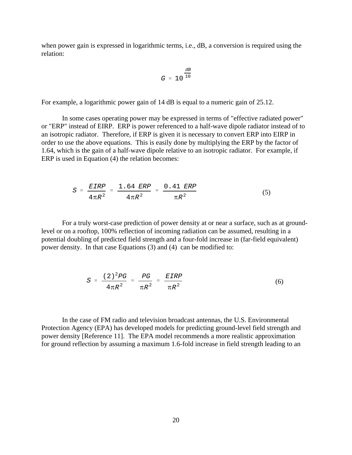when power gain is expressed in logarithmic terms, i.e., dB, a conversion is required using the relation:

$$
G = 10^{\frac{dB}{10}}
$$

For example, a logarithmic power gain of 14 dB is equal to a numeric gain of 25.12.

In some cases operating power may be expressed in terms of "effective radiated power" or "ERP" instead of EIRP. ERP is power referenced to a half-wave dipole radiator instead of to an isotropic radiator. Therefore, if ERP is given it is necessary to convert ERP into EIRP in order to use the above equations. This is easily done by multiplying the ERP by the factor of 1.64, which is the gain of a half-wave dipole relative to an isotropic radiator. For example, if ERP is used in Equation (4) the relation becomes:

$$
S = \frac{ETRP}{4\pi R^2} = \frac{1.64 \text{ } ERP}{4\pi R^2} = \frac{0.41 \text{ } ERP}{\pi R^2}
$$
 (5)

For a truly worst-case prediction of power density at or near a surface, such as at groundlevel or on a rooftop, 100% reflection of incoming radiation can be assumed, resulting in a potential doubling of predicted field strength and a four-fold increase in (far-field equivalent) power density. In that case Equations (3) and (4) can be modified to:

$$
S = \frac{(2)^2 PG}{4 \pi R^2} = \frac{PG}{\pi R^2} = \frac{EIRP}{\pi R^2}
$$
 (6)

In the case of FM radio and television broadcast antennas, the U.S. Environmental Protection Agency (EPA) has developed models for predicting ground-level field strength and power density [Reference 11]. The EPA model recommends a more realistic approximation for ground reflection by assuming a maximum 1.6-fold increase in field strength leading to an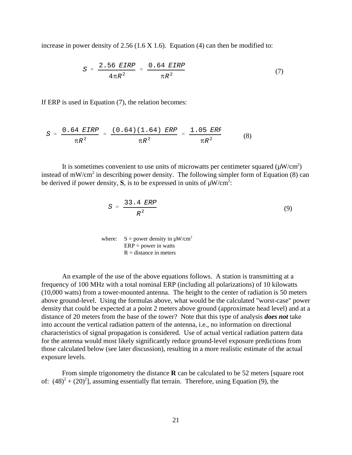increase in power density of  $2.56$  (1.6 X 1.6). Equation (4) can then be modified to:

$$
S = \frac{2.56 \text{ EIRP}}{4\pi R^2} = \frac{0.64 \text{ EIRP}}{\pi R^2}
$$
 (7)

If ERP is used in Equation (7), the relation becomes:

$$
S = \frac{0.64 \text{ EIRP}}{\pi R^2} = \frac{(0.64)(1.64) \text{ ERP}}{\pi R^2} = \frac{1.05 \text{ ERF}}{\pi R^2}
$$
(8)

It is sometimes convenient to use units of microwatts per centimeter squared ( $\mu$ W/cm<sup>2</sup>) instead of mW/cm<sup>2</sup> in describing power density. The following simpler form of Equation (8) can be derived if power density, **S**, is to be expressed in units of  $\mu$ W/cm<sup>2</sup>:

$$
S = \frac{33.4 \text{ ERP}}{R^2} \tag{9}
$$

where:  $S = power density in  $\mu W/cm^2$$  $ERP = power in watts$  $R =$  distance in meters

An example of the use of the above equations follows. A station is transmitting at a frequency of 100 MHz with a total nominal ERP (including all polarizations) of 10 kilowatts (10,000 watts) from a tower-mounted antenna. The height to the center of radiation is 50 meters above ground-level. Using the formulas above, what would be the calculated "worst-case" power density that could be expected at a point 2 meters above ground (approximate head level) and at a distance of 20 meters from the base of the tower? Note that this type of analysis *does not* take into account the vertical radiation pattern of the antenna, i.e., no information on directional characteristics of signal propagation is considered. Use of actual vertical radiation pattern data for the antenna would most likely significantly reduce ground-level exposure predictions from those calculated below (see later discussion), resulting in a more realistic estimate of the actual exposure levels.

From simple trigonometry the distance **R** can be calculated to be 52 meters [square root of:  $(48)^{2} + (20)^{2}$ ], assuming essentially flat terrain. Therefore, using Equation (9), the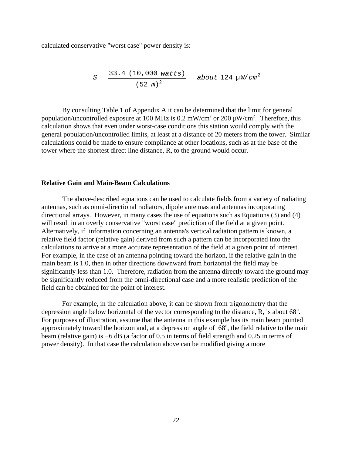calculated conservative "worst case" power density is:

$$
S = \frac{33.4 (10,000 \text{ watts})}{(52 \text{ m})^2} = about 124 \text{ µW/cm}^2
$$

By consulting Table 1 of Appendix A it can be determined that the limit for general population/uncontrolled exposure at 100 MHz is 0.2 mW/cm<sup>2</sup> or 200  $\mu$ W/cm<sup>2</sup>. Therefore, this calculation shows that even under worst-case conditions this station would comply with the general population/uncontrolled limits, at least at a distance of 20 meters from the tower. Similar calculations could be made to ensure compliance at other locations, such as at the base of the tower where the shortest direct line distance, R, to the ground would occur.

#### **Relative Gain and Main-Beam Calculations**

The above-described equations can be used to calculate fields from a variety of radiating antennas, such as omni-directional radiators, dipole antennas and antennas incorporating directional arrays. However, in many cases the use of equations such as Equations (3) and (4) will result in an overly conservative "worst case" prediction of the field at a given point. Alternatively, if information concerning an antenna's vertical radiation pattern is known, a relative field factor (relative gain) derived from such a pattern can be incorporated into the calculations to arrive at a more accurate representation of the field at a given point of interest. For example, in the case of an antenna pointing toward the horizon, if the relative gain in the main beam is 1.0, then in other directions downward from horizontal the field may be significantly less than 1.0. Therefore, radiation from the antenna directly toward the ground may be significantly reduced from the omni-directional case and a more realistic prediction of the field can be obtained for the point of interest.

For example, in the calculation above, it can be shown from trigonometry that the depression angle below horizontal of the vector corresponding to the distance,  $R$ , is about  $68^\circ$ . For purposes of illustration, assume that the antenna in this example has its main beam pointed approximately toward the horizon and, at a depression angle of  $68^\circ$ , the field relative to the main be significantly reduced from the onini-directional case and a more reansuc prediction of the<br>field can be obtained for the point of interest.<br>For example, in the calculation above, it can be shown from trigonometry that t power density). In that case the calculation above can be modified giving a more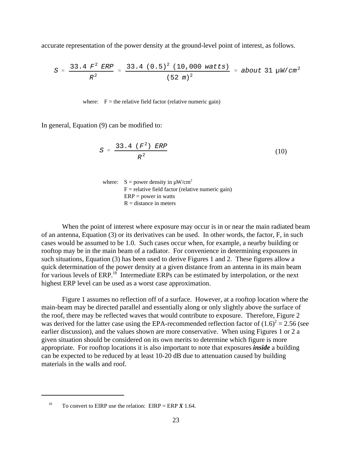accurate representation of the power density at the ground-level point of interest, as follows.

$$
S = \frac{33.4 \ F^2 \ ERP}{R^2} = \frac{33.4 (0.5)^2 (10,000 \ watts)}{(52 \ m)^2} = about 31 \ \mu W/cm^2
$$

where:  $F =$  the relative field factor (relative numeric gain)

In general, Equation (9) can be modified to:

$$
S = \frac{33.4 \, (F^2) \, \text{ERP}}{R^2} \tag{10}
$$

where:  $S = power density in  $\mu W/cm^2$$  $F =$  relative field factor (relative numeric gain)  $ERP = power in watts$  $R =$  distance in meters

When the point of interest where exposure may occur is in or near the main radiated beam of an antenna, Equation (3) or its derivatives can be used. In other words, the factor, F, in such cases would be assumed to be 1.0. Such cases occur when, for example, a nearby building or rooftop may be in the main beam of a radiator. For convenience in determining exposures in such situations, Equation (3) has been used to derive Figures 1 and 2. These figures allow a quick determination of the power density at a given distance from an antenna in its main beam for various levels of ERP.<sup>18</sup> Intermediate ERPs can be estimated by interpolation, or the next highest ERP level can be used as a worst case approximation.

Figure 1 assumes no reflection off of a surface. However, at a rooftop location where the main-beam may be directed parallel and essentially along or only slightly above the surface of the roof, there may be reflected waves that would contribute to exposure. Therefore, Figure 2 was derived for the latter case using the EPA-recommended reflection factor of  $(1.6)^2 = 2.56$  (see earlier discussion), and the values shown are more conservative. When using Figures 1 or 2 a given situation should be considered on its own merits to determine which figure is more appropriate. For rooftop locations it is also important to note that exposures *inside* a building can be expected to be reduced by at least 10-20 dB due to attenuation caused by building materials in the walls and roof.

<sup>&</sup>lt;sup>18</sup> To convert to EIRP use the relation:  $EIRP = ERP X 1.64$ .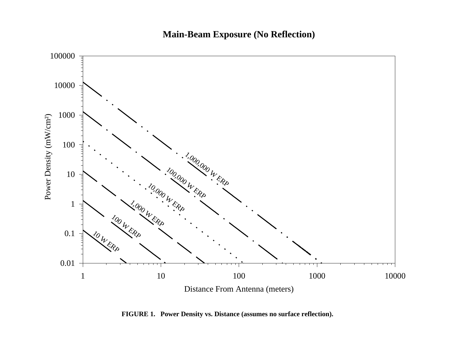# **Main-Beam Exposure (No Reflection)**



**FIGURE 1. Power Density vs. Distance (assumes no surface reflection).**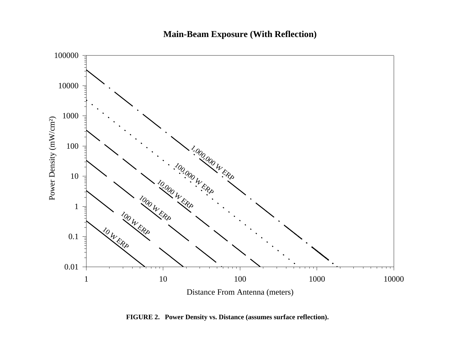# **Main-Beam Exposure (With Reflection)**



**FIGURE 2. Power Density vs. Distance (assumes surface reflection).**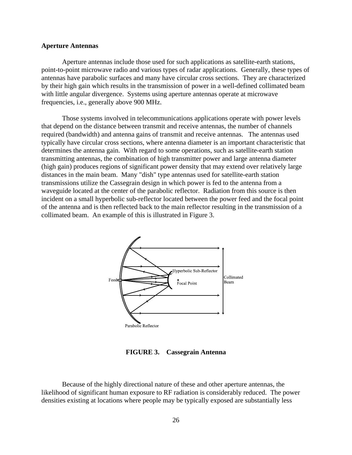#### **Aperture Antennas**

Aperture antennas include those used for such applications as satellite-earth stations, point-to-point microwave radio and various types of radar applications. Generally, these types of antennas have parabolic surfaces and many have circular cross sections. They are characterized by their high gain which results in the transmission of power in a well-defined collimated beam with little angular divergence. Systems using aperture antennas operate at microwave frequencies, i.e., generally above 900 MHz.

Those systems involved in telecommunications applications operate with power levels that depend on the distance between transmit and receive antennas, the number of channels required (bandwidth) and antenna gains of transmit and receive antennas. The antennas used typically have circular cross sections, where antenna diameter is an important characteristic that determines the antenna gain. With regard to some operations, such as satellite-earth station transmitting antennas, the combination of high transmitter power and large antenna diameter (high gain) produces regions of significant power density that may extend over relatively large distances in the main beam. Many "dish" type antennas used for satellite-earth station transmissions utilize the Cassegrain design in which power is fed to the antenna from a waveguide located at the center of the parabolic reflector. Radiation from this source is then incident on a small hyperbolic sub-reflector located between the power feed and the focal point of the antenna and is then reflected back to the main reflector resulting in the transmission of a collimated beam. An example of this is illustrated in Figure 3.



**FIGURE 3. Cassegrain Antenna**

Because of the highly directional nature of these and other aperture antennas, the likelihood of significant human exposure to RF radiation is considerably reduced. The power densities existing at locations where people may be typically exposed are substantially less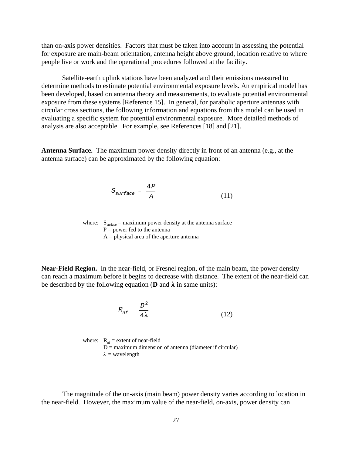than on-axis power densities. Factors that must be taken into account in assessing the potential for exposure are main-beam orientation, antenna height above ground, location relative to where people live or work and the operational procedures followed at the facility.

Satellite-earth uplink stations have been analyzed and their emissions measured to determine methods to estimate potential environmental exposure levels. An empirical model has been developed, based on antenna theory and measurements, to evaluate potential environmental exposure from these systems [Reference 15]. In general, for parabolic aperture antennas with circular cross sections, the following information and equations from this model can be used in evaluating a specific system for potential environmental exposure. More detailed methods of analysis are also acceptable. For example, see References [18] and [21].

**Antenna Surface.** The maximum power density directly in front of an antenna (e.g., at the antenna surface) can be approximated by the following equation:

$$
S_{surface} = \frac{4P}{A}
$$
 (11)

where:  $S_{\text{surface}} = \text{maximum power density at the antenna surface}$  $P = power$  fed to the antenna  $A = physical area of the aperture antenna$ 

**Near-Field Region.** In the near-field, or Fresnel region, of the main beam, the power density can reach a maximum before it begins to decrease with distance. The extent of the near-field can be described by the following equation (**D** and  $\lambda$  in same units):

$$
R_{n\ell} = \frac{D^2}{4\lambda} \tag{12}
$$

where:  $R_{\text{nf}}$  = extent of near-field  $D =$  maximum dimension of antenna (diameter if circular)  $\lambda$  = wavelength

The magnitude of the on-axis (main beam) power density varies according to location in the near-field. However, the maximum value of the near-field, on-axis, power density can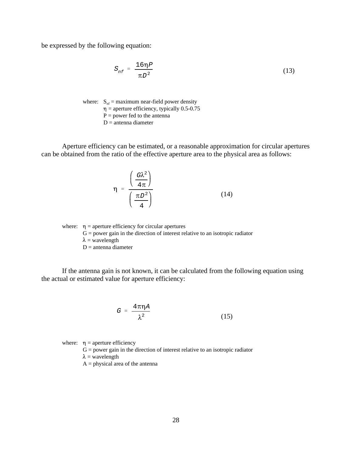be expressed by the following equation:

$$
S_{\text{nf}} = \frac{16\eta P}{\pi D^2} \tag{13}
$$

where:  $S_{\text{nf}} = \text{maximum near-field power density}$  $\eta$  = aperture efficiency, typically 0.5-0.75  $P = power$  fed to the antenna  $D =$ antenna diameter

Aperture efficiency can be estimated, or a reasonable approximation for circular apertures can be obtained from the ratio of the effective aperture area to the physical area as follows:

$$
\eta = \frac{\left(\frac{G\lambda^2}{4\pi}\right)}{\left(\frac{\pi D^2}{4}\right)}
$$
(14)

where:  $\eta$  = aperture efficiency for circular apertures  $G =$  power gain in the direction of interest relative to an isotropic radiator  $\lambda$  = wavelength  $D =$ antenna diameter

If the antenna gain is not known, it can be calculated from the following equation using the actual or estimated value for aperture efficiency:

$$
G = \frac{4\pi\eta A}{\lambda^2} \tag{15}
$$

where:  $\eta$  = aperture efficiency

 $G =$  power gain in the direction of interest relative to an isotropic radiator

 $\lambda$  = wavelength

 $A = physical area of the antenna$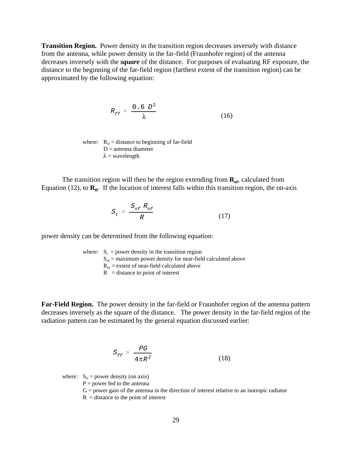**Transition Region.** Power density in the transition region decreases inversely with distance from the antenna, while power density in the far-field (Fraunhofer region) of the antenna decreases inversely with the *square* of the distance. For purposes of evaluating RF exposure, the distance to the beginning of the far-field region (farthest extent of the transition region) can be approximated by the following equation:

$$
R_{ff} = \frac{0.6 \ D^2}{\lambda} \tag{16}
$$

where:  $R_f$  = distance to beginning of far-field  $D =$ antenna diameter  $\lambda$  = wavelength

The transition region will then be the region extending from  $\mathbf{R}_{\text{nf}}$ , calculated from Equation (12), to  $\mathbf{R}_{\text{ff}}$ . If the location of interest falls within this transition region, the on-axis

$$
S_t = \frac{S_{nf} R_{nf}}{R}
$$
 (17)

power density can be determined from the following equation:

where:  $S_t$  = power density in the transition region  $S<sub>nf</sub>$  = maximum power density for near-field calculated above  $R<sub>nf</sub>$  = extent of near-field calculated above  $R =$  distance to point of interest

**Far-Field Region.** The power density in the far-field or Fraunhofer region of the antenna pattern decreases inversely as the square of the distance. The power density in the far-field region of the radiation pattern can be estimated by the general equation discussed earlier:

$$
S_{ff} = \frac{PG}{4\pi R^2}
$$
 (18)

where:  $S_f$  = power density (on axis)

 $P = power$  fed to the antenna

 $G =$  power gain of the antenna in the direction of interest relative to an isotropic radiator

 $R =$  distance to the point of interest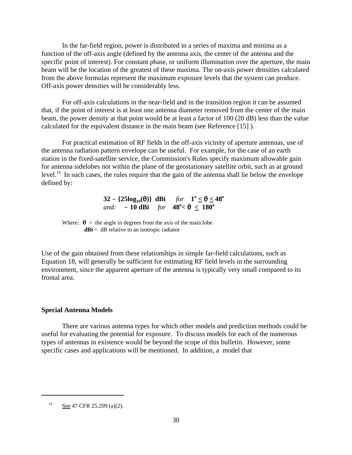In the far-field region, power is distributed in a series of maxima and minima as a function of the off-axis angle (defined by the antenna axis, the center of the antenna and the specific point of interest). For constant phase, or uniform illumination over the aperture, the main beam will be the location of the greatest of these maxima. The on-axis power densities calculated from the above formulas represent the maximum exposure levels that the system can produce. Off-axis power densities will be considerably less.

For off-axis calculations in the near-field and in the transition region it can be assumed that, if the point of interest is at least one antenna diameter removed from the center of the main beam, the power density at that point would be at least a factor of 100 (20 dB) less than the value calculated for the equivalent distance in the main beam (see Reference [15] ).

For practical estimation of RF fields in the off-axis vicinity of aperture antennas, use of the antenna radiation pattern envelope can be useful. For example, for the case of an earth station in the fixed-satellite service, the Commission's Rules specify maximum allowable gain for antenna sidelobes not within the plane of the geostationary satellite orbit, such as at ground level.<sup>19</sup> In such cases, the rules require that the gain of the antenna shall lie below the envelope defined by: **32** - { $25\log_{10}(\theta)$ } dBi *for*  $1^\circ \leq \theta \leq 48^\circ$ <br>**32** - { $25\log_{10}(\theta)$ } dBi *for*  $1^\circ \leq \theta \leq 48^\circ$ Figure 11 determined<br> **and:**  $\vec{r}$  and  $\vec{r}$  and  $\vec{r}$  and  $\vec{r}$  and  $\vec{r}$  and  $\vec{r}$  **10 dBi** *for* 48<sup>o</sup>

and:  $-10$  dBi for  $48^{\circ} < \theta < 180^{\circ}$ 

Where:  $\theta$  = the angle in degrees from the axis of the main lobe **dBi** = dB relative to an isotropic radiator

Use of the gain obtained from these relationships in simple far-field calculations, such as Equation 18, will generally be sufficient for estimating RF field levels in the surrounding environment, since the apparent aperture of the antenna is typically very small compared to its frontal area.

#### **Special Antenna Models**

There are various antenna types for which other models and prediction methods could be useful for evaluating the potential for exposure. To discuss models for each of the numerous types of antennas in existence would be beyond the scope of this bulletin. However, some specific cases and applications will be mentioned. In addition, a model that

 $19$  See 47 CFR 25.209 (a)(2).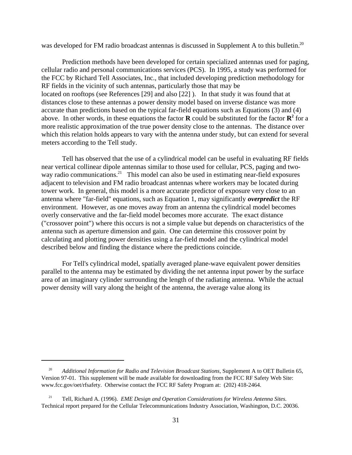was developed for FM radio broadcast antennas is discussed in Supplement A to this bulletin.<sup>20</sup>

Prediction methods have been developed for certain specialized antennas used for paging, cellular radio and personal communications services (PCS). In 1995, a study was performed for the FCC by Richard Tell Associates, Inc., that included developing prediction methodology for RF fields in the vicinity of such antennas, particularly those that may be located on rooftops (see References [29] and also [22] ). In that study it was found that at distances close to these antennas a power density model based on inverse distance was more accurate than predictions based on the typical far-field equations such as Equations (3) and (4) above. In other words, in these equations the factor **R** could be substituted for the factor  $\mathbb{R}^2$  for a more realistic approximation of the true power density close to the antennas. The distance over which this relation holds appears to vary with the antenna under study, but can extend for several meters according to the Tell study.

Tell has observed that the use of a cylindrical model can be useful in evaluating RF fields near vertical collinear dipole antennas similar to those used for cellular, PCS, paging and twoway radio communications.<sup>21</sup> This model can also be used in estimating near-field exposures adjacent to television and FM radio broadcast antennas where workers may be located during tower work. In general, this model is a more accurate predictor of exposure very close to an antenna where "far-field" equations, such as Equation 1, may significantly *overpredict* the RF environment. However, as one moves away from an antenna the cylindrical model becomes overly conservative and the far-field model becomes more accurate. The exact distance ("crossover point") where this occurs is not a simple value but depends on characteristics of the antenna such as aperture dimension and gain. One can determine this crossover point by calculating and plotting power densities using a far-field model and the cylindrical model described below and finding the distance where the predictions coincide.

For Tell's cylindrical model, spatially averaged plane-wave equivalent power densities parallel to the antenna may be estimated by dividing the net antenna input power by the surface area of an imaginary cylinder surrounding the length of the radiating antenna. While the actual power density will vary along the height of the antenna, the average value along its

<sup>&</sup>lt;sup>20</sup> *Additional Information for Radio and Television Broadcast Stations, Supplement A to OET Bulletin 65,* Version 97-01. This supplement will be made available for downloading from the FCC RF Safety Web Site: www.fcc.gov/oet/rfsafety. Otherwise contact the FCC RF Safety Program at: (202) 418-2464.

<sup>21</sup> Tell, Richard A. (1996). *EME Design and Operation Considerations for Wireless Antenna Sites.* Technical report prepared for the Cellular Telecommunications Industry Association, Washington, D.C. 20036.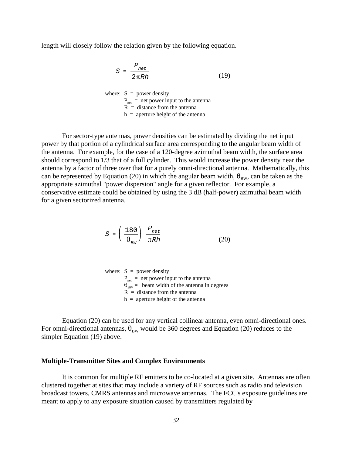length will closely follow the relation given by the following equation.

$$
S = \frac{P_{net}}{2\pi Rh}
$$
 (19)  
where: S = power density  

$$
P_{net} = net power input to the antennaR = distance from the antennah = aperture height of the antenna
$$

For sector-type antennas, power densities can be estimated by dividing the net input power by that portion of a cylindrical surface area corresponding to the angular beam width of the antenna. For example, for the case of a 120-degree azimuthal beam width, the surface area should correspond to 1/3 that of a full cylinder. This would increase the power density near the antenna by a factor of three over that for a purely omni-directional antenna. Mathematically, this can be represented by Equation (20) in which the angular beam width,  $\theta_{\text{RW}}$ , can be taken as the appropriate azimuthal "power dispersion" angle for a given reflector. For example, a conservative estimate could be obtained by using the 3 dB (half-power) azimuthal beam width for a given sectorized antenna.

$$
S = \left(\frac{180}{\theta_{\text{BW}}}\right) \frac{P_{\text{net}}}{\pi R h}
$$
 (20)

where:  $S = power density$  $P_{net}$  = net power input to the antenna  $\theta_{\text{BW}} = \theta_{\text{BW}} = \theta_{\text{BW}}$  beam width of the antenna in degrees  $R =$  distance from the antenna  $h =$  aperture height of the antenna

Equation (20) can be used for any vertical collinear antenna, even omni-directional ones. For omni-directional antennas,  $\theta_{BW}$  would be 360 degrees and Equation (20) reduces to the simpler Equation (19) above.

#### **Multiple-Transmitter Sites and Complex Environments**

It is common for multiple RF emitters to be co-located at a given site. Antennas are often clustered together at sites that may include a variety of RF sources such as radio and television broadcast towers, CMRS antennas and microwave antennas. The FCC's exposure guidelines are meant to apply to any exposure situation caused by transmitters regulated by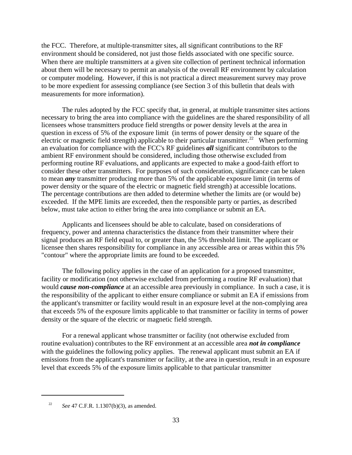the FCC. Therefore, at multiple-transmitter sites, all significant contributions to the RF environment should be considered, not just those fields associated with one specific source. When there are multiple transmitters at a given site collection of pertinent technical information about them will be necessary to permit an analysis of the overall RF environment by calculation or computer modeling. However, if this is not practical a direct measurement survey may prove to be more expedient for assessing compliance (see Section 3 of this bulletin that deals with measurements for more information).

The rules adopted by the FCC specify that, in general, at multiple transmitter sites actions necessary to bring the area into compliance with the guidelines are the shared responsibility of all licensees whose transmitters produce field strengths or power density levels at the area in question in excess of 5% of the exposure limit (in terms of power density or the square of the electric or magnetic field strength) applicable to their particular transmitter.<sup>22</sup> When performing an evaluation for compliance with the FCC's RF guidelines *all* significant contributors to the ambient RF environment should be considered, including those otherwise excluded from performing routine RF evaluations, and applicants are expected to make a good-faith effort to consider these other transmitters. For purposes of such consideration, significance can be taken to mean *any* transmitter producing more than 5% of the applicable exposure limit (in terms of power density or the square of the electric or magnetic field strength) at accessible locations. The percentage contributions are then added to determine whether the limits are (or would be) exceeded. If the MPE limits are exceeded, then the responsible party or parties, as described below, must take action to either bring the area into compliance or submit an EA.

Applicants and licensees should be able to calculate, based on considerations of frequency, power and antenna characteristics the distance from their transmitter where their signal produces an RF field equal to, or greater than, the 5% threshold limit. The applicant or licensee then shares responsibility for compliance in any accessible area or areas within this 5% "contour" where the appropriate limits are found to be exceeded.

The following policy applies in the case of an application for a proposed transmitter, facility or modification (not otherwise excluded from performing a routine RF evaluation) that would *cause non-compliance* at an accessible area previously in compliance. In such a case, it is the responsibility of the applicant to either ensure compliance or submit an EA if emissions from the applicant's transmitter or facility would result in an exposure level at the non-complying area that exceeds 5% of the exposure limits applicable to that transmitter or facility in terms of power density or the square of the electric or magnetic field strength.

For a renewal applicant whose transmitter or facility (not otherwise excluded from routine evaluation) contributes to the RF environment at an accessible area *not in compliance* with the guidelines the following policy applies. The renewal applicant must submit an EA if emissions from the applicant's transmitter or facility, at the area in question, result in an exposure level that exceeds 5% of the exposure limits applicable to that particular transmitter

<sup>22</sup> *See* 47 C.F.R. 1.1307(b)(3), as amended.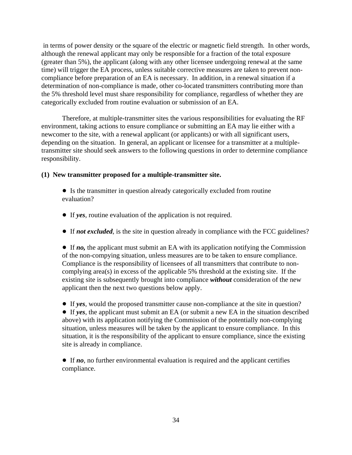in terms of power density or the square of the electric or magnetic field strength. In other words, although the renewal applicant may only be responsible for a fraction of the total exposure (greater than 5%), the applicant (along with any other licensee undergoing renewal at the same time) will trigger the EA process, unless suitable corrective measures are taken to prevent noncompliance before preparation of an EA is necessary. In addition, in a renewal situation if a determination of non-compliance is made, other co-located transmitters contributing more than the 5% threshold level must share responsibility for compliance, regardless of whether they are categorically excluded from routine evaluation or submission of an EA.

Therefore, at multiple-transmitter sites the various responsibilities for evaluating the RF environment, taking actions to ensure compliance or submitting an EA may lie either with a newcomer to the site, with a renewal applicant (or applicants) or with all significant users, depending on the situation. In general, an applicant or licensee for a transmitter at a multipletransmitter site should seek answers to the following questions in order to determine compliance responsibility.

# **(1) New transmitter proposed for a multiple-transmitter site.**

- Is the transmitter in question already categorically excluded from routine evaluation?
- If *yes*, routine evaluation of the application is not required.
- If *not excluded*, is the site in question already in compliance with the FCC guidelines?

 If *no,* the applicant must submit an EA with its application notifying the Commission of the non-compying situation, unless measures are to be taken to ensure compliance. Compliance is the responsibility of licensees of all transmitters that contribute to noncomplying area(s) in excess of the applicable 5% threshold at the existing site. If the existing site is subsequently brought into compliance *without* consideration of the new applicant then the next two questions below apply.

 If *yes*, would the proposed transmitter cause non-compliance at the site in question? If *yes*, the applicant must submit an EA (or submit a new EA in the situation described above) with its application notifying the Commission of the potentially non-complying situation, unless measures will be taken by the applicant to ensure compliance. In this situation, it is the responsibility of the applicant to ensure compliance, since the existing site is already in compliance.

 If *no*, no further environmental evaluation is required and the applicant certifies compliance.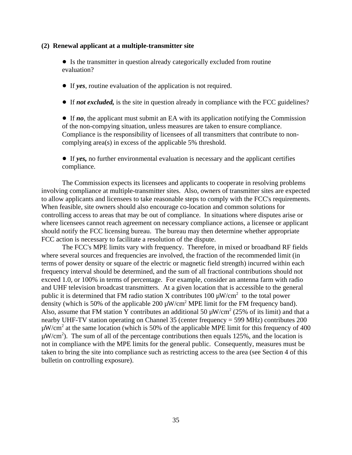#### **(2) Renewal applicant at a multiple-transmitter site**

 Is the transmitter in question already categorically excluded from routine evaluation?

If *yes*, routine evaluation of the application is not required.

If *not excluded,* is the site in question already in compliance with the FCC guidelines?

 If *no*, the applicant must submit an EA with its application notifying the Commission of the non-compying situation, unless measures are taken to ensure compliance. Compliance is the responsibility of licensees of all transmitters that contribute to noncomplying area(s) in excess of the applicable 5% threshold.

 If *yes,* no further environmental evaluation is necessary and the applicant certifies compliance.

The Commission expects its licensees and applicants to cooperate in resolving problems involving compliance at multiple-transmitter sites. Also, owners of transmitter sites are expected to allow applicants and licensees to take reasonable steps to comply with the FCC's requirements. When feasible, site owners should also encourage co-location and common solutions for controlling access to areas that may be out of compliance. In situations where disputes arise or where licensees cannot reach agreement on necessary compliance actions, a licensee or applicant should notify the FCC licensing bureau. The bureau may then determine whether appropriate FCC action is necessary to facilitate a resolution of the dispute.

The FCC's MPE limits vary with frequency. Therefore, in mixed or broadband RF fields where several sources and frequencies are involved, the fraction of the recommended limit (in terms of power density or square of the electric or magnetic field strength) incurred within each frequency interval should be determined, and the sum of all fractional contributions should not exceed 1.0, or 100% in terms of percentage. For example, consider an antenna farm with radio and UHF television broadcast transmitters. At a given location that is accessible to the general public it is determined that FM radio station X contributes 100  $\mu$ W/cm<sup>2</sup> to the total power density (which is 50% of the applicable 200  $\mu$ W/cm<sup>2</sup> MPE limit for the FM frequency band). Also, assume that FM station Y contributes an additional 50  $\mu$ W/cm<sup>2</sup> (25% of its limit) and that a nearby UHF-TV station operating on Channel 35 (center frequency = 599 MHz) contributes 200  $\mu$ W/cm<sup>2</sup> at the same location (which is 50% of the applicable MPE limit for this frequency of 400  $\mu$ W/cm<sup>2</sup>). The sum of all of the percentage contributions then equals 125%, and the location is not in compliance with the MPE limits for the general public. Consequently, measures must be taken to bring the site into compliance such as restricting access to the area (see Section 4 of this bulletin on controlling exposure).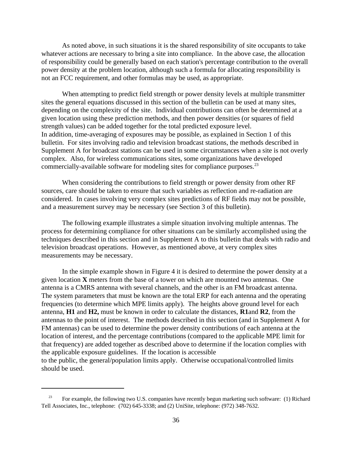As noted above, in such situations it is the shared responsibility of site occupants to take whatever actions are necessary to bring a site into compliance. In the above case, the allocation of responsibility could be generally based on each station's percentage contribution to the overall power density at the problem location, although such a formula for allocating responsibility is not an FCC requirement, and other formulas may be used, as appropriate.

When attempting to predict field strength or power density levels at multiple transmitter sites the general equations discussed in this section of the bulletin can be used at many sites, depending on the complexity of the site. Individual contributions can often be determined at a given location using these prediction methods, and then power densities (or squares of field strength values) can be added together for the total predicted exposure level. In addition, time-averaging of exposures may be possible, as explained in Section 1 of this bulletin. For sites involving radio and television broadcast stations, the methods described in Supplement A for broadcast stations can be used in some circumstances when a site is not overly complex. Also, for wireless communications sites, some organizations have developed commercially-available software for modeling sites for compliance purposes.<sup>23</sup>

When considering the contributions to field strength or power density from other RF sources, care should be taken to ensure that such variables as reflection and re-radiation are considered. In cases involving very complex sites predictions of RF fields may not be possible, and a measurement survey may be necessary (see Section 3 of this bulletin).

The following example illustrates a simple situation involving multiple antennas. The process for determining compliance for other situations can be similarly accomplished using the techniques described in this section and in Supplement A to this bulletin that deals with radio and television broadcast operations. However, as mentioned above, at very complex sites measurements may be necessary.

In the simple example shown in Figure 4 it is desired to determine the power density at a given location **X** meters from the base of a tower on which are mounted two antennas. One antenna is a CMRS antenna with several channels, and the other is an FM broadcast antenna. The system parameters that must be known are the total ERP for each antenna and the operating frequencies (to determine which MPE limits apply). The heights above ground level for each antenna, **H1** and **H2,** must be known in order to calculate the distances, **R1**and **R2**, from the antennas to the point of interest. The methods described in this section (and in Supplement A for FM antennas) can be used to determine the power density contributions of each antenna at the location of interest, and the percentage contributions (compared to the applicable MPE limit for that frequency) are added together as described above to determine if the location complies with the applicable exposure guidelines. If the location is accessible to the public, the general/population limits apply. Otherwise occupational/controlled limits should be used.

<sup>23</sup> For example, the following two U.S. companies have recently begun marketing such software: (1) Richard Tell Associates, Inc., telephone: (702) 645-3338; and (2) UniSite, telephone: (972) 348-7632.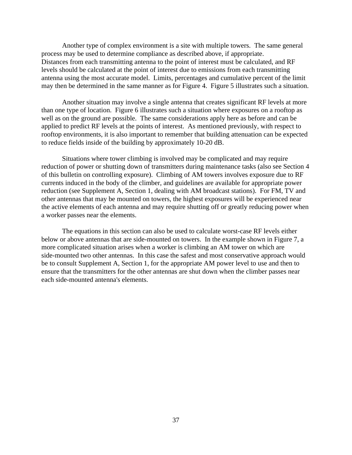Another type of complex environment is a site with multiple towers. The same general process may be used to determine compliance as described above, if appropriate. Distances from each transmitting antenna to the point of interest must be calculated, and RF levels should be calculated at the point of interest due to emissions from each transmitting antenna using the most accurate model. Limits, percentages and cumulative percent of the limit may then be determined in the same manner as for Figure 4. Figure 5 illustrates such a situation.

Another situation may involve a single antenna that creates significant RF levels at more than one type of location. Figure 6 illustrates such a situation where exposures on a rooftop as well as on the ground are possible. The same considerations apply here as before and can be applied to predict RF levels at the points of interest. As mentioned previously, with respect to rooftop environments, it is also important to remember that building attenuation can be expected to reduce fields inside of the building by approximately 10-20 dB.

Situations where tower climbing is involved may be complicated and may require reduction of power or shutting down of transmitters during maintenance tasks (also see Section 4 of this bulletin on controlling exposure). Climbing of AM towers involves exposure due to RF currents induced in the body of the climber, and guidelines are available for appropriate power reduction (see Supplement A, Section 1, dealing with AM broadcast stations). For FM, TV and other antennas that may be mounted on towers, the highest exposures will be experienced near the active elements of each antenna and may require shutting off or greatly reducing power when a worker passes near the elements.

The equations in this section can also be used to calculate worst-case RF levels either below or above antennas that are side-mounted on towers. In the example shown in Figure 7, a more complicated situation arises when a worker is climbing an AM tower on which are side-mounted two other antennas. In this case the safest and most conservative approach would be to consult Supplement A, Section 1, for the appropriate AM power level to use and then to ensure that the transmitters for the other antennas are shut down when the climber passes near each side-mounted antenna's elements.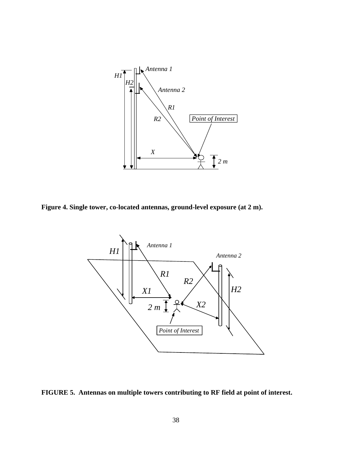

**Figure 4. Single tower, co-located antennas, ground-level exposure (at 2 m).**



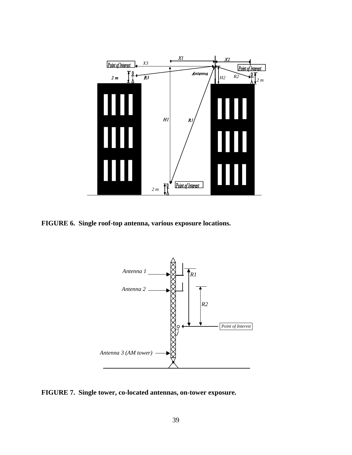

**FIGURE 6. Single roof-top antenna, various exposure locations.**



**FIGURE 7. Single tower, co-located antennas, on-tower exposure.**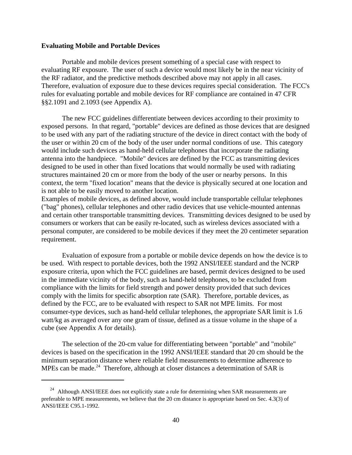#### **Evaluating Mobile and Portable Devices**

Portable and mobile devices present something of a special case with respect to evaluating RF exposure. The user of such a device would most likely be in the near vicinity of the RF radiator, and the predictive methods described above may not apply in all cases. Therefore, evaluation of exposure due to these devices requires special consideration. The FCC's rules for evaluating portable and mobile devices for RF compliance are contained in 47 CFR §§2.1091 and 2.1093 (see Appendix A).

The new FCC guidelines differentiate between devices according to their proximity to exposed persons. In that regard, "portable" devices are defined as those devices that are designed to be used with any part of the radiating structure of the device in direct contact with the body of the user or within 20 cm of the body of the user under normal conditions of use. This category would include such devices as hand-held cellular telephones that incorporate the radiating antenna into the handpiece. "Mobile" devices are defined by the FCC as transmitting devices designed to be used in other than fixed locations that would normally be used with radiating structures maintained 20 cm or more from the body of the user or nearby persons. In this context, the term "fixed location" means that the device is physically secured at one location and is not able to be easily moved to another location.

Examples of mobile devices, as defined above, would include transportable cellular telephones ("bag" phones), cellular telephones and other radio devices that use vehicle-mounted antennas and certain other transportable transmitting devices. Transmitting devices designed to be used by consumers or workers that can be easily re-located, such as wireless devices associated with a personal computer, are considered to be mobile devices if they meet the 20 centimeter separation requirement.

Evaluation of exposure from a portable or mobile device depends on how the device is to be used. With respect to portable devices, both the 1992 ANSI/IEEE standard and the NCRP exposure criteria, upon which the FCC guidelines are based, permit devices designed to be used in the immediate vicinity of the body, such as hand-held telephones, to be excluded from compliance with the limits for field strength and power density provided that such devices comply with the limits for specific absorption rate (SAR). Therefore, portable devices, as defined by the FCC, are to be evaluated with respect to SAR not MPE limits. For most consumer-type devices, such as hand-held cellular telephones, the appropriate SAR limit is 1.6 watt/kg as averaged over any one gram of tissue, defined as a tissue volume in the shape of a cube (see Appendix A for details).

The selection of the 20-cm value for differentiating between "portable" and "mobile" devices is based on the specification in the 1992 ANSI/IEEE standard that 20 cm should be the minimum separation distance where reliable field measurements to determine adherence to MPEs can be made.<sup>24</sup> Therefore, although at closer distances a determination of SAR is

Although ANSI/IEEE does not explicitly state a rule for determining when SAR measurements are preferable to MPE measurements, we believe that the 20 cm distance is appropriate based on Sec. 4.3(3) of ANSI/IEEE C95.1-1992.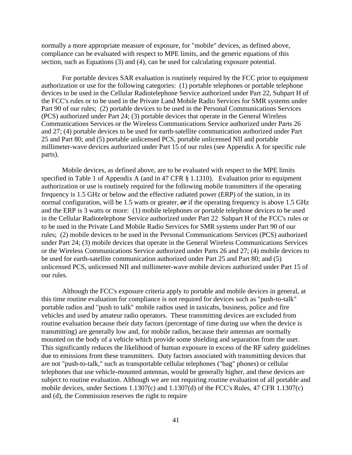normally a more appropriate measure of exposure, for "mobile" devices, as defined above, compliance can be evaluated with respect to MPE limits, and the generic equations of this section, such as Equations (3) and (4), can be used for calculating exposure potential.

For portable devices SAR evaluation is routinely required by the FCC prior to equipment authorization or use for the following categories: (1) portable telephones or portable telephone devices to be used in the Cellular Radiotelephone Service authorized under Part 22, Subpart H of the FCC's rules or to be used in the Private Land Mobile Radio Services for SMR systems under Part 90 of our rules; (2) portable devices to be used in the Personal Communications Services (PCS) authorized under Part 24; (3) portable devices that operate in the General Wireless Communications Services or the Wireless Communications Service authorized under Parts 26 and 27; (4) portable devices to be used for earth-satellite communication authorized under Part 25 and Part 80; and (5) portable unlicensed PCS, portable unlicensed NII and portable millimeter-wave devices authorized under Part 15 of our rules (see Appendix A for specific rule parts).

Mobile devices, as defined above, are to be evaluated with respect to the MPE limits specified in Table 1 of Appendix A (and in 47 CFR § 1.1310). Evaluation prior to equipment authorization or use is routinely required for the following mobile transmitters if the operating frequency is 1.5 GHz or below and the effective radiated power (ERP) of the station, in its normal configuration, will be 1.5 watts or greater, *or* if the operating frequency is above 1.5 GHz and the ERP is 3 watts or more: (1) mobile telephones or portable telephone devices to be used in the Cellular Radiotelephone Service authorized under Part 22 Subpart H of the FCC's rules or to be used in the Private Land Mobile Radio Services for SMR systems under Part 90 of our rules; (2) mobile devices to be used in the Personal Communications Services (PCS) authorized under Part 24; (3) mobile devices that operate in the General Wireless Communications Services or the Wireless Communications Service authorized under Parts 26 and 27; (4) mobile devices to be used for earth-satellite communication authorized under Part 25 and Part 80; and (5) unlicensed PCS, unlicensed NII and millimeter-wave mobile devices authorized under Part 15 of our rules.

Although the FCC's exposure criteria apply to portable and mobile devices in general, at this time routine evaluation for compliance is not required for devices such as "push-to-talk" portable radios and "push to talk" mobile radios used in taxicabs, business, police and fire vehicles and used by amateur radio operators. These transmitting devices are excluded from routine evaluation because their duty factors (percentage of time during use when the device is transmitting) are generally low and, for mobile radios, because their antennas are normally mounted on the body of a vehicle which provide some shielding and separation from the user. This significantly reduces the likelihood of human exposure in excess of the RF safety guidelines due to emissions from these transmitters. Duty factors associated with transmitting devices that are not "push-to-talk," such as transportable cellular telephones ("bag" phones) or cellular telephones that use vehicle-mounted antennas, would be generally higher, and these devices are subject to routine evaluation. Although we are not requiring routine evaluation of all portable and mobile devices, under Sections 1.1307(c) and 1.1307(d) of the FCC's Rules, 47 CFR 1.1307(c) and (d), the Commission reserves the right to require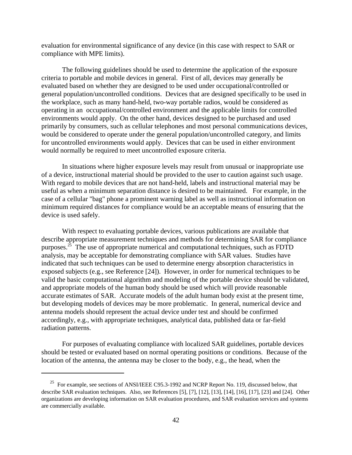evaluation for environmental significance of any device (in this case with respect to SAR or compliance with MPE limits).

The following guidelines should be used to determine the application of the exposure criteria to portable and mobile devices in general. First of all, devices may generally be evaluated based on whether they are designed to be used under occupational/controlled or general population/uncontrolled conditions. Devices that are designed specifically to be used in the workplace, such as many hand-held, two-way portable radios, would be considered as operating in an occupational/controlled environment and the applicable limits for controlled environments would apply. On the other hand, devices designed to be purchased and used primarily by consumers, such as cellular telephones and most personal communications devices, would be considered to operate under the general population/uncontrolled category, and limits for uncontrolled environments would apply. Devices that can be used in either environment would normally be required to meet uncontrolled exposure criteria.

In situations where higher exposure levels may result from unusual or inappropriate use of a device, instructional material should be provided to the user to caution against such usage. With regard to mobile devices that are not hand-held, labels and instructional material may be useful as when a minimum separation distance is desired to be maintained. For example, in the case of a cellular "bag" phone a prominent warning label as well as instructional information on minimum required distances for compliance would be an acceptable means of ensuring that the device is used safely.

With respect to evaluating portable devices, various publications are available that describe appropriate measurement techniques and methods for determining SAR for compliance purposes. $25$  The use of appropriate numerical and computational techniques, such as FDTD analysis, may be acceptable for demonstrating compliance with SAR values. Studies have indicated that such techniques can be used to determine energy absorption characteristics in exposed subjects (e.g., see Reference [24]). However, in order for numerical techniques to be valid the basic computational algorithm and modeling of the portable device should be validated, and appropriate models of the human body should be used which will provide reasonable accurate estimates of SAR. Accurate models of the adult human body exist at the present time, but developing models of devices may be more problematic. In general, numerical device and antenna models should represent the actual device under test and should be confirmed accordingly, e.g., with appropriate techniques, analytical data, published data or far-field radiation patterns.

For purposes of evaluating compliance with localized SAR guidelines, portable devices should be tested or evaluated based on normal operating positions or conditions. Because of the location of the antenna, the antenna may be closer to the body, e.g., the head, when the

<sup>&</sup>lt;sup>25</sup> For example, see sections of ANSI/IEEE C95.3-1992 and NCRP Report No. 119, discussed below, that describe SAR evaluation techniques. Also, see References [5], [7], [12], [13], [14], [16], [17], [23] and [24]. Other organizations are developing information on SAR evaluation procedures, and SAR evaluation services and systems are commercially available.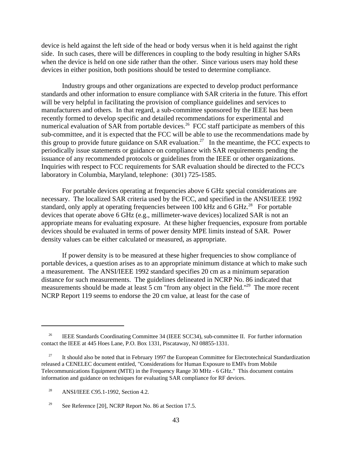device is held against the left side of the head or body versus when it is held against the right side. In such cases, there will be differences in coupling to the body resulting in higher SARs when the device is held on one side rather than the other. Since various users may hold these devices in either position, both positions should be tested to determine compliance.

Industry groups and other organizations are expected to develop product performance standards and other information to ensure compliance with SAR criteria in the future. This effort will be very helpful in facilitating the provision of compliance guidelines and services to manufacturers and others. In that regard, a sub-committee sponsored by the IEEE has been recently formed to develop specific and detailed recommendations for experimental and numerical evaluation of SAR from portable devices.<sup>26</sup> FCC staff participate as members of this sub-committee, and it is expected that the FCC will be able to use the recommendations made by this group to provide future guidance on SAR evaluation.<sup>27</sup> In the meantime, the FCC expects to periodically issue statements or guidance on compliance with SAR requirements pending the issuance of any recommended protocols or guidelines from the IEEE or other organizations. Inquiries with respect to FCC requirements for SAR evaluation should be directed to the FCC's laboratory in Columbia, Maryland, telephone: (301) 725-1585.

For portable devices operating at frequencies above 6 GHz special considerations are necessary. The localized SAR criteria used by the FCC, and specified in the ANSI/IEEE 1992 standard, only apply at operating frequencies between 100 kHz and 6  $\text{GHz}^{28}$  For portable devices that operate above 6 GHz (e.g., millimeter-wave devices) localized SAR is not an appropriate means for evaluating exposure. At these higher frequencies, exposure from portable devices should be evaluated in terms of power density MPE limits instead of SAR. Power density values can be either calculated or measured, as appropriate.

If power density is to be measured at these higher frequencies to show compliance of portable devices, a question arises as to an appropriate minimum distance at which to make such a measurement. The ANSI/IEEE 1992 standard specifies 20 cm as a minimum separation distance for such measurements. The guidelines delineated in NCRP No. 86 indicated that measurements should be made at least 5 cm "from any object in the field."<sup>29</sup> The more recent NCRP Report 119 seems to endorse the 20 cm value, at least for the case of

<sup>&</sup>lt;sup>26</sup> IEEE Standards Coordinating Committee 34 (IEEE SCC34), sub-committee II. For further information contact the IEEE at 445 Hoes Lane, P.O. Box 1331, Piscataway, NJ 08855-1331.

<sup>&</sup>lt;sup>27</sup> It should also be noted that in February 1997 the European Committee for Electrotechnical Standardization released a CENELEC document entitled, "Considerations for Human Exposure to EMFs from Mobile Telecommunications Equipment (MTE) in the Frequency Range 30 MHz - 6 GHz." This document contains information and guidance on techniques for evaluating SAR compliance for RF devices.

<sup>28</sup> ANSI/IEEE C95.1-1992, Section 4.2.

<sup>&</sup>lt;sup>29</sup> See Reference [20], NCRP Report No. 86 at Section 17.5.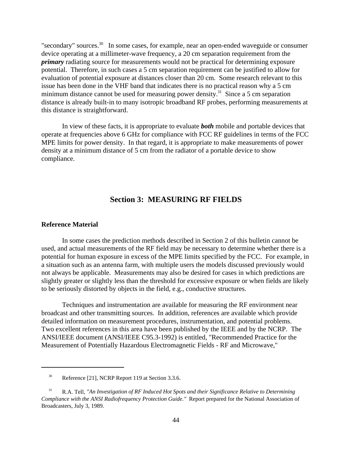"secondary" sources.<sup>30</sup> In some cases, for example, near an open-ended waveguide or consumer device operating at a millimeter-wave frequency, a 20 cm separation requirement from the *primary* radiating source for measurements would not be practical for determining exposure potential. Therefore, in such cases a 5 cm separation requirement can be justified to allow for evaluation of potential exposure at distances closer than 20 cm. Some research relevant to this issue has been done in the VHF band that indicates there is no practical reason why a 5 cm minimum distance cannot be used for measuring power density.<sup>31</sup> Since a 5 cm separation distance is already built-in to many isotropic broadband RF probes, performing measurements at this distance is straightforward.

In view of these facts, it is appropriate to evaluate *both* mobile and portable devices that operate at frequencies above 6 GHz for compliance with FCC RF guidelines in terms of the FCC MPE limits for power density. In that regard, it is appropriate to make measurements of power density at a minimum distance of 5 cm from the radiator of a portable device to show compliance.

# **Section 3: MEASURING RF FIELDS**

#### **Reference Material**

In some cases the prediction methods described in Section 2 of this bulletin cannot be used, and actual measurements of the RF field may be necessary to determine whether there is a potential for human exposure in excess of the MPE limits specified by the FCC. For example, in a situation such as an antenna farm, with multiple users the models discussed previously would not always be applicable. Measurements may also be desired for cases in which predictions are slightly greater or slightly less than the threshold for excessive exposure or when fields are likely to be seriously distorted by objects in the field, e.g., conductive structures.

Techniques and instrumentation are available for measuring the RF environment near broadcast and other transmitting sources. In addition, references are available which provide detailed information on measurement procedures, instrumentation, and potential problems. Two excellent references in this area have been published by the IEEE and by the NCRP. The ANSI/IEEE document (ANSI/IEEE C95.3-1992) is entitled, "Recommended Practice for the Measurement of Potentially Hazardous Electromagnetic Fields - RF and Microwave,"

<sup>&</sup>lt;sup>30</sup> Reference [21], NCRP Report 119 at Section 3.3.6.

<sup>31</sup> R.A. Tell, *"An Investigation of RF Induced Hot Spots and their Significance Relative to Determining Compliance with the ANSI Radiofrequency Protection Guide."* Report prepared for the National Association of Broadcasters, July 3, 1989.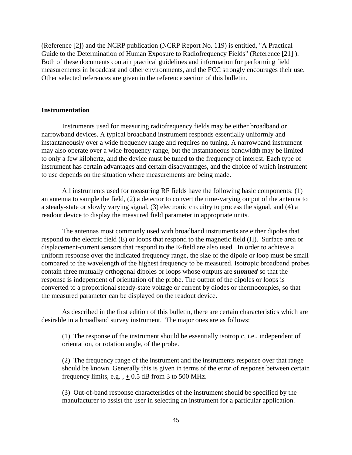(Reference [2]) and the NCRP publication (NCRP Report No. 119) is entitled, "A Practical Guide to the Determination of Human Exposure to Radiofrequency Fields" (Reference [21] ). Both of these documents contain practical guidelines and information for performing field measurements in broadcast and other environments, and the FCC strongly encourages their use. Other selected references are given in the reference section of this bulletin.

#### **Instrumentation**

Instruments used for measuring radiofrequency fields may be either broadband or narrowband devices. A typical broadband instrument responds essentially uniformly and instantaneously over a wide frequency range and requires no tuning. A narrowband instrument may also operate over a wide frequency range, but the instantaneous bandwidth may be limited to only a few kilohertz, and the device must be tuned to the frequency of interest. Each type of instrument has certain advantages and certain disadvantages, and the choice of which instrument to use depends on the situation where measurements are being made.

All instruments used for measuring RF fields have the following basic components: (1) an antenna to sample the field, (2) a detector to convert the time-varying output of the antenna to a steady-state or slowly varying signal, (3) electronic circuitry to process the signal, and (4) a readout device to display the measured field parameter in appropriate units.

The antennas most commonly used with broadband instruments are either dipoles that respond to the electric field (E) or loops that respond to the magnetic field (H). Surface area or displacement-current sensors that respond to the E-field are also used. In order to achieve a uniform response over the indicated frequency range, the size of the dipole or loop must be small compared to the wavelength of the highest frequency to be measured. Isotropic broadband probes contain three mutually orthogonal dipoles or loops whose outputs are *summed* so that the response is independent of orientation of the probe. The output of the dipoles or loops is converted to a proportional steady-state voltage or current by diodes or thermocouples, so that the measured parameter can be displayed on the readout device.

As described in the first edition of this bulletin, there are certain characteristics which are desirable in a broadband survey instrument. The major ones are as follows:

(1) The response of the instrument should be essentially isotropic, i.e., independent of orientation, or rotation angle, of the probe.

(2) The frequency range of the instrument and the instruments response over that range should be known. Generally this is given in terms of the error of response between certain frequency limits, e.g.  $, \pm 0.5$  dB from 3 to 500 MHz.

(3) Out-of-band response characteristics of the instrument should be specified by the manufacturer to assist the user in selecting an instrument for a particular application.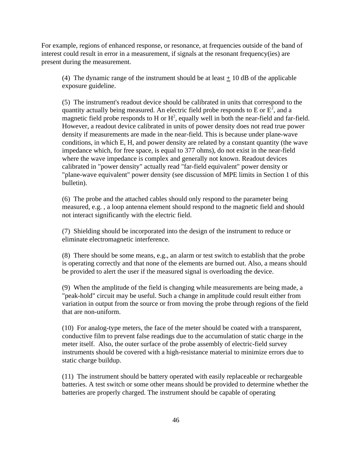For example, regions of enhanced response, or resonance, at frequencies outside of the band of interest could result in error in a measurement, if signals at the resonant frequency(ies) are present during the measurement.

(4) The dynamic range of the instrument should be at least  $\pm$  10 dB of the applicable exposure guideline.

(5) The instrument's readout device should be calibrated in units that correspond to the quantity actually being measured. An electric field probe responds to E or  $E^2$ , and a magnetic field probe responds to H or  $H^2$ , equally well in both the near-field and far-field. However, a readout device calibrated in units of power density does not read true power density if measurements are made in the near-field. This is because under plane-wave conditions, in which E, H, and power density are related by a constant quantity (the wave impedance which, for free space, is equal to 377 ohms), do not exist in the near-field where the wave impedance is complex and generally not known. Readout devices calibrated in "power density" actually read "far-field equivalent" power density or "plane-wave equivalent" power density (see discussion of MPE limits in Section 1 of this bulletin).

(6) The probe and the attached cables should only respond to the parameter being measured, e.g. , a loop antenna element should respond to the magnetic field and should not interact significantly with the electric field.

(7) Shielding should be incorporated into the design of the instrument to reduce or eliminate electromagnetic interference.

(8) There should be some means, e.g., an alarm or test switch to establish that the probe is operating correctly and that none of the elements are burned out. Also, a means should be provided to alert the user if the measured signal is overloading the device.

(9) When the amplitude of the field is changing while measurements are being made, a "peak-hold" circuit may be useful. Such a change in amplitude could result either from variation in output from the source or from moving the probe through regions of the field that are non-uniform.

(10) For analog-type meters, the face of the meter should be coated with a transparent, conductive film to prevent false readings due to the accumulation of static charge in the meter itself. Also, the outer surface of the probe assembly of electric-field survey instruments should be covered with a high-resistance material to minimize errors due to static charge buildup.

(11) The instrument should be battery operated with easily replaceable or rechargeable batteries. A test switch or some other means should be provided to determine whether the batteries are properly charged. The instrument should be capable of operating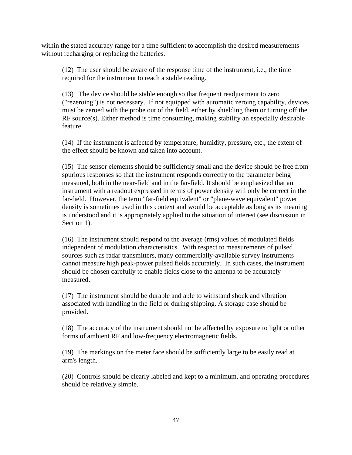within the stated accuracy range for a time sufficient to accomplish the desired measurements without recharging or replacing the batteries.

(12) The user should be aware of the response time of the instrument, i.e., the time required for the instrument to reach a stable reading.

(13) The device should be stable enough so that frequent readjustment to zero ("rezeroing") is not necessary. If not equipped with automatic zeroing capability, devices must be zeroed with the probe out of the field, either by shielding them or turning off the RF source(s). Either method is time consuming, making stability an especially desirable feature.

(14) If the instrument is affected by temperature, humidity, pressure, etc., the extent of the effect should be known and taken into account.

(15) The sensor elements should be sufficiently small and the device should be free from spurious responses so that the instrument responds correctly to the parameter being measured, both in the near-field and in the far-field. It should be emphasized that an instrument with a readout expressed in terms of power density will only be correct in the far-field. However, the term "far-field equivalent" or "plane-wave equivalent" power density is sometimes used in this context and would be acceptable as long as its meaning is understood and it is appropriately applied to the situation of interest (see discussion in Section 1).

(16) The instrument should respond to the average (rms) values of modulated fields independent of modulation characteristics. With respect to measurements of pulsed sources such as radar transmitters, many commercially-available survey instruments cannot measure high peak-power pulsed fields accurately. In such cases, the instrument should be chosen carefully to enable fields close to the antenna to be accurately measured.

(17) The instrument should be durable and able to withstand shock and vibration associated with handling in the field or during shipping. A storage case should be provided.

(18) The accuracy of the instrument should not be affected by exposure to light or other forms of ambient RF and low-frequency electromagnetic fields.

 (19) The markings on the meter face should be sufficiently large to be easily read at arm's length.

(20) Controls should be clearly labeled and kept to a minimum, and operating procedures should be relatively simple.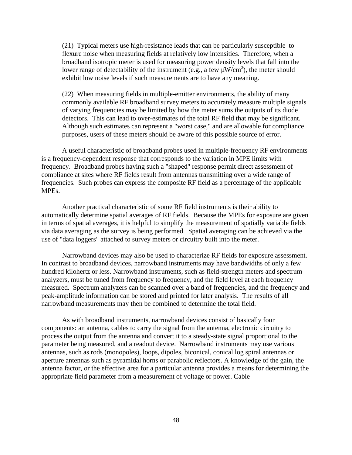(21) Typical meters use high-resistance leads that can be particularly susceptible to flexure noise when measuring fields at relatively low intensities. Therefore, when a broadband isotropic meter is used for measuring power density levels that fall into the lower range of detectability of the instrument (e.g., a few  $\mu$ W/cm<sup>2</sup>), the meter should exhibit low noise levels if such measurements are to have any meaning.

(22) When measuring fields in multiple-emitter environments, the ability of many commonly available RF broadband survey meters to accurately measure multiple signals of varying frequencies may be limited by how the meter sums the outputs of its diode detectors. This can lead to over-estimates of the total RF field that may be significant. Although such estimates can represent a "worst case," and are allowable for compliance purposes, users of these meters should be aware of this possible source of error.

A useful characteristic of broadband probes used in multiple-frequency RF environments is a frequency-dependent response that corresponds to the variation in MPE limits with frequency. Broadband probes having such a "shaped" response permit direct assessment of compliance at sites where RF fields result from antennas transmitting over a wide range of frequencies. Such probes can express the composite RF field as a percentage of the applicable MPEs.

Another practical characteristic of some RF field instruments is their ability to automatically determine spatial averages of RF fields. Because the MPEs for exposure are given in terms of spatial averages, it is helpful to simplify the measurement of spatially variable fields via data averaging as the survey is being performed. Spatial averaging can be achieved via the use of "data loggers" attached to survey meters or circuitry built into the meter.

Narrowband devices may also be used to characterize RF fields for exposure assessment. In contrast to broadband devices, narrowband instruments may have bandwidths of only a few hundred kilohertz or less. Narrowband instruments, such as field-strength meters and spectrum analyzers, must be tuned from frequency to frequency, and the field level at each frequency measured. Spectrum analyzers can be scanned over a band of frequencies, and the frequency and peak-amplitude information can be stored and printed for later analysis. The results of all narrowband measurements may then be combined to determine the total field.

As with broadband instruments, narrowband devices consist of basically four components: an antenna, cables to carry the signal from the antenna, electronic circuitry to process the output from the antenna and convert it to a steady-state signal proportional to the parameter being measured, and a readout device. Narrowband instruments may use various antennas, such as rods (monopoles), loops, dipoles, biconical, conical log spiral antennas or aperture antennas such as pyramidal horns or parabolic reflectors. A knowledge of the gain, the antenna factor, or the effective area for a particular antenna provides a means for determining the appropriate field parameter from a measurement of voltage or power. Cable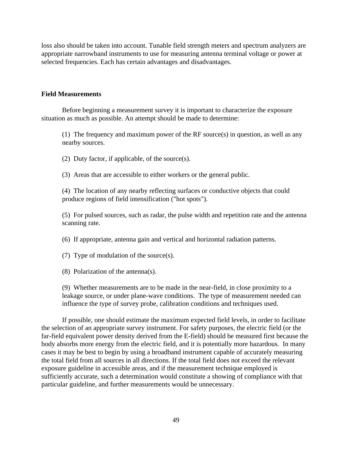loss also should be taken into account. Tunable field strength meters and spectrum analyzers are appropriate narrowband instruments to use for measuring antenna terminal voltage or power at selected frequencies. Each has certain advantages and disadvantages.

### **Field Measurements**

Before beginning a measurement survey it is important to characterize the exposure situation as much as possible. An attempt should be made to determine:

(1) The frequency and maximum power of the RF source(s) in question, as well as any nearby sources.

(2) Duty factor, if applicable, of the source(s).

(3) Areas that are accessible to either workers or the general public.

(4) The location of any nearby reflecting surfaces or conductive objects that could produce regions of field intensification ("hot spots").

(5) For pulsed sources, such as radar, the pulse width and repetition rate and the antenna scanning rate.

(6) If appropriate, antenna gain and vertical and horizontal radiation patterns.

(7) Type of modulation of the source(s).

(8) Polarization of the antenna(s).

(9) Whether measurements are to be made in the near-field, in close proximity to a leakage source, or under plane-wave conditions. The type of measurement needed can influence the type of survey probe, calibration conditions and techniques used.

 If possible, one should estimate the maximum expected field levels, in order to facilitate the selection of an appropriate survey instrument. For safety purposes, the electric field (or the far-field equivalent power density derived from the E-field) should be measured first because the body absorbs more energy from the electric field, and it is potentially more hazardous. In many cases it may be best to begin by using a broadband instrument capable of accurately measuring the total field from all sources in all directions. If the total field does not exceed the relevant exposure guideline in accessible areas, and if the measurement technique employed is sufficiently accurate, such a determination would constitute a showing of compliance with that particular guideline, and further measurements would be unnecessary.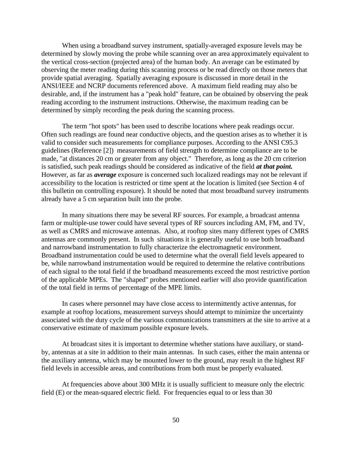When using a broadband survey instrument, spatially-averaged exposure levels may be determined by slowly moving the probe while scanning over an area approximately equivalent to the vertical cross-section (projected area) of the human body. An average can be estimated by observing the meter reading during this scanning process or be read directly on those meters that provide spatial averaging. Spatially averaging exposure is discussed in more detail in the ANSI/IEEE and NCRP documents referenced above. A maximum field reading may also be desirable, and, if the instrument has a "peak hold" feature, can be obtained by observing the peak reading according to the instrument instructions. Otherwise, the maximum reading can be determined by simply recording the peak during the scanning process.

The term "hot spots" has been used to describe locations where peak readings occur. Often such readings are found near conductive objects, and the question arises as to whether it is valid to consider such measurements for compliance purposes. According to the ANSI C95.3 guidelines (Reference [2]) measurements of field strength to determine compliance are to be made, "at distances 20 cm or greater from any object." Therefore, as long as the 20 cm criterion is satisfied, such peak readings should be considered as indicative of the field *at that point.*  However, as far as *average* exposure is concerned such localized readings may not be relevant if accessibility to the location is restricted or time spent at the location is limited (see Section 4 of this bulletin on controlling exposure). It should be noted that most broadband survey instruments already have a 5 cm separation built into the probe.

In many situations there may be several RF sources. For example, a broadcast antenna farm or multiple-use tower could have several types of RF sources including AM, FM, and TV, as well as CMRS and microwave antennas. Also, at rooftop sites many different types of CMRS antennas are commonly present. In such situations it is generally useful to use both broadband and narrowband instrumentation to fully characterize the electromagnetic environment. Broadband instrumentation could be used to determine what the overall field levels appeared to be, while narrowband instrumentation would be required to determine the relative contributions of each signal to the total field if the broadband measurements exceed the most restrictive portion of the applicable MPEs. The "shaped" probes mentioned earlier will also provide quantification of the total field in terms of percentage of the MPE limits.

In cases where personnel may have close access to intermittently active antennas, for example at rooftop locations, measurement surveys should attempt to minimize the uncertainty associated with the duty cycle of the various communications transmitters at the site to arrive at a conservative estimate of maximum possible exposure levels.

At broadcast sites it is important to determine whether stations have auxiliary, or standby, antennas at a site in addition to their main antennas. In such cases, either the main antenna or the auxiliary antenna, which may be mounted lower to the ground, may result in the highest RF field levels in accessible areas, and contributions from both must be properly evaluated.

At frequencies above about 300 MHz it is usually sufficient to measure only the electric field (E) or the mean-squared electric field. For frequencies equal to or less than 30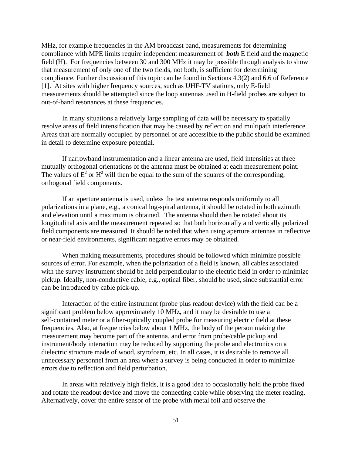MHz, for example frequencies in the AM broadcast band, measurements for determining compliance with MPE limits require independent measurement of *both* E field and the magnetic field (H). For frequencies between 30 and 300 MHz it may be possible through analysis to show that measurement of only one of the two fields, not both, is sufficient for determining compliance. Further discussion of this topic can be found in Sections 4.3(2) and 6.6 of Reference [1]. At sites with higher frequency sources, such as UHF-TV stations, only E-field measurements should be attempted since the loop antennas used in H-field probes are subject to out-of-band resonances at these frequencies.

In many situations a relatively large sampling of data will be necessary to spatially resolve areas of field intensification that may be caused by reflection and multipath interference. Areas that are normally occupied by personnel or are accessible to the public should be examined in detail to determine exposure potential.

If narrowband instrumentation and a linear antenna are used, field intensities at three mutually orthogonal orientations of the antenna must be obtained at each measurement point. The values of  $E^2$  or  $H^2$  will then be equal to the sum of the squares of the corresponding, orthogonal field components.

If an aperture antenna is used, unless the test antenna responds uniformly to all polarizations in a plane, e.g., a conical log-spiral antenna, it should be rotated in both azimuth and elevation until a maximum is obtained. The antenna should then be rotated about its longitudinal axis and the measurement repeated so that both horizontally and vertically polarized field components are measured. It should be noted that when using aperture antennas in reflective or near-field environments, significant negative errors may be obtained.

When making measurements, procedures should be followed which minimize possible sources of error. For example, when the polarization of a field is known, all cables associated with the survey instrument should be held perpendicular to the electric field in order to minimize pickup. Ideally, non-conductive cable, e.g., optical fiber, should be used, since substantial error can be introduced by cable pick-up.

Interaction of the entire instrument (probe plus readout device) with the field can be a significant problem below approximately 10 MHz, and it may be desirable to use a self-contained meter or a fiber-optically coupled probe for measuring electric field at these frequencies. Also, at frequencies below about 1 MHz, the body of the person making the measurement may become part of the antenna, and error from probe/cable pickup and instrument/body interaction may be reduced by supporting the probe and electronics on a dielectric structure made of wood, styrofoam, etc. In all cases, it is desirable to remove all unnecessary personnel from an area where a survey is being conducted in order to minimize errors due to reflection and field perturbation.

In areas with relatively high fields, it is a good idea to occasionally hold the probe fixed and rotate the readout device and move the connecting cable while observing the meter reading. Alternatively, cover the entire sensor of the probe with metal foil and observe the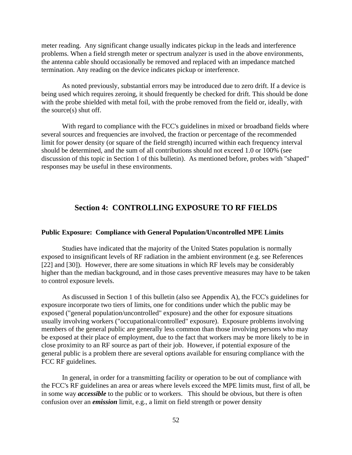meter reading. Any significant change usually indicates pickup in the leads and interference problems. When a field strength meter or spectrum analyzer is used in the above environments, the antenna cable should occasionally be removed and replaced with an impedance matched termination. Any reading on the device indicates pickup or interference.

As noted previously, substantial errors may be introduced due to zero drift. If a device is being used which requires zeroing, it should frequently be checked for drift. This should be done with the probe shielded with metal foil, with the probe removed from the field or, ideally, with the source(s) shut off.

With regard to compliance with the FCC's guidelines in mixed or broadband fields where several sources and frequencies are involved, the fraction or percentage of the recommended limit for power density (or square of the field strength) incurred within each frequency interval should be determined, and the sum of all contributions should not exceed 1.0 or 100% (see discussion of this topic in Section 1 of this bulletin). As mentioned before, probes with "shaped" responses may be useful in these environments.

# **Section 4: CONTROLLING EXPOSURE TO RF FIELDS**

#### **Public Exposure: Compliance with General Population/Uncontrolled MPE Limits**

Studies have indicated that the majority of the United States population is normally exposed to insignificant levels of RF radiation in the ambient environment (e.g. see References [22] and [30]). However, there are some situations in which RF levels may be considerably higher than the median background, and in those cases preventive measures may have to be taken to control exposure levels.

As discussed in Section 1 of this bulletin (also see Appendix A), the FCC's guidelines for exposure incorporate two tiers of limits, one for conditions under which the public may be exposed ("general population/uncontrolled" exposure) and the other for exposure situations usually involving workers ("occupational/controlled" exposure). Exposure problems involving members of the general public are generally less common than those involving persons who may be exposed at their place of employment, due to the fact that workers may be more likely to be in close proximity to an RF source as part of their job. However, if potential exposure of the general public is a problem there are several options available for ensuring compliance with the FCC RF guidelines.

In general, in order for a transmitting facility or operation to be out of compliance with the FCC's RF guidelines an area or areas where levels exceed the MPE limits must, first of all, be in some way *accessible* to the public or to workers. This should be obvious, but there is often confusion over an *emission* limit, e.g., a limit on field strength or power density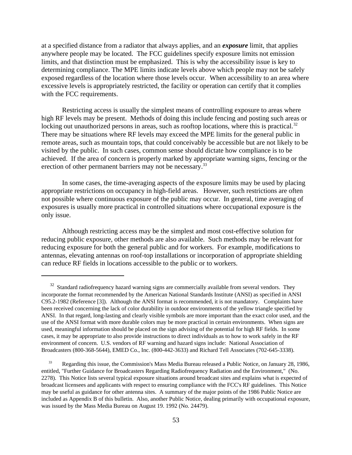at a specified distance from a radiator that always applies, and an *exposure* limit, that applies anywhere people may be located. The FCC guidelines specify exposure limits not emission limits, and that distinction must be emphasized. This is why the accessibility issue is key to determining compliance. The MPE limits indicate levels above which people may not be safely exposed regardless of the location where those levels occur. When accessibility to an area where excessive levels is appropriately restricted, the facility or operation can certify that it complies with the FCC requirements.

Restricting access is usually the simplest means of controlling exposure to areas where high RF levels may be present. Methods of doing this include fencing and posting such areas or locking out unauthorized persons in areas, such as rooftop locations, where this is practical. $32$ There may be situations where RF levels may exceed the MPE limits for the general public in remote areas, such as mountain tops, that could conceivably be accessible but are not likely to be visited by the public. In such cases, common sense should dictate how compliance is to be achieved. If the area of concern is properly marked by appropriate warning signs, fencing or the erection of other permanent barriers may not be necessary.<sup>33</sup>

In some cases, the time-averaging aspects of the exposure limits may be used by placing appropriate restrictions on occupancy in high-field areas. However, such restrictions are often not possible where continuous exposure of the public may occur. In general, time averaging of exposures is usually more practical in controlled situations where occupational exposure is the only issue.

Although restricting access may be the simplest and most cost-effective solution for reducing public exposure, other methods are also available. Such methods may be relevant for reducing exposure for both the general public and for workers. For example, modifications to antennas, elevating antennas on roof-top installations or incorporation of appropriate shielding can reduce RF fields in locations accessible to the public or to workers.

<sup>&</sup>lt;sup>32</sup> Standard radiofrequency hazard warning signs are commercially available from several vendors. They incorporate the format recommended by the American National Standards Institute (ANSI) as specified in ANSI C95.2-1982 (Reference [3]). Although the ANSI format is recommended, it is not mandatory. Complaints have been received concerning the lack of color durability in outdoor environments of the yellow triangle specified by ANSI. In that regard, long-lasting and clearly visible symbols are more important than the exact color used, and the use of the ANSI format with more durable colors may be more practical in certain environments. When signs are used, meaningful information should be placed on the sign advising of the potential for high RF fields. In some cases, it may be appropriate to also provide instructions to direct individuals as to how to work safely in the RF environment of concern. U.S. vendors of RF warning and hazard signs include: National Association of Broadcasters (800-368-5644), EMED Co., Inc. (800-442-3633) and Richard Tell Associates (702-645-3338).

<sup>33</sup> Regarding this issue, the Commission's Mass Media Bureau released a Public Notice, on January 28, 1986, entitled, "Further Guidance for Broadcasters Regarding Radiofrequency Radiation and the Environment," (No. 2278). This Notice lists several typical exposure situations around broadcast sites and explains what is expected of broadcast licensees and applicants with respect to ensuring compliance with the FCC's RF guidelines. This Notice may be useful as guidance for other antenna sites. A summary of the major points of the 1986 Public Notice are included as Appendix B of this bulletin. Also, another Public Notice, dealing primarily with occupational exposure, was issued by the Mass Media Bureau on August 19. 1992 (No. 24479).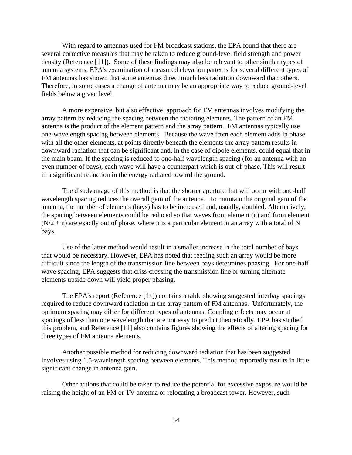With regard to antennas used for FM broadcast stations, the EPA found that there are several corrective measures that may be taken to reduce ground-level field strength and power density (Reference [11]). Some of these findings may also be relevant to other similar types of antenna systems. EPA's examination of measured elevation patterns for several different types of FM antennas has shown that some antennas direct much less radiation downward than others. Therefore, in some cases a change of antenna may be an appropriate way to reduce ground-level fields below a given level.

A more expensive, but also effective, approach for FM antennas involves modifying the array pattern by reducing the spacing between the radiating elements. The pattern of an FM antenna is the product of the element pattern and the array pattern. FM antennas typically use one-wavelength spacing between elements. Because the wave from each element adds in phase with all the other elements, at points directly beneath the elements the array pattern results in downward radiation that can be significant and, in the case of dipole elements, could equal that in the main beam. If the spacing is reduced to one-half wavelength spacing (for an antenna with an even number of bays), each wave will have a counterpart which is out-of-phase. This will result in a significant reduction in the energy radiated toward the ground.

The disadvantage of this method is that the shorter aperture that will occur with one-half wavelength spacing reduces the overall gain of the antenna. To maintain the original gain of the antenna, the number of elements (bays) has to be increased and, usually, doubled. Alternatively, the spacing between elements could be reduced so that waves from element (n) and from element  $(N/2 + n)$  are exactly out of phase, where n is a particular element in an array with a total of N bays.

Use of the latter method would result in a smaller increase in the total number of bays that would be necessary. However, EPA has noted that feeding such an array would be more difficult since the length of the transmission line between bays determines phasing. For one-half wave spacing, EPA suggests that criss-crossing the transmission line or turning alternate elements upside down will yield proper phasing.

The EPA's report (Reference [11]) contains a table showing suggested interbay spacings required to reduce downward radiation in the array pattern of FM antennas. Unfortunately, the optimum spacing may differ for different types of antennas. Coupling effects may occur at spacings of less than one wavelength that are not easy to predict theoretically. EPA has studied this problem, and Reference [11] also contains figures showing the effects of altering spacing for three types of FM antenna elements.

Another possible method for reducing downward radiation that has been suggested involves using 1.5-wavelength spacing between elements. This method reportedly results in little significant change in antenna gain.

Other actions that could be taken to reduce the potential for excessive exposure would be raising the height of an FM or TV antenna or relocating a broadcast tower. However, such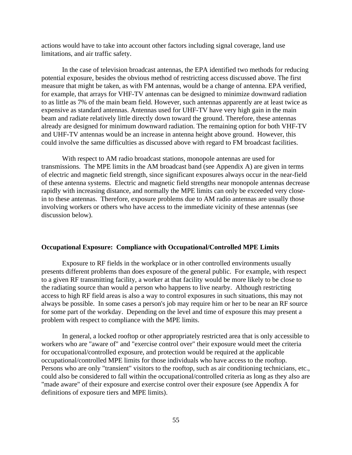actions would have to take into account other factors including signal coverage, land use limitations, and air traffic safety.

In the case of television broadcast antennas, the EPA identified two methods for reducing potential exposure, besides the obvious method of restricting access discussed above. The first measure that might be taken, as with FM antennas, would be a change of antenna. EPA verified, for example, that arrays for VHF-TV antennas can be designed to minimize downward radiation to as little as 7% of the main beam field. However, such antennas apparently are at least twice as expensive as standard antennas. Antennas used for UHF-TV have very high gain in the main beam and radiate relatively little directly down toward the ground. Therefore, these antennas already are designed for minimum downward radiation. The remaining option for both VHF-TV and UHF-TV antennas would be an increase in antenna height above ground. However, this could involve the same difficulties as discussed above with regard to FM broadcast facilities.

With respect to AM radio broadcast stations, monopole antennas are used for transmissions. The MPE limits in the AM broadcast band (see Appendix A) are given in terms of electric and magnetic field strength, since significant exposures always occur in the near-field of these antenna systems. Electric and magnetic field strengths near monopole antennas decrease rapidly with increasing distance, and normally the MPE limits can only be exceeded very closein to these antennas. Therefore, exposure problems due to AM radio antennas are usually those involving workers or others who have access to the immediate vicinity of these antennas (see discussion below).

#### **Occupational Exposure: Compliance with Occupational/Controlled MPE Limits**

Exposure to RF fields in the workplace or in other controlled environments usually presents different problems than does exposure of the general public. For example, with respect to a given RF transmitting facility, a worker at that facility would be more likely to be close to the radiating source than would a person who happens to live nearby. Although restricting access to high RF field areas is also a way to control exposures in such situations, this may not always be possible. In some cases a person's job may require him or her to be near an RF source for some part of the workday. Depending on the level and time of exposure this may present a problem with respect to compliance with the MPE limits.

In general, a locked rooftop or other appropriately restricted area that is only accessible to workers who are "aware of" and "exercise control over" their exposure would meet the criteria for occupational/controlled exposure, and protection would be required at the applicable occupational/controlled MPE limits for those individuals who have access to the rooftop. Persons who are only "transient" visitors to the rooftop, such as air conditioning technicians, etc., could also be considered to fall within the occupational/controlled criteria as long as they also are "made aware" of their exposure and exercise control over their exposure (see Appendix A for definitions of exposure tiers and MPE limits).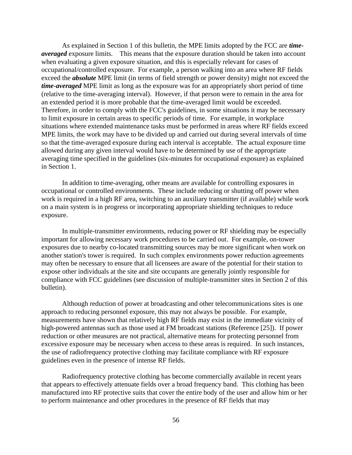As explained in Section 1 of this bulletin, the MPE limits adopted by the FCC are *timeaveraged* exposure limits. This means that the exposure duration should be taken into account when evaluating a given exposure situation, and this is especially relevant for cases of occupational/controlled exposure. For example, a person walking into an area where RF fields exceed the *absolute* MPE limit (in terms of field strength or power density) might not exceed the *time-averaged* MPE limit as long as the exposure was for an appropriately short period of time (relative to the time-averaging interval). However, if that person were to remain in the area for an extended period it is more probable that the time-averaged limit would be exceeded. Therefore, in order to comply with the FCC's guidelines, in some situations it may be necessary to limit exposure in certain areas to specific periods of time. For example, in workplace situations where extended maintenance tasks must be performed in areas where RF fields exceed MPE limits, the work may have to be divided up and carried out during several intervals of time so that the time-averaged exposure during each interval is acceptable. The actual exposure time allowed during any given interval would have to be determined by use of the appropriate averaging time specified in the guidelines (six-minutes for occupational exposure) as explained in Section 1.

In addition to time-averaging, other means are available for controlling exposures in occupational or controlled environments. These include reducing or shutting off power when work is required in a high RF area, switching to an auxiliary transmitter (if available) while work on a main system is in progress or incorporating appropriate shielding techniques to reduce exposure.

In multiple-transmitter environments, reducing power or RF shielding may be especially important for allowing necessary work procedures to be carried out. For example, on-tower exposures due to nearby co-located transmitting sources may be more significant when work on another station's tower is required. In such complex environments power reduction agreements may often be necessary to ensure that all licensees are aware of the potential for their station to expose other individuals at the site and site occupants are generally jointly responsible for compliance with FCC guidelines (see discussion of multiple-transmitter sites in Section 2 of this bulletin).

Although reduction of power at broadcasting and other telecommunications sites is one approach to reducing personnel exposure, this may not always be possible. For example, measurements have shown that relatively high RF fields may exist in the immediate vicinity of high-powered antennas such as those used at FM broadcast stations (Reference [25]). If power reduction or other measures are not practical, alternative means for protecting personnel from excessive exposure may be necessary when access to these areas is required. In such instances, the use of radiofrequency protective clothing may facilitate compliance with RF exposure guidelines even in the presence of intense RF fields.

Radiofrequency protective clothing has become commercially available in recent years that appears to effectively attenuate fields over a broad frequency band. This clothing has been manufactured into RF protective suits that cover the entire body of the user and allow him or her to perform maintenance and other procedures in the presence of RF fields that may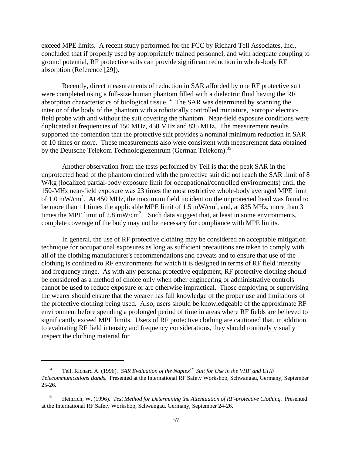exceed MPE limits. A recent study performed for the FCC by Richard Tell Associates, Inc., concluded that if properly used by appropriately trained personnel, and with adequate coupling to ground potential, RF protective suits can provide significant reduction in whole-body RF absorption (Reference [29]).

Recently, direct measurements of reduction in SAR afforded by one RF protective suit were completed using a full-size human phantom filled with a dielectric fluid having the RF absorption characteristics of biological tissue.<sup>34</sup> The SAR was determined by scanning the interior of the body of the phantom with a robotically controlled miniature, isotropic electricfield probe with and without the suit covering the phantom. Near-field exposure conditions were duplicated at frequencies of 150 MHz, 450 MHz and 835 MHz. The measurement results supported the contention that the protective suit provides a nominal minimum reduction in SAR of 10 times or more. These measurements also were consistent with measurement data obtained by the Deutsche Telekom Technologiezentrum (German Telekom).<sup>35</sup>

Another observation from the tests performed by Tell is that the peak SAR in the unprotected head of the phantom clothed with the protective suit did not reach the SAR limit of 8 W/kg (localized partial-body exposure limit for occupational/controlled environments) until the 150-MHz near-field exposure was 23 times the most restrictive whole-body averaged MPE limit of 1.0 mW/cm<sup>2</sup>. At 450 MHz, the maximum field incident on the unprotected head was found to be more than 11 times the applicable MPE limit of 1.5 mW/cm<sup>2</sup>, and, at 835 MHz, more than 3 times the MPE limit of 2.8 mW/cm<sup>2</sup>. Such data suggest that, at least in some environments, complete coverage of the body may not be necessary for compliance with MPE limits.

In general, the use of RF protective clothing may be considered an acceptable mitigation technique for occupational exposures as long as sufficient precautions are taken to comply with all of the clothing manufacturer's recommendations and caveats and to ensure that use of the clothing is confined to RF environments for which it is designed in terms of RF field intensity and frequency range. As with any personal protective equipment, RF protective clothing should be considered as a method of choice only when other engineering or administrative controls cannot be used to reduce exposure or are otherwise impractical. Those employing or supervising the wearer should ensure that the wearer has full knowledge of the proper use and limitations of the protective clothing being used. Also, users should be knowledgeable of the approximate RF environment before spending a prolonged period of time in areas where RF fields are believed to significantly exceed MPE limits. Users of RF protective clothing are cautioned that, in addition to evaluating RF field intensity and frequency considerations, they should routinely visually inspect the clothing material for

<sup>34</sup> Tell, Richard A. (1996). *SAR Evaluation of the NaptexTM Suit for Use in the VHF and UHF Telecommunications Bands.* Presented at the International RF Safety Workshop, Schwangau, Germany, September 25-26.

<sup>35</sup> Heinrich, W. (1996). *Test Method for Determining the Attentuation of RF-protective Clothing.* Presented at the International RF Safety Workshop, Schwangau, Germany, September 24-26.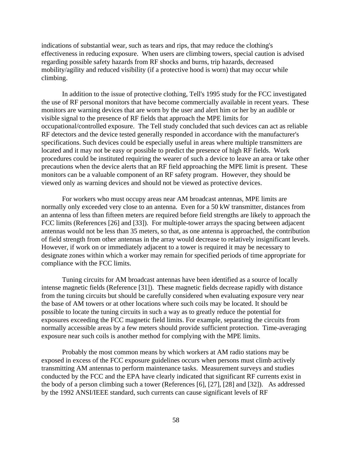indications of substantial wear, such as tears and rips, that may reduce the clothing's effectiveness in reducing exposure. When users are climbing towers, special caution is advised regarding possible safety hazards from RF shocks and burns, trip hazards, decreased mobility/agility and reduced visibility (if a protective hood is worn) that may occur while climbing.

In addition to the issue of protective clothing, Tell's 1995 study for the FCC investigated the use of RF personal monitors that have become commercially available in recent years. These monitors are warning devices that are worn by the user and alert him or her by an audible or visible signal to the presence of RF fields that approach the MPE limits for occupational/controlled exposure. The Tell study concluded that such devices can act as reliable RF detectors and the device tested generally responded in accordance with the manufacturer's specifications. Such devices could be especially useful in areas where multiple transmitters are located and it may not be easy or possible to predict the presence of high RF fields. Work procedures could be instituted requiring the wearer of such a device to leave an area or take other precautions when the device alerts that an RF field approaching the MPE limit is present. These monitors can be a valuable component of an RF safety program. However, they should be viewed only as warning devices and should not be viewed as protective devices.

For workers who must occupy areas near AM broadcast antennas, MPE limits are normally only exceeded very close to an antenna. Even for a 50 kW transmitter, distances from an antenna of less than fifteen meters are required before field strengths are likely to approach the FCC limits (References [26] and [33]). For multiple-tower arrays the spacing between adjacent antennas would not be less than 35 meters, so that, as one antenna is approached, the contribution of field strength from other antennas in the array would decrease to relatively insignificant levels. However, if work on or immediately adjacent to a tower is required it may be necessary to designate zones within which a worker may remain for specified periods of time appropriate for compliance with the FCC limits.

Tuning circuits for AM broadcast antennas have been identified as a source of locally intense magnetic fields (Reference [31]). These magnetic fields decrease rapidly with distance from the tuning circuits but should be carefully considered when evaluating exposure very near the base of AM towers or at other locations where such coils may be located. It should be possible to locate the tuning circuits in such a way as to greatly reduce the potential for exposures exceeding the FCC magnetic field limits. For example, separating the circuits from normally accessible areas by a few meters should provide sufficient protection. Time-averaging exposure near such coils is another method for complying with the MPE limits.

Probably the most common means by which workers at AM radio stations may be exposed in excess of the FCC exposure guidelines occurs when persons must climb actively transmitting AM antennas to perform maintenance tasks. Measurement surveys and studies conducted by the FCC and the EPA have clearly indicated that significant RF currents exist in the body of a person climbing such a tower (References [6], [27], [28] and [32]). As addressed by the 1992 ANSI/IEEE standard, such currents can cause significant levels of RF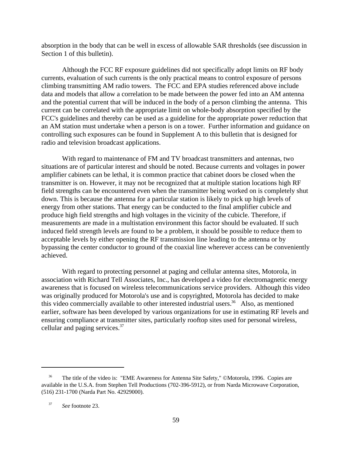absorption in the body that can be well in excess of allowable SAR thresholds (see discussion in Section 1 of this bulletin).

Although the FCC RF exposure guidelines did not specifically adopt limits on RF body currents, evaluation of such currents is the only practical means to control exposure of persons climbing transmitting AM radio towers. The FCC and EPA studies referenced above include data and models that allow a correlation to be made between the power fed into an AM antenna and the potential current that will be induced in the body of a person climbing the antenna. This current can be correlated with the appropriate limit on whole-body absorption specified by the FCC's guidelines and thereby can be used as a guideline for the appropriate power reduction that an AM station must undertake when a person is on a tower. Further information and guidance on controlling such exposures can be found in Supplement A to this bulletin that is designed for radio and television broadcast applications.

With regard to maintenance of FM and TV broadcast transmitters and antennas, two situations are of particular interest and should be noted. Because currents and voltages in power amplifier cabinets can be lethal, it is common practice that cabinet doors be closed when the transmitter is on. However, it may not be recognized that at multiple station locations high RF field strengths can be encountered even when the transmitter being worked on is completely shut down. This is because the antenna for a particular station is likely to pick up high levels of energy from other stations. That energy can be conducted to the final amplifier cubicle and produce high field strengths and high voltages in the vicinity of the cubicle. Therefore, if measurements are made in a multistation environment this factor should be evaluated. If such induced field strength levels are found to be a problem, it should be possible to reduce them to acceptable levels by either opening the RF transmission line leading to the antenna or by bypassing the center conductor to ground of the coaxial line wherever access can be conveniently achieved.

With regard to protecting personnel at paging and cellular antenna sites, Motorola, in association with Richard Tell Associates, Inc., has developed a video for electromagnetic energy awareness that is focused on wireless telecommunications service providers. Although this video was originally produced for Motorola's use and is copyrighted, Motorola has decided to make this video commercially available to other interested industrial users. $36$  Also, as mentioned earlier, software has been developed by various organizations for use in estimating RF levels and ensuring compliance at transmitter sites, particularly rooftop sites used for personal wireless, cellular and paging services.<sup>37</sup>

<sup>&</sup>lt;sup>36</sup> The title of the video is: "EME Awareness for Antenna Site Safety," ©Motorola, 1996. Copies are available in the U.S.A. from Stephen Tell Productions (702-396-5912), or from Narda Microwave Corporation, (516) 231-1700 (Narda Part No. 42929000).

<sup>37</sup> *See* footnote 23.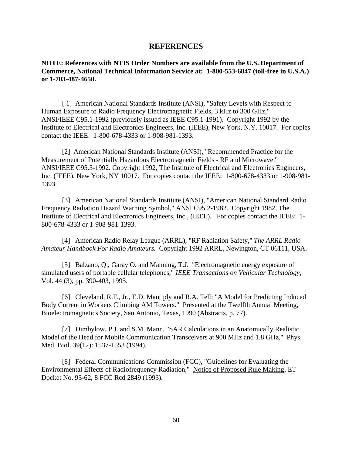## **REFERENCES**

**NOTE: References with NTIS Order Numbers are available from the U.S. Department of Commerce, National Technical Information Service at: 1-800-553-6847 (toll-free in U.S.A.) or 1-703-487-4650.**

[ 1] American National Standards Institute (ANSI), "Safety Levels with Respect to Human Exposure to Radio Frequency Electromagnetic Fields, 3 kHz to 300 GHz," ANSI/IEEE C95.1-1992 (previously issued as IEEE C95.1-1991). Copyright 1992 by the Institute of Electrical and Electronics Engineers, Inc. (IEEE), New York, N.Y. 10017. For copies contact the IEEE: 1-800-678-4333 or 1-908-981-1393.

[2] American National Standards Institute (ANSI), "Recommended Practice for the Measurement of Potentially Hazardous Electromagnetic Fields - RF and Microwave." ANSI/IEEE C95.3-1992. Copyright 1992, The Institute of Electrical and Electronics Engineers, Inc. (IEEE), New York, NY 10017. For copies contact the IEEE: 1-800-678-4333 or 1-908-981- 1393.

[3] American National Standards Institute (ANSI), "American National Standard Radio Frequency Radiation Hazard Warning Symbol," ANSI C95.2-1982. Copyright 1982, The Institute of Electrical and Electronics Engineers, Inc., (IEEE). For copies contact the IEEE: 1- 800-678-4333 or 1-908-981-1393.

[4] American Radio Relay League (ARRL), "RF Radiation Safety," *The ARRL Radio Amateur Handbook For Radio Amateurs.* Copyright 1992 ARRL, Newington, CT 06111, USA.

[5] Balzano, Q., Garay O. and Manning, T.J. "Electromagnetic energy exposure of simulated users of portable cellular telephones," *IEEE Transactions on Vehicular Technology,* Vol. 44 (3), pp. 390-403, 1995.

[6] Cleveland, R.F., Jr., E.D. Mantiply and R.A. Tell; "A Model for Predicting Induced Body Current in Workers Climbing AM Towers." Presented at the Twelfth Annual Meeting, Bioelectromagnetics Society, San Antonio, Texas, 1990 (Abstracts, p. 77).

[7] Dimbylow, P.J. and S.M. Mann, "SAR Calculations in an Anatomically Realistic Model of the Head for Mobile Communication Transceivers at 900 MHz and 1.8 GHz," Phys. Med. Biol. 39(12): 1537-1553 (1994).

[8] Federal Communications Commission (FCC), "Guidelines for Evaluating the Environmental Effects of Radiofrequency Radiation," Notice of Proposed Rule Making, ET Docket No. 93-62, 8 FCC Rcd 2849 (1993).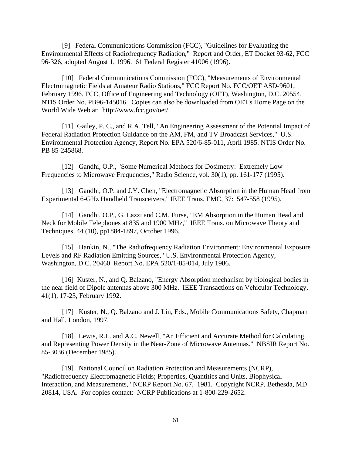[9] Federal Communications Commission (FCC), "Guidelines for Evaluating the Environmental Effects of Radiofrequency Radiation," Report and Order, ET Docket 93-62, FCC 96-326, adopted August 1, 1996. 61 Federal Register 41006 (1996).

[10] Federal Communications Commission (FCC), "Measurements of Environmental Electromagnetic Fields at Amateur Radio Stations," FCC Report No. FCC/OET ASD-9601, February 1996. FCC, Office of Engineering and Technology (OET), Washington, D.C. 20554. NTIS Order No. PB96-145016. Copies can also be downloaded from OET's Home Page on the World Wide Web at: http://www.fcc.gov/oet/.

[11] Gailey, P. C., and R.A. Tell, "An Engineering Assessment of the Potential Impact of Federal Radiation Protection Guidance on the AM, FM, and TV Broadcast Services," U.S. Environmental Protection Agency, Report No. EPA 520/6-85-011, April 1985. NTIS Order No. PB 85-245868.

[12] Gandhi, O.P., "Some Numerical Methods for Dosimetry: Extremely Low Frequencies to Microwave Frequencies," Radio Science, vol. 30(1), pp. 161-177 (1995).

[13] Gandhi, O.P. and J.Y. Chen, "Electromagnetic Absorption in the Human Head from Experimental 6-GHz Handheld Transceivers," IEEE Trans. EMC, 37: 547-558 (1995).

[14] Gandhi, O.P., G. Lazzi and C.M. Furse, "EM Absorption in the Human Head and Neck for Mobile Telephones at 835 and 1900 MHz," IEEE Trans. on Microwave Theory and Techniques, 44 (10), pp1884-1897, October 1996.

[15] Hankin, N., "The Radiofrequency Radiation Environment: Environmental Exposure Levels and RF Radiation Emitting Sources," U.S. Environmental Protection Agency, Washington, D.C. 20460. Report No. EPA 520/1-85-014, July 1986.

[16] Kuster, N., and Q. Balzano, "Energy Absorption mechanism by biological bodies in the near field of Dipole antennas above 300 MHz. IEEE Transactions on Vehicular Technology, 41(1), 17-23, February 1992.

[17] Kuster, N., Q. Balzano and J. Lin, Eds., Mobile Communications Safety, Chapman and Hall, London, 1997.

[18] Lewis, R.L. and A.C. Newell, "An Efficient and Accurate Method for Calculating and Representing Power Density in the Near-Zone of Microwave Antennas." NBSIR Report No. 85-3036 (December 1985).

[19] National Council on Radiation Protection and Measurements (NCRP), "Radiofrequency Electromagnetic Fields; Properties, Quantities and Units, Biophysical Interaction, and Measurements," NCRP Report No. 67, 1981. Copyright NCRP, Bethesda, MD 20814, USA. For copies contact: NCRP Publications at 1-800-229-2652.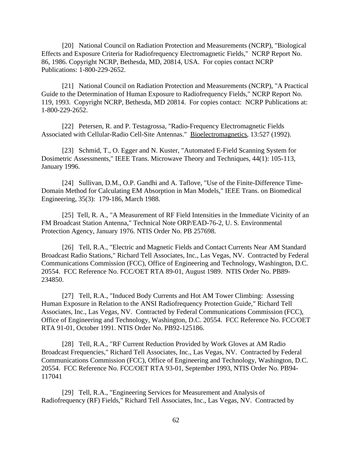[20] National Council on Radiation Protection and Measurements (NCRP), "Biological Effects and Exposure Criteria for Radiofrequency Electromagnetic Fields," NCRP Report No. 86, 1986. Copyright NCRP, Bethesda, MD, 20814, USA. For copies contact NCRP Publications: 1-800-229-2652.

[21] National Council on Radiation Protection and Measurements (NCRP), "A Practical Guide to the Determination of Human Exposure to Radiofrequency Fields," NCRP Report No. 119, 1993. Copyright NCRP, Bethesda, MD 20814. For copies contact: NCRP Publications at: 1-800-229-2652.

[22] Petersen, R. and P. Testagrossa, "Radio-Frequency Electromagnetic Fields Associated with Cellular-Radio Cell-Site Antennas." Bioelectromagnetics, 13:527 (1992).

[23] Schmid, T., O. Egger and N. Kuster, "Automated E-Field Scanning System for Dosimetric Assessments," IEEE Trans. Microwave Theory and Techniques, 44(1): 105-113, January 1996.

[24] Sullivan, D.M., O.P. Gandhi and A. Taflove, "Use of the Finite-Difference Time-Domain Method for Calculating EM Absorption in Man Models," IEEE Trans. on Biomedical Engineering, 35(3): 179-186, March 1988.

[25] Tell, R. A., "A Measurement of RF Field Intensities in the Immediate Vicinity of an FM Broadcast Station Antenna," Technical Note ORP/EAD-76-2, U. S. Environmental Protection Agency, January 1976. NTIS Order No. PB 257698.

[26] Tell, R.A., "Electric and Magnetic Fields and Contact Currents Near AM Standard Broadcast Radio Stations," Richard Tell Associates, Inc., Las Vegas, NV. Contracted by Federal Communications Commission (FCC), Office of Engineering and Technology, Washington, D.C. 20554. FCC Reference No. FCC/OET RTA 89-01, August 1989. NTIS Order No. PB89- 234850.

[27] Tell, R.A., "Induced Body Currents and Hot AM Tower Climbing: Assessing Human Exposure in Relation to the ANSI Radiofrequency Protection Guide," Richard Tell Associates, Inc., Las Vegas, NV. Contracted by Federal Communications Commission (FCC), Office of Engineering and Technology, Washington, D.C. 20554. FCC Reference No. FCC/OET RTA 91-01, October 1991. NTIS Order No. PB92-125186.

[28] Tell, R.A., "RF Current Reduction Provided by Work Gloves at AM Radio Broadcast Frequencies," Richard Tell Associates, Inc., Las Vegas, NV. Contracted by Federal Communications Commission (FCC), Office of Engineering and Technology, Washington, D.C. 20554. FCC Reference No. FCC/OET RTA 93-01, September 1993, NTIS Order No. PB94- 117041

[29] Tell, R.A., "Engineering Services for Measurement and Analysis of Radiofrequency (RF) Fields," Richard Tell Associates, Inc., Las Vegas, NV. Contracted by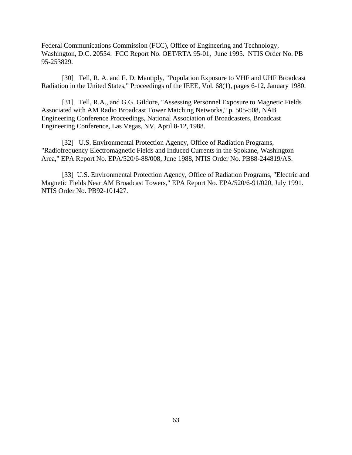Federal Communications Commission (FCC), Office of Engineering and Technology, Washington, D.C. 20554. FCC Report No. OET/RTA 95-01, June 1995. NTIS Order No. PB 95-253829.

[30] Tell, R. A. and E. D. Mantiply, "Population Exposure to VHF and UHF Broadcast Radiation in the United States," Proceedings of the IEEE, Vol. 68(1), pages 6-12, January 1980.

[31] Tell, R.A., and G.G. Gildore, "Assessing Personnel Exposure to Magnetic Fields Associated with AM Radio Broadcast Tower Matching Networks," p. 505-508, NAB Engineering Conference Proceedings, National Association of Broadcasters, Broadcast Engineering Conference, Las Vegas, NV, April 8-12, 1988.

[32] U.S. Environmental Protection Agency, Office of Radiation Programs, "Radiofrequency Electromagnetic Fields and Induced Currents in the Spokane, Washington Area," EPA Report No. EPA/520/6-88/008, June 1988, NTIS Order No. PB88-244819/AS.

[33] U.S. Environmental Protection Agency, Office of Radiation Programs, "Electric and Magnetic Fields Near AM Broadcast Towers," EPA Report No. EPA/520/6-91/020, July 1991. NTIS Order No. PB92-101427.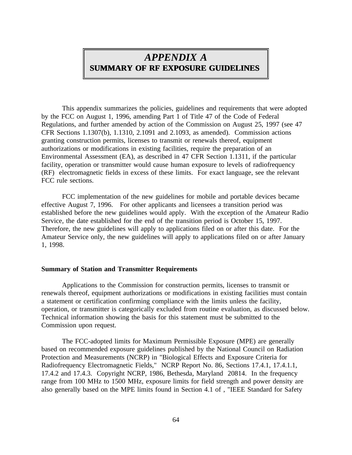# *APPENDIX A* **SUMMARY OF RF EXPOSURE GUIDELINES GUIDELINES**

This appendix summarizes the policies, guidelines and requirements that were adopted by the FCC on August 1, 1996, amending Part 1 of Title 47 of the Code of Federal Regulations, and further amended by action of the Commission on August 25, 1997 (see 47 CFR Sections 1.1307(b), 1.1310, 2.1091 and 2.1093, as amended). Commission actions granting construction permits, licenses to transmit or renewals thereof, equipment authorizations or modifications in existing facilities, require the preparation of an Environmental Assessment (EA), as described in 47 CFR Section 1.1311, if the particular facility, operation or transmitter would cause human exposure to levels of radiofrequency (RF) electromagnetic fields in excess of these limits. For exact language, see the relevant FCC rule sections.

FCC implementation of the new guidelines for mobile and portable devices became effective August 7, 1996. For other applicants and licensees a transition period was established before the new guidelines would apply. With the exception of the Amateur Radio Service, the date established for the end of the transition period is October 15, 1997. Therefore, the new guidelines will apply to applications filed on or after this date. For the Amateur Service only, the new guidelines will apply to applications filed on or after January 1, 1998.

#### **Summary of Station and Transmitter Requirements**

Applications to the Commission for construction permits, licenses to transmit or renewals thereof, equipment authorizations or modifications in existing facilities must contain a statement or certification confirming compliance with the limits unless the facility, operation, or transmitter is categorically excluded from routine evaluation, as discussed below. Technical information showing the basis for this statement must be submitted to the Commission upon request.

The FCC-adopted limits for Maximum Permissible Exposure (MPE) are generally based on recommended exposure guidelines published by the National Council on Radiation Protection and Measurements (NCRP) in "Biological Effects and Exposure Criteria for Radiofrequency Electromagnetic Fields," NCRP Report No. 86, Sections 17.4.1, 17.4.1.1, 17.4.2 and 17.4.3. Copyright NCRP, 1986, Bethesda, Maryland 20814. In the frequency range from 100 MHz to 1500 MHz, exposure limits for field strength and power density are also generally based on the MPE limits found in Section 4.1 of , "IEEE Standard for Safety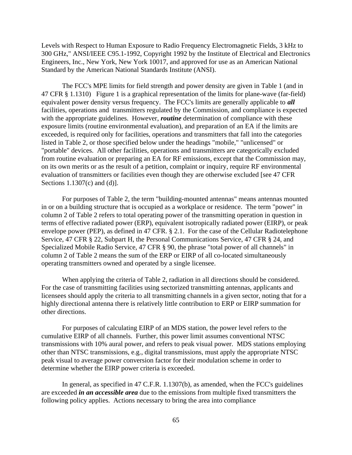Levels with Respect to Human Exposure to Radio Frequency Electromagnetic Fields, 3 kHz to 300 GHz," ANSI/IEEE C95.1-1992, Copyright 1992 by the Institute of Electrical and Electronics Engineers, Inc., New York, New York 10017, and approved for use as an American National Standard by the American National Standards Institute (ANSI).

The FCC's MPE limits for field strength and power density are given in Table 1 (and in 47 CFR § 1.1310) Figure 1 is a graphical representation of the limits for plane-wave (far-field) equivalent power density versus frequency. The FCC's limits are generally applicable to *all* facilities, operations and transmitters regulated by the Commission, and compliance is expected with the appropriate guidelines. However, *routine* determination of compliance with these exposure limits (routine environmental evaluation), and preparation of an EA if the limits are exceeded, is required only for facilities, operations and transmitters that fall into the categories listed in Table 2, or those specified below under the headings "mobile," "unlicensed" or "portable" devices. All other facilities, operations and transmitters are categorically excluded from routine evaluation or preparing an EA for RF emissions, except that the Commission may, on its own merits or as the result of a petition, complaint or inquiry, require RF environmental evaluation of transmitters or facilities even though they are otherwise excluded [see 47 CFR Sections 1.1307(c) and (d)].

For purposes of Table 2, the term "building-mounted antennas" means antennas mounted in or on a building structure that is occupied as a workplace or residence. The term "power" in column 2 of Table 2 refers to total operating power of the transmitting operation in question in terms of effective radiated power (ERP), equivalent isotropically radiated power (EIRP), or peak envelope power (PEP), as defined in 47 CFR. § 2.1. For the case of the Cellular Radiotelephone Service, 47 CFR § 22, Subpart H, the Personal Communications Service, 47 CFR § 24, and Specialized Mobile Radio Service, 47 CFR § 90, the phrase "total power of all channels" in column 2 of Table 2 means the sum of the ERP or EIRP of all co-located simultaneously operating transmitters owned and operated by a single licensee.

When applying the criteria of Table 2, radiation in all directions should be considered. For the case of transmitting facilities using sectorized transmitting antennas, applicants and licensees should apply the criteria to all transmitting channels in a given sector, noting that for a highly directional antenna there is relatively little contribution to ERP or EIRP summation for other directions.

For purposes of calculating EIRP of an MDS station, the power level refers to the cumulative EIRP of all channels. Further, this power limit assumes conventional NTSC transmissions with 10% aural power, and refers to peak visual power. MDS stations employing other than NTSC transmissions, e.g., digital transmissions, must apply the appropriate NTSC peak visual to average power conversion factor for their modulation scheme in order to determine whether the EIRP power criteria is exceeded.

In general, as specified in 47 C.F.R. 1.1307(b), as amended, when the FCC's guidelines are exceeded *in an accessible area* due to the emissions from multiple fixed transmitters the following policy applies. Actions necessary to bring the area into compliance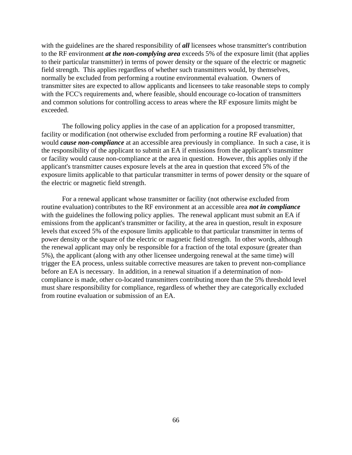with the guidelines are the shared responsibility of **all** licensees whose transmitter's contribution to the RF environment *at the non-complying area* exceeds 5% of the exposure limit (that applies to their particular transmitter) in terms of power density or the square of the electric or magnetic field strength. This applies regardless of whether such transmitters would, by themselves, normally be excluded from performing a routine environmental evaluation. Owners of transmitter sites are expected to allow applicants and licensees to take reasonable steps to comply with the FCC's requirements and, where feasible, should encourage co-location of transmitters and common solutions for controlling access to areas where the RF exposure limits might be exceeded.

The following policy applies in the case of an application for a proposed transmitter, facility or modification (not otherwise excluded from performing a routine RF evaluation) that would *cause non-compliance* at an accessible area previously in compliance. In such a case, it is the responsibility of the applicant to submit an EA if emissions from the applicant's transmitter or facility would cause non-compliance at the area in question. However, this applies only if the applicant's transmitter causes exposure levels at the area in question that exceed 5% of the exposure limits applicable to that particular transmitter in terms of power density or the square of the electric or magnetic field strength.

For a renewal applicant whose transmitter or facility (not otherwise excluded from routine evaluation) contributes to the RF environment at an accessible area *not in compliance* with the guidelines the following policy applies. The renewal applicant must submit an EA if emissions from the applicant's transmitter or facility, at the area in question, result in exposure levels that exceed 5% of the exposure limits applicable to that particular transmitter in terms of power density or the square of the electric or magnetic field strength. In other words, although the renewal applicant may only be responsible for a fraction of the total exposure (greater than 5%), the applicant (along with any other licensee undergoing renewal at the same time) will trigger the EA process, unless suitable corrective measures are taken to prevent non-compliance before an EA is necessary. In addition, in a renewal situation if a determination of noncompliance is made, other co-located transmitters contributing more than the 5% threshold level must share responsibility for compliance, regardless of whether they are categorically excluded from routine evaluation or submission of an EA.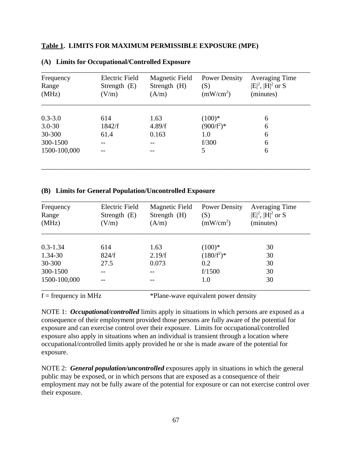### **Table 1. LIMITS FOR MAXIMUM PERMISSIBLE EXPOSURE (MPE)**

| Frequency<br>Range<br>(MHz) | Electric Field<br>Strength $(E)$<br>(V/m) | Magnetic Field<br>Strength (H)<br>(A/m) | <b>Power Density</b><br>(S)<br>(mW/cm <sup>2</sup> ) | <b>Averaging Time</b><br>$ E ^2$ , $ H ^2$ or S<br>(minutes) |
|-----------------------------|-------------------------------------------|-----------------------------------------|------------------------------------------------------|--------------------------------------------------------------|
| $0.3 - 3.0$                 | 614                                       | 1.63                                    | $(100)*$                                             | 6                                                            |
| $3.0 - 30$                  | 1842/f                                    | 4.89/f                                  | $(900/f^2)*$                                         | 6                                                            |
| 30-300                      | 61.4                                      | 0.163                                   | 1.0                                                  | 6                                                            |
| 300-1500                    |                                           |                                         | f/300                                                | 6                                                            |
| 1500-100,000                |                                           |                                         | 5                                                    | 6                                                            |

# **(A) Limits for Occupational/Controlled Exposure**

# **(B) Limits for General Population/Uncontrolled Exposure**

| Frequency<br>Range<br>(MHz) | Electric Field<br>Strength $(E)$<br>(V/m) | <b>Magnetic Field</b><br>Strength (H)<br>(A/m) | <b>Power Density</b><br>(S)<br>(mW/cm <sup>2</sup> ) | <b>Averaging Time</b><br>$ E ^2$ , $ H ^2$ or S<br>(minutes) |
|-----------------------------|-------------------------------------------|------------------------------------------------|------------------------------------------------------|--------------------------------------------------------------|
| $0.3 - 1.34$                | 614                                       | 1.63                                           | $(100)*$                                             | 30                                                           |
| 1.34-30                     | 824/f                                     | 2.19/f                                         | $(180/f^2)^*$                                        | 30                                                           |
| 30-300                      | 27.5                                      | 0.073                                          | 0.2                                                  | 30                                                           |
| 300-1500                    |                                           |                                                | f/1500                                               | 30                                                           |
| 1500-100,000                |                                           |                                                | 1.0                                                  | 30                                                           |

 $f = \text{frequency in MHz}$  \*Plane-wave equivalent power density

NOTE 1: *Occupational/controlled* limits apply in situations in which persons are exposed as a consequence of their employment provided those persons are fully aware of the potential for exposure and can exercise control over their exposure. Limits for occupational/controlled exposure also apply in situations when an individual is transient through a location where occupational/controlled limits apply provided he or she is made aware of the potential for exposure.

NOTE 2: *General population/uncontrolled* exposures apply in situations in which the general public may be exposed, or in which persons that are exposed as a consequence of their employment may not be fully aware of the potential for exposure or can not exercise control over their exposure.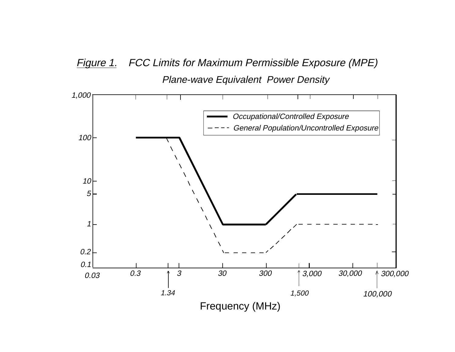

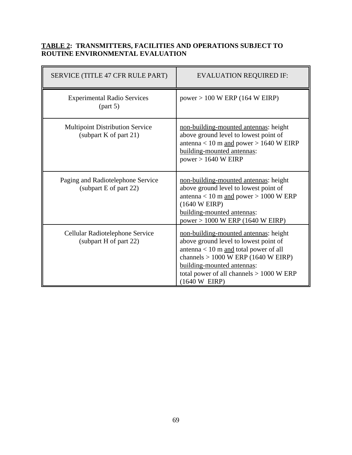## **TABLE 2: TRANSMITTERS, FACILITIES AND OPERATIONS SUBJECT TO ROUTINE ENVIRONMENTAL EVALUATION**

| SERVICE (TITLE 47 CFR RULE PART)                                 | <b>EVALUATION REQUIRED IF:</b>                                                                                                                                                                                                                                          |
|------------------------------------------------------------------|-------------------------------------------------------------------------------------------------------------------------------------------------------------------------------------------------------------------------------------------------------------------------|
| <b>Experimental Radio Services</b>                               | $power > 100$ W ERP (164 W EIRP)                                                                                                                                                                                                                                        |
| <b>Multipoint Distribution Service</b><br>(subpart K of part 21) | non-building-mounted antennas: height<br>above ground level to lowest point of<br>antenna < 10 m and power > 1640 W EIRP<br>building-mounted antennas:<br>$power > 1640$ W EIRP                                                                                         |
| Paging and Radiotelephone Service<br>(subpart E of part 22)      | non-building-mounted antennas: height<br>above ground level to lowest point of<br>antenna < 10 m and power > 1000 W ERP<br>(1640 W EIRP)<br>building-mounted antennas:<br>$power > 1000$ W ERP (1640 W EIRP)                                                            |
| Cellular Radiotelephone Service<br>(subpart H of part 22)        | non-building-mounted antennas: height<br>above ground level to lowest point of<br>antenna < $10 \text{ m}$ and total power of all<br>channels $> 1000$ W ERP (1640 W EIRP)<br>building-mounted antennas:<br>total power of all channels $> 1000$ W ERP<br>(1640 W EIRP) |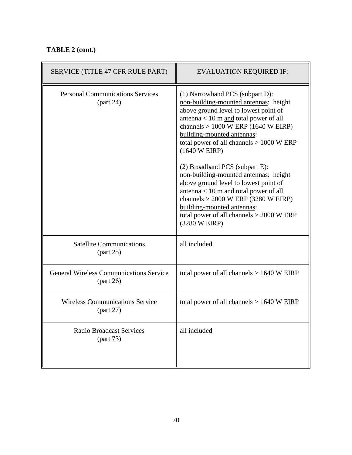## **TABLE 2 (cont.)**

| SERVICE (TITLE 47 CFR RULE PART)                          | <b>EVALUATION REQUIRED IF:</b>                                                                                                                                                                                                                                                                                                                                                                                                                                                                                                                                                                                          |
|-----------------------------------------------------------|-------------------------------------------------------------------------------------------------------------------------------------------------------------------------------------------------------------------------------------------------------------------------------------------------------------------------------------------------------------------------------------------------------------------------------------------------------------------------------------------------------------------------------------------------------------------------------------------------------------------------|
| <b>Personal Communications Services</b><br>part 24)       | (1) Narrowband PCS (subpart D):<br>non-building-mounted antennas: height<br>above ground level to lowest point of<br>antenna < $10 \text{ m}$ and total power of all<br>channels $> 1000$ W ERP (1640 W EIRP)<br>building-mounted antennas:<br>total power of all channels $> 1000$ W ERP<br>(1640 W EIRP)<br>(2) Broadband PCS (subpart E):<br>non-building-mounted antennas: height<br>above ground level to lowest point of<br>antenna < $10 \text{ m}$ and total power of all<br>channels $>$ 2000 W ERP (3280 W EIRP)<br>building-mounted antennas:<br>total power of all channels $> 2000$ W ERP<br>(3280 W EIRP) |
| <b>Satellite Communications</b><br>part 25)               | all included                                                                                                                                                                                                                                                                                                                                                                                                                                                                                                                                                                                                            |
| <b>General Wireless Communications Service</b><br>part 26 | total power of all channels $> 1640$ W EIRP                                                                                                                                                                                                                                                                                                                                                                                                                                                                                                                                                                             |
| <b>Wireless Communications Service</b><br>part 27)        | total power of all channels $> 1640$ W EIRP                                                                                                                                                                                                                                                                                                                                                                                                                                                                                                                                                                             |
| <b>Radio Broadcast Services</b><br>part 73)               | all included                                                                                                                                                                                                                                                                                                                                                                                                                                                                                                                                                                                                            |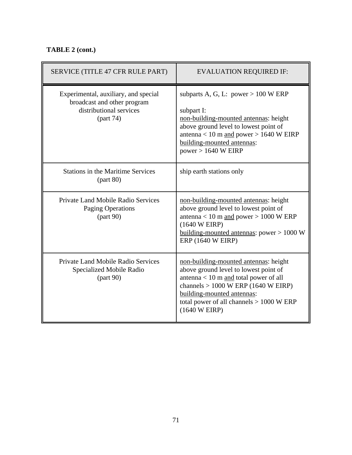## **TABLE 2 (cont.)**

| SERVICE (TITLE 47 CFR RULE PART)                                                                           | <b>EVALUATION REQUIRED IF:</b>                                                                                                                                                                                                                                              |
|------------------------------------------------------------------------------------------------------------|-----------------------------------------------------------------------------------------------------------------------------------------------------------------------------------------------------------------------------------------------------------------------------|
| Experimental, auxiliary, and special<br>broadcast and other program<br>distributional services<br>part 74) | subparts A, G, L: power $> 100$ W ERP<br>subpart I:<br>non-building-mounted antennas: height<br>above ground level to lowest point of<br>antenna < 10 m and power > 1640 W EIRP<br>building-mounted antennas:<br>$power > 1640$ W EIRP                                      |
| <b>Stations in the Maritime Services</b><br>part 80                                                        | ship earth stations only                                                                                                                                                                                                                                                    |
| Private Land Mobile Radio Services<br><b>Paging Operations</b><br>part 90)                                 | non-building-mounted antennas: height<br>above ground level to lowest point of<br>antenna < 10 m and power > 1000 W ERP<br>(1640 W EIRP)<br>building-mounted antennas: power $> 1000$ W<br>ERP (1640 W EIRP)                                                                |
| Private Land Mobile Radio Services<br>Specialized Mobile Radio<br>part 90                                  | non-building-mounted antennas: height<br>above ground level to lowest point of<br>antenna < 10 m $\frac{and}{and}$ total power of all<br>channels $> 1000$ W ERP (1640 W EIRP)<br>building-mounted antennas:<br>total power of all channels $> 1000$ W ERP<br>(1640 W EIRP) |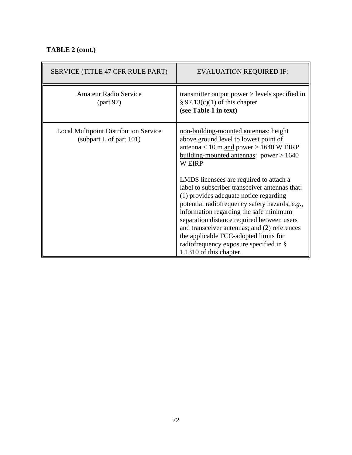## **TABLE 2 (cont.)**

| SERVICE (TITLE 47 CFR RULE PART)                                           | <b>EVALUATION REQUIRED IF:</b>                                                                                                                                                                                                                                                                                                                                                                                                                                                                                                                                                                                                       |
|----------------------------------------------------------------------------|--------------------------------------------------------------------------------------------------------------------------------------------------------------------------------------------------------------------------------------------------------------------------------------------------------------------------------------------------------------------------------------------------------------------------------------------------------------------------------------------------------------------------------------------------------------------------------------------------------------------------------------|
| <b>Amateur Radio Service</b><br>(part 97)                                  | transmitter output power $>$ levels specified in<br>§ 97.13 $(c)(1)$ of this chapter<br>(see Table 1 in text)                                                                                                                                                                                                                                                                                                                                                                                                                                                                                                                        |
| <b>Local Multipoint Distribution Service</b><br>(subpart L of part $101$ ) | non-building-mounted antennas: height<br>above ground level to lowest point of<br>antenna < 10 m and power > 1640 W EIRP<br>building-mounted antennas: $power > 1640$<br><b>WEIRP</b><br>LMDS licensees are required to attach a<br>label to subscriber transceiver antennas that:<br>(1) provides adequate notice regarding<br>potential radiofrequency safety hazards, e.g.,<br>information regarding the safe minimum<br>separation distance required between users<br>and transceiver antennas; and (2) references<br>the applicable FCC-adopted limits for<br>radiofrequency exposure specified in §<br>1.1310 of this chapter. |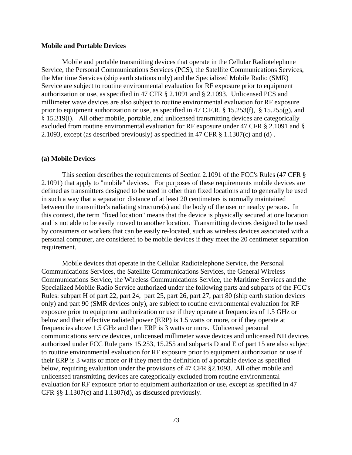#### **Mobile and Portable Devices**

Mobile and portable transmitting devices that operate in the Cellular Radiotelephone Service, the Personal Communications Services (PCS), the Satellite Communications Services, the Maritime Services (ship earth stations only) and the Specialized Mobile Radio (SMR) Service are subject to routine environmental evaluation for RF exposure prior to equipment authorization or use, as specified in 47 CFR § 2.1091 and § 2.1093. Unlicensed PCS and millimeter wave devices are also subject to routine environmental evaluation for RF exposure prior to equipment authorization or use, as specified in 47 C.F.R. § 15.253(f), § 15.255(g), and § 15.319(i). All other mobile, portable, and unlicensed transmitting devices are categorically excluded from routine environmental evaluation for RF exposure under 47 CFR § 2.1091 and § 2.1093, except (as described previously) as specified in 47 CFR § 1.1307(c) and (d) .

#### **(a) Mobile Devices**

This section describes the requirements of Section 2.1091 of the FCC's Rules (47 CFR § 2.1091) that apply to "mobile" devices. For purposes of these requirements mobile devices are defined as transmitters designed to be used in other than fixed locations and to generally be used in such a way that a separation distance of at least 20 centimeters is normally maintained between the transmitter's radiating structure(s) and the body of the user or nearby persons. In this context, the term "fixed location" means that the device is physically secured at one location and is not able to be easily moved to another location. Transmitting devices designed to be used by consumers or workers that can be easily re-located, such as wireless devices associated with a personal computer, are considered to be mobile devices if they meet the 20 centimeter separation requirement.

Mobile devices that operate in the Cellular Radiotelephone Service, the Personal Communications Services, the Satellite Communications Services, the General Wireless Communications Service, the Wireless Communications Service, the Maritime Services and the Specialized Mobile Radio Service authorized under the following parts and subparts of the FCC's Rules: subpart H of part 22, part 24, part 25, part 26, part 27, part 80 (ship earth station devices only) and part 90 (SMR devices only), are subject to routine environmental evaluation for RF exposure prior to equipment authorization or use if they operate at frequencies of 1.5 GHz or below and their effective radiated power (ERP) is 1.5 watts or more, or if they operate at frequencies above 1.5 GHz and their ERP is 3 watts or more. Unlicensed personal communications service devices, unlicensed millimeter wave devices and unlicensed NII devices authorized under FCC Rule parts 15.253, 15.255 and subparts D and E of part 15 are also subject to routine environmental evaluation for RF exposure prior to equipment authorization or use if their ERP is 3 watts or more or if they meet the definition of a portable device as specified below, requiring evaluation under the provisions of 47 CFR §2.1093. All other mobile and unlicensed transmitting devices are categorically excluded from routine environmental evaluation for RF exposure prior to equipment authorization or use, except as specified in 47 CFR §§ 1.1307(c) and 1.1307(d), as discussed previously.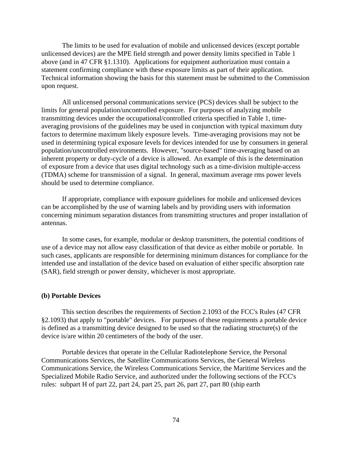The limits to be used for evaluation of mobile and unlicensed devices (except portable unlicensed devices) are the MPE field strength and power density limits specified in Table 1 above (and in 47 CFR §1.1310). Applications for equipment authorization must contain a statement confirming compliance with these exposure limits as part of their application. Technical information showing the basis for this statement must be submitted to the Commission upon request.

All unlicensed personal communications service (PCS) devices shall be subject to the limits for general population/uncontrolled exposure. For purposes of analyzing mobile transmitting devices under the occupational/controlled criteria specified in Table 1, timeaveraging provisions of the guidelines may be used in conjunction with typical maximum duty factors to determine maximum likely exposure levels. Time-averaging provisions may not be used in determining typical exposure levels for devices intended for use by consumers in general population/uncontrolled environments. However, "source-based" time-averaging based on an inherent property or duty-cycle of a device is allowed. An example of this is the determination of exposure from a device that uses digital technology such as a time-division multiple-access (TDMA) scheme for transmission of a signal. In general, maximum average rms power levels should be used to determine compliance.

If appropriate, compliance with exposure guidelines for mobile and unlicensed devices can be accomplished by the use of warning labels and by providing users with information concerning minimum separation distances from transmitting structures and proper installation of antennas.

In some cases, for example, modular or desktop transmitters, the potential conditions of use of a device may not allow easy classification of that device as either mobile or portable. In such cases, applicants are responsible for determining minimum distances for compliance for the intended use and installation of the device based on evaluation of either specific absorption rate (SAR), field strength or power density, whichever is most appropriate.

#### **(b) Portable Devices**

This section describes the requirements of Section 2.1093 of the FCC's Rules (47 CFR §2.1093) that apply to "portable" devices. For purposes of these requirements a portable device is defined as a transmitting device designed to be used so that the radiating structure(s) of the device is/are within 20 centimeters of the body of the user.

Portable devices that operate in the Cellular Radiotelephone Service, the Personal Communications Services, the Satellite Communications Services, the General Wireless Communications Service, the Wireless Communications Service, the Maritime Services and the Specialized Mobile Radio Service, and authorized under the following sections of the FCC's rules: subpart H of part 22, part 24, part 25, part 26, part 27, part 80 (ship earth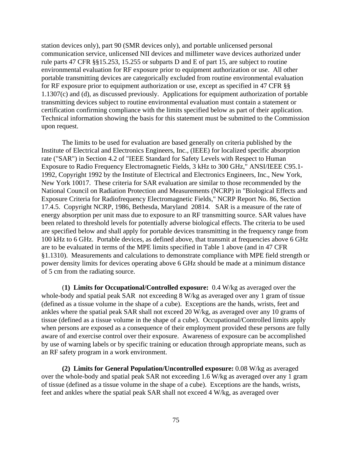station devices only), part 90 (SMR devices only), and portable unlicensed personal communication service, unlicensed NII devices and millimeter wave devices authorized under rule parts 47 CFR §§15.253, 15.255 or subparts D and E of part 15, are subject to routine environmental evaluation for RF exposure prior to equipment authorization or use. All other portable transmitting devices are categorically excluded from routine environmental evaluation for RF exposure prior to equipment authorization or use, except as specified in 47 CFR §§ 1.1307(c) and (d), as discussed previously. Applications for equipment authorization of portable transmitting devices subject to routine environmental evaluation must contain a statement or certification confirming compliance with the limits specified below as part of their application. Technical information showing the basis for this statement must be submitted to the Commission upon request.

The limits to be used for evaluation are based generally on criteria published by the Institute of Electrical and Electronics Engineers, Inc., (IEEE) for localized specific absorption rate ("SAR") in Section 4.2 of "IEEE Standard for Safety Levels with Respect to Human Exposure to Radio Frequency Electromagnetic Fields, 3 kHz to 300 GHz," ANSI/IEEE C95.1- 1992, Copyright 1992 by the Institute of Electrical and Electronics Engineers, Inc., New York, New York 10017. These criteria for SAR evaluation are similar to those recommended by the National Council on Radiation Protection and Measurements (NCRP) in "Biological Effects and Exposure Criteria for Radiofrequency Electromagnetic Fields," NCRP Report No. 86, Section 17.4.5. Copyright NCRP, 1986, Bethesda, Maryland 20814. SAR is a measure of the rate of energy absorption per unit mass due to exposure to an RF transmitting source. SAR values have been related to threshold levels for potentially adverse biological effects. The criteria to be used are specified below and shall apply for portable devices transmitting in the frequency range from 100 kHz to 6 GHz. Portable devices, as defined above, that transmit at frequencies above 6 GHz are to be evaluated in terms of the MPE limits specified in Table 1 above (and in 47 CFR §1.1310). Measurements and calculations to demonstrate compliance with MPE field strength or power density limits for devices operating above 6 GHz should be made at a minimum distance of 5 cm from the radiating source.

(**1) Limits for Occupational/Controlled exposure:** 0.4 W/kg as averaged over the whole-body and spatial peak SAR not exceeding 8 W/kg as averaged over any 1 gram of tissue (defined as a tissue volume in the shape of a cube). Exceptions are the hands, wrists, feet and ankles where the spatial peak SAR shall not exceed 20 W/kg, as averaged over any 10 grams of tissue (defined as a tissue volume in the shape of a cube). Occupational/Controlled limits apply when persons are exposed as a consequence of their employment provided these persons are fully aware of and exercise control over their exposure. Awareness of exposure can be accomplished by use of warning labels or by specific training or education through appropriate means, such as an RF safety program in a work environment.

**(2) Limits for General Population/Uncontrolled exposure:** 0.08 W/kg as averaged over the whole-body and spatial peak SAR not exceeding 1.6 W/kg as averaged over any 1 gram of tissue (defined as a tissue volume in the shape of a cube). Exceptions are the hands, wrists, feet and ankles where the spatial peak SAR shall not exceed 4 W/kg, as averaged over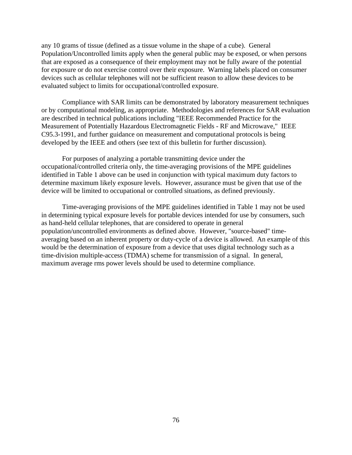any 10 grams of tissue (defined as a tissue volume in the shape of a cube). General Population/Uncontrolled limits apply when the general public may be exposed, or when persons that are exposed as a consequence of their employment may not be fully aware of the potential for exposure or do not exercise control over their exposure. Warning labels placed on consumer devices such as cellular telephones will not be sufficient reason to allow these devices to be evaluated subject to limits for occupational/controlled exposure.

Compliance with SAR limits can be demonstrated by laboratory measurement techniques or by computational modeling, as appropriate. Methodologies and references for SAR evaluation are described in technical publications including "IEEE Recommended Practice for the Measurement of Potentially Hazardous Electromagnetic Fields - RF and Microwave," IEEE C95.3-1991, and further guidance on measurement and computational protocols is being developed by the IEEE and others (see text of this bulletin for further discussion).

For purposes of analyzing a portable transmitting device under the occupational/controlled criteria only, the time-averaging provisions of the MPE guidelines identified in Table 1 above can be used in conjunction with typical maximum duty factors to determine maximum likely exposure levels. However, assurance must be given that use of the device will be limited to occupational or controlled situations, as defined previously.

Time-averaging provisions of the MPE guidelines identified in Table 1 may not be used in determining typical exposure levels for portable devices intended for use by consumers, such as hand-held cellular telephones, that are considered to operate in general population/uncontrolled environments as defined above. However, "source-based" timeaveraging based on an inherent property or duty-cycle of a device is allowed. An example of this would be the determination of exposure from a device that uses digital technology such as a time-division multiple-access (TDMA) scheme for transmission of a signal. In general, maximum average rms power levels should be used to determine compliance.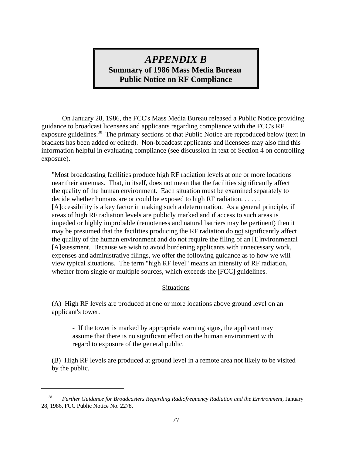# *APPENDIX B*

**Summary of 1986 Mass Media Bureau Public Notice on RF Compliance**

On January 28, 1986, the FCC's Mass Media Bureau released a Public Notice providing guidance to broadcast licensees and applicants regarding compliance with the FCC's RF exposure guidelines.<sup>38</sup> The primary sections of that Public Notice are reproduced below (text in brackets has been added or edited). Non-broadcast applicants and licensees may also find this information helpful in evaluating compliance (see discussion in text of Section 4 on controlling exposure).

"Most broadcasting facilities produce high RF radiation levels at one or more locations near their antennas. That, in itself, does not mean that the facilities significantly affect the quality of the human environment. Each situation must be examined separately to decide whether humans are or could be exposed to high RF radiation. . . . . . [A]ccessibility is a key factor in making such a determination. As a general principle, if areas of high RF radiation levels are publicly marked and if access to such areas is impeded or highly improbable (remoteness and natural barriers may be pertinent) then it may be presumed that the facilities producing the RF radiation do not significantly affect the quality of the human environment and do not require the filing of an [E]nvironmental [A]ssessment. Because we wish to avoid burdening applicants with unnecessary work, expenses and administrative filings, we offer the following guidance as to how we will view typical situations. The term "high RF level" means an intensity of RF radiation, whether from single or multiple sources, which exceeds the [FCC] guidelines.

### **Situations**

(A) High RF levels are produced at one or more locations above ground level on an applicant's tower.

- If the tower is marked by appropriate warning signs, the applicant may assume that there is no significant effect on the human environment with regard to exposure of the general public.

(B) High RF levels are produced at ground level in a remote area not likely to be visited by the public.

<sup>38</sup> *Further Guidance for Broadcasters Regarding Radiofrequency Radiation and the Environment,* January 28, 1986, FCC Public Notice No. 2278.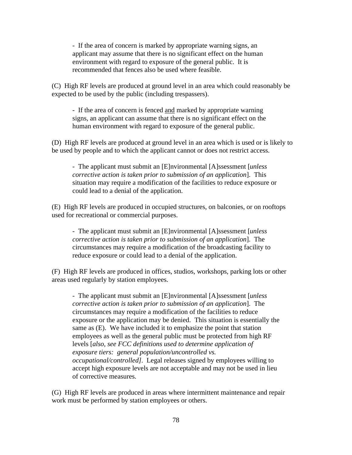- If the area of concern is marked by appropriate warning signs, an applicant may assume that there is no significant effect on the human environment with regard to exposure of the general public. It is recommended that fences also be used where feasible.

(C) High RF levels are produced at ground level in an area which could reasonably be expected to be used by the public (including trespassers).

- If the area of concern is fenced and marked by appropriate warning signs, an applicant can assume that there is no significant effect on the human environment with regard to exposure of the general public.

(D) High RF levels are produced at ground level in an area which is used or is likely to be used by people and to which the applicant cannot or does not restrict access.

- The applicant must submit an [E]nvironmental [A]ssessment [*unless corrective action is taken prior to submission of an application*]. This situation may require a modification of the facilities to reduce exposure or could lead to a denial of the application.

(E) High RF levels are produced in occupied structures, on balconies, or on rooftops used for recreational or commercial purposes.

- The applicant must submit an [E]nvironmental [A]ssessment [*unless corrective action is taken prior to submission of an application*]. The circumstances may require a modification of the broadcasting facility to reduce exposure or could lead to a denial of the application.

(F) High RF levels are produced in offices, studios, workshops, parking lots or other areas used regularly by station employees.

- The applicant must submit an [E]nvironmental [A]ssessment [*unless corrective action is taken prior to submission of an application*]. The circumstances may require a modification of the facilities to reduce exposure or the application may be denied. This situation is essentially the same as (E). We have included it to emphasize the point that station employees as well as the general public must be protected from high RF levels [*also, see FCC definitions used to determine application of exposure tiers: general population/uncontrolled vs. occupational/controlled]*. Legal releases signed by employees willing to accept high exposure levels are not acceptable and may not be used in lieu of corrective measures.

(G) High RF levels are produced in areas where intermittent maintenance and repair work must be performed by station employees or others.